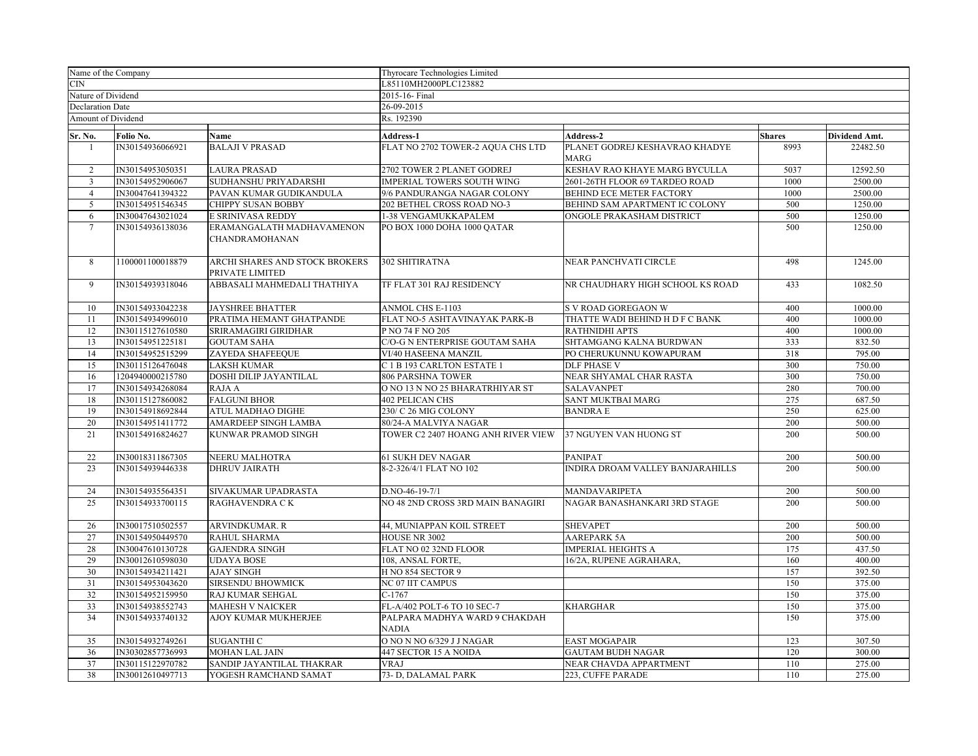| Name of the Company          |                  | Thyrocare Technologies Limited                     |                                                           |                                               |               |               |  |  |
|------------------------------|------------------|----------------------------------------------------|-----------------------------------------------------------|-----------------------------------------------|---------------|---------------|--|--|
| CIN                          |                  |                                                    | L85110MH2000PLC123882                                     |                                               |               |               |  |  |
| Nature of Dividend           |                  |                                                    | 2015-16- Final                                            |                                               |               |               |  |  |
| <b>Declaration Date</b>      |                  |                                                    | 26-09-2015                                                |                                               |               |               |  |  |
| Amount of Dividend           |                  |                                                    | Rs. 192390                                                |                                               |               |               |  |  |
| $\overline{\text{Sr}}$ . No. | Folio No.        | Name                                               | Address-1                                                 | Address-2                                     | <b>Shares</b> | Dividend Amt. |  |  |
| 1                            | IN30154936066921 | <b>BALAJI V PRASAD</b>                             | FLAT NO 2702 TOWER-2 AQUA CHS LTD                         | PLANET GODREJ KESHAVRAO KHADYE<br><b>MARG</b> | 8993          | 22482.50      |  |  |
| $\overline{2}$               | IN30154953050351 | <b>LAURA PRASAD</b>                                | 2702 TOWER 2 PLANET GODREJ                                | KESHAV RAO KHAYE MARG BYCULLA                 | 5037          | 12592.50      |  |  |
| $\mathbf{3}$                 | IN30154952906067 | SUDHANSHU PRIYADARSHI                              | <b>IMPERIAL TOWERS SOUTH WING</b>                         | 2601-26TH FLOOR 69 TARDEO ROAD                | 1000          | 2500.00       |  |  |
| $\overline{4}$               | IN30047641394322 | PAVAN KUMAR GUDIKANDULA                            | 9/6 PANDURANGA NAGAR COLONY                               | BEHIND ECE METER FACTORY                      | 1000          | 2500.00       |  |  |
| 5                            | IN30154951546345 | <b>CHIPPY SUSAN BOBBY</b>                          | 202 BETHEL CROSS ROAD NO-3                                | BEHIND SAM APARTMENT IC COLONY                | 500           | 1250.00       |  |  |
| 6                            | IN30047643021024 | E SRINIVASA REDDY                                  | 1-38 VENGAMUKKAPALEM                                      | ONGOLE PRAKASHAM DISTRICT                     | 500           | 1250.00       |  |  |
| $7\phantom{.0}$              | IN30154936138036 | ERAMANGALATH MADHAVAMENON<br><b>CHANDRAMOHANAN</b> | PO BOX 1000 DOHA 1000 OATAR                               |                                               | 500           | 1250.00       |  |  |
| 8                            | 1100001100018879 | ARCHI SHARES AND STOCK BROKERS<br>PRIVATE LIMITED  | 302 SHITIRATNA                                            | NEAR PANCHVATI CIRCLE                         | 498           | 1245.00       |  |  |
| 9                            | IN30154939318046 | ABBASALI MAHMEDALI THATHIYA                        | TF FLAT 301 RAJ RESIDENCY                                 | NR CHAUDHARY HIGH SCHOOL KS ROAD              | 433           | 1082.50       |  |  |
| 10                           | IN30154933042238 | <b>JAYSHREE BHATTER</b>                            | ANMOL CHS E-1103                                          | S V ROAD GOREGAON W                           | 400           | 1000.00       |  |  |
| 11                           | IN30154934996010 | PRATIMA HEMANT GHATPANDE                           | FLAT NO-5 ASHTAVINAYAK PARK-B                             | THATTE WADI BEHIND H D F C BANK               | 400           | 1000.00       |  |  |
| 12                           | IN30115127610580 | SRIRAMAGIRI GIRIDHAR                               | P NO 74 F NO 205                                          | RATHNIDHI APTS                                | 400           | 1000.00       |  |  |
| 13                           | IN30154951225181 | <b>GOUTAM SAHA</b>                                 | C/O-G N ENTERPRISE GOUTAM SAHA                            | SHTAMGANG KALNA BURDWAN                       | 333           | 832.50        |  |  |
| 14                           | IN30154952515299 | ZAYEDA SHAFEEQUE                                   | VI/40 HASEENA MANZIL                                      | PO CHERUKUNNU KOWAPURAM                       | 318           | 795.00        |  |  |
| 15                           | IN30115126476048 | LAKSH KUMAR                                        | C 1 B 193 CARLTON ESTATE 1                                | <b>DLF PHASE V</b>                            | 300           | 750.00        |  |  |
| 16                           | 1204940000215780 | DOSHI DILIP JAYANTILAL                             | 806 PARSHNA TOWER                                         | NEAR SHYAMAL CHAR RASTA                       | 300           | 750.00        |  |  |
| 17                           | IN30154934268084 | RAJA A                                             | O NO 13 N NO 25 BHARATRHIYAR ST                           | <b>SALAVANPET</b>                             | 280           | 700.00        |  |  |
| 18                           | IN30115127860082 | <b>FALGUNI BHOR</b>                                | <b>402 PELICAN CHS</b>                                    | SANT MUKTBAI MARG                             | 275           | 687.50        |  |  |
| 19                           | IN30154918692844 | ATUL MADHAO DIGHE                                  | 230/ C 26 MIG COLONY                                      | <b>BANDRA E</b>                               | 250           | 625.00        |  |  |
| 20                           | IN30154951411772 | AMARDEEP SINGH LAMBA                               | 80/24-A MALVIYA NAGAR                                     |                                               | 200           | 500.00        |  |  |
| 21                           | IN30154916824627 | KUNWAR PRAMOD SINGH                                | TOWER C2 2407 HOANG ANH RIVER VIEW 37 NGUYEN VAN HUONG ST |                                               | 200           | 500.00        |  |  |
| 22                           | IN30018311867305 | NEERU MALHOTRA                                     | <b>61 SUKH DEV NAGAR</b>                                  | PANIPAT                                       | 200           | 500.00        |  |  |
| 23                           | IN30154939446338 | <b>DHRUV JAIRATH</b>                               | 8-2-326/4/1 FLAT NO 102                                   | INDIRA DROAM VALLEY BANJARAHILLS              | 200           | 500.00        |  |  |
| 24                           | IN30154935564351 | SIVAKUMAR UPADRASTA                                | D.NO-46-19-7/1                                            | MANDAVARIPETA                                 | 200           | 500.00        |  |  |
| 25                           | IN30154933700115 | RAGHAVENDRA CK                                     | NO 48 2ND CROSS 3RD MAIN BANAGIRI                         | NAGAR BANASHANKARI 3RD STAGE                  | 200           | 500.00        |  |  |
| 26                           | IN30017510502557 | <b>ARVINDKUMAR. R</b>                              | 44, MUNIAPPAN KOIL STREET                                 | <b>SHEVAPET</b>                               | 200           | 500.00        |  |  |
| 27                           | IN30154950449570 | RAHUL SHARMA                                       | HOUSE NR 3002                                             | <b>AAREPARK 5A</b>                            | 200           | 500.00        |  |  |
| 28                           | IN30047610130728 | <b>GAJENDRA SINGH</b>                              | FLAT NO 02 32ND FLOOR                                     | <b>IMPERIAL HEIGHTS A</b>                     | 175           | 437.50        |  |  |
| 29                           | IN30012610598030 | <b>UDAYA BOSE</b>                                  | 108, ANSAL FORTE,                                         | 16/2A, RUPENE AGRAHARA,                       | 160           | 400.00        |  |  |
| 30                           | IN30154934211421 | <b>AJAY SINGH</b>                                  | H NO 854 SECTOR 9                                         |                                               | 157           | 392.50        |  |  |
| 31                           | IN30154953043620 | <b>SIRSENDU BHOWMICK</b>                           | <b>NC 07 IIT CAMPUS</b>                                   |                                               | 150           | 375.00        |  |  |
| 32                           | IN30154952159950 | RAJ KUMAR SEHGAL                                   | $C-1767$                                                  |                                               | 150           | 375.00        |  |  |
| 33                           | IN30154938552743 | <b>MAHESH V NAICKER</b>                            | FL-A/402 POLT-6 TO 10 SEC-7                               | <b>KHARGHAR</b>                               | 150           | 375.00        |  |  |
| 34                           | IN30154933740132 | AJOY KUMAR MUKHERJEE                               | PALPARA MADHYA WARD 9 CHAKDAH<br><b>NADIA</b>             |                                               | 150           | 375.00        |  |  |
| 35                           | IN30154932749261 | <b>SUGANTHI C</b>                                  | O NO N NO 6/329 J J NAGAR                                 | <b>EAST MOGAPAIR</b>                          | 123           | 307.50        |  |  |
| 36                           | IN30302857736993 | <b>MOHAN LAL JAIN</b>                              | 447 SECTOR 15 A NOIDA                                     | <b>GAUTAM BUDH NAGAR</b>                      | 120           | 300.00        |  |  |
| 37                           | IN30115122970782 | SANDIP JAYANTILAL THAKRAR                          | <b>VRAJ</b>                                               | NEAR CHAVDA APPARTMENT                        | 110           | 275.00        |  |  |
| 38                           | IN30012610497713 | YOGESH RAMCHAND SAMAT                              | 73- D, DALAMAL PARK                                       | 223, CUFFE PARADE                             | 110           | 275.00        |  |  |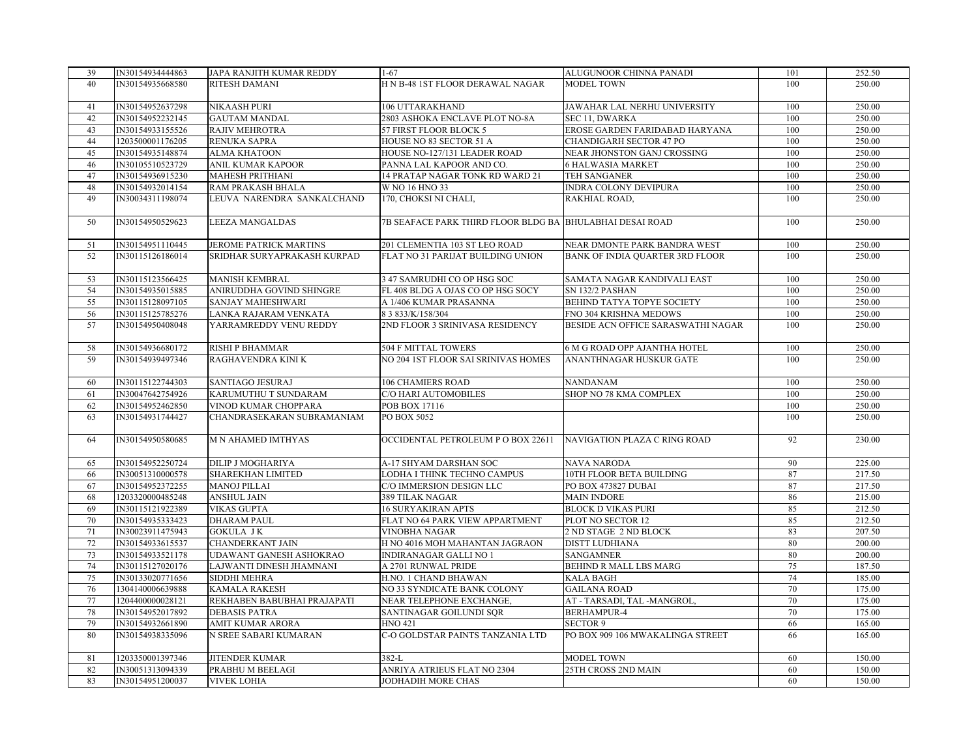| 39       | IN30154934444863                     | JAPA RANJITH KUMAR REDDY                          | $1-67$                                                           | ALUGUNOOR CHINNA PANADI                              | 101        | 252.50           |
|----------|--------------------------------------|---------------------------------------------------|------------------------------------------------------------------|------------------------------------------------------|------------|------------------|
| 40       | IN30154935668580                     | <b>RITESH DAMANI</b>                              | H N B-48 1ST FLOOR DERAWAL NAGAR                                 | <b>MODEL TOWN</b>                                    | 100        | 250.00           |
|          |                                      |                                                   |                                                                  |                                                      |            |                  |
| 41       | IN30154952637298                     | NIKAASH PURI                                      | 106 UTTARAKHAND                                                  | JAWAHAR LAL NERHU UNIVERSITY                         | 100        | 250.00           |
| 42       | IN30154952232145                     | <b>GAUTAM MANDAL</b>                              | 2803 ASHOKA ENCLAVE PLOT NO-8A                                   | SEC 11, DWARKA                                       | 100        | 250.00           |
| 43       | IN30154933155526                     | RAJIV MEHROTRA                                    | 57 FIRST FLOOR BLOCK 5                                           | EROSE GARDEN FARIDABAD HARYANA                       | 100        | 250.00           |
| 44       | 1203500001176205                     | <b>RENUKA SAPRA</b>                               | HOUSE NO 83 SECTOR 51 A                                          | CHANDIGARH SECTOR 47 PO                              | 100        | 250.00           |
| 45       | IN30154935148874                     | <b>ALMA KHATOON</b>                               | HOUSE NO-127/131 LEADER ROAD                                     | NEAR JHONSTON GANJ CROSSING                          | 100        | 250.00           |
| 46       | IN30105510523729                     | <b>ANIL KUMAR KAPOOR</b>                          | PANNA LAL KAPOOR AND CO.                                         | <b>6 HALWASIA MARKET</b>                             | 100        | 250.00           |
| 47       | IN30154936915230                     | <b>MAHESH PRITHIANI</b>                           | 14 PRATAP NAGAR TONK RD WARD 21                                  | TEH SANGANER                                         | 100        | 250.00           |
| 48       | IN30154932014154                     | RAM PRAKASH BHALA                                 | W NO 16 HNO 33                                                   | INDRA COLONY DEVIPURA                                | 100        | 250.00           |
| 49       | IN30034311198074                     | LEUVA NARENDRA SANKALCHAND                        | 170, CHOKSI NI CHALI,                                            | RAKHIAL ROAD,                                        | 100        | 250.00           |
|          |                                      |                                                   |                                                                  |                                                      |            |                  |
| 50       | IN30154950529623                     | LEEZA MANGALDAS                                   | 7B SEAFACE PARK THIRD FLOOR BLDG BA BHULABHAI DESAI ROAD         |                                                      | 100        | 250.00           |
|          |                                      |                                                   |                                                                  |                                                      |            |                  |
| 51       | IN30154951110445                     | <b>JEROME PATRICK MARTINS</b>                     | 201 CLEMENTIA 103 ST LEO ROAD                                    | NEAR DMONTE PARK BANDRA WEST                         | 100        | 250.00           |
| 52       | IN30115126186014                     | SRIDHAR SURYAPRAKASH KURPAD                       | FLAT NO 31 PARIJAT BUILDING UNION                                | <b>BANK OF INDIA QUARTER 3RD FLOOR</b>               | 100        | 250.00           |
|          |                                      |                                                   |                                                                  |                                                      | 100        |                  |
| 53       | IN30115123566425                     | <b>MANISH KEMBRAL</b><br>ANIRUDDHA GOVIND SHINGRE | 3 47 SAMRUDHI CO OP HSG SOC<br>FL 408 BLDG A OJAS CO OP HSG SOCY | SAMATA NAGAR KANDIVALI EAST<br>SN 132/2 PASHAN       | 100        | 250.00<br>250.00 |
| 54       | IN30154935015885                     |                                                   |                                                                  |                                                      |            |                  |
| 55<br>56 | IN30115128097105<br>IN30115125785276 | <b>SANJAY MAHESHWARI</b>                          | A 1/406 KUMAR PRASANNA<br>8 3 833/K/158/304                      | BEHIND TATYA TOPYE SOCIETY<br>FNO 304 KRISHNA MEDOWS | 100<br>100 | 250.00<br>250.00 |
|          |                                      | LANKA RAJARAM VENKATA                             |                                                                  |                                                      |            |                  |
| 57       | IN30154950408048                     | YARRAMREDDY VENU REDDY                            | 2ND FLOOR 3 SRINIVASA RESIDENCY                                  | BESIDE ACN OFFICE SARASWATHI NAGAR                   | 100        | 250.00           |
| 58       | IN30154936680172                     | <b>RISHI P BHAMMAR</b>                            | 504 F MITTAL TOWERS                                              | 6 M G ROAD OPP AJANTHA HOTEL                         | 100        | 250.00           |
| 59       | IN30154939497346                     | RAGHAVENDRA KINI K                                | NO 204 1ST FLOOR SAI SRINIVAS HOMES                              | ANANTHNAGAR HUSKUR GATE                              | 100        | 250.00           |
|          |                                      |                                                   |                                                                  |                                                      |            |                  |
| 60       | IN30115122744303                     | <b>SANTIAGO JESURAJ</b>                           | <b>106 CHAMIERS ROAD</b>                                         | <b>NANDANAM</b>                                      | 100        | 250.00           |
| 61       | IN30047642754926                     | KARUMUTHU T SUNDARAM                              | C/O HARI AUTOMOBILES                                             | SHOP NO 78 KMA COMPLEX                               | 100        | 250.00           |
| 62       | IN30154952462850                     | VINOD KUMAR CHOPPARA                              | POB BOX 17116                                                    |                                                      | 100        | 250.00           |
| 63       | IN30154931744427                     | CHANDRASEKARAN SUBRAMANIAM                        | PO BOX 5052                                                      |                                                      | 100        | 250.00           |
|          |                                      |                                                   |                                                                  |                                                      |            |                  |
| 64       | IN30154950580685                     | <b>M N AHAMED IMTHYAS</b>                         | OCCIDENTAL PETROLEUM P O BOX 22611                               | NAVIGATION PLAZA C RING ROAD                         | 92         | 230.00           |
|          |                                      |                                                   |                                                                  |                                                      |            |                  |
| 65       | IN30154952250724                     | <b>DILIP J MOGHARIYA</b>                          | A-17 SHYAM DARSHAN SOC                                           | <b>NAVA NARODA</b>                                   | 90         | 225.00           |
| 66       | IN30051310000578                     | <b>SHAREKHAN LIMITED</b>                          | LODHA I THINK TECHNO CAMPUS                                      | 10TH FLOOR BETA BUILDING                             | 87         | 217.50           |
| 67       | IN30154952372255                     | <b>MANOJ PILLAI</b>                               | C/O IMMERSION DESIGN LLC                                         | PO BOX 473827 DUBAI                                  | 87         | 217.50           |
| 68       | 1203320000485248                     | <b>ANSHUL JAIN</b>                                | 389 TILAK NAGAR                                                  | <b>MAIN INDORE</b>                                   | 86         | 215.00           |
| 69       | IN30115121922389                     | <b>VIKAS GUPTA</b>                                | <b>16 SURYAKIRAN APTS</b>                                        | <b>BLOCK D VIKAS PURI</b>                            | 85         | 212.50           |
| 70       | IN30154935333423                     | <b>DHARAM PAUL</b>                                | FLAT NO 64 PARK VIEW APPARTMENT                                  | PLOT NO SECTOR 12                                    | 85         | 212.50           |
| 71       | IN30023911475943                     | <b>GOKULA JK</b>                                  | <b>VINOBHA NAGAR</b>                                             | 2 ND STAGE 2 ND BLOCK                                | 83         | 207.50           |
| 72       | IN30154933615537                     | CHANDERKANT JAIN                                  | H NO 4016 MOH MAHANTAN JAGRAON                                   | DISTT LUDHIANA                                       | 80         | 200.00           |
| 73       | IN30154933521178                     | UDAWANT GANESH ASHOKRAO                           | INDIRANAGAR GALLI NO 1                                           | <b>SANGAMNER</b>                                     | 80         | 200.00           |
| 74       | IN30115127020176                     | LAJWANTI DINESH JHAMNANI                          | A 2701 RUNWAL PRIDE                                              | BEHIND R MALL LBS MARG                               | 75         | 187.50           |
| 75       | IN30133020771656                     | SIDDHI MEHRA                                      | H.NO. 1 CHAND BHAWAN                                             | <b>KALA BAGH</b>                                     | 74         | 185.00           |
| 76       | 1304140006639888                     | <b>KAMALA RAKESH</b>                              | NO 33 SYNDICATE BANK COLONY                                      | <b>GAILANA ROAD</b>                                  | 70         | 175.00           |
| 77       | 1204400000028121                     | REKHABEN BABUBHAI PRAJAPATI                       | NEAR TELEPHONE EXCHANGE,                                         | AT - TARSADI, TAL -MANGROL,                          | 70         | 175.00           |
| 78       | IN30154952017892                     | <b>DEBASIS PATRA</b>                              | SANTINAGAR GOILUNDI SQR                                          | BERHAMPUR-4                                          | 70         | 175.00           |
| 79       | IN30154932661890                     | <b>AMIT KUMAR ARORA</b>                           | <b>HNO 421</b>                                                   | <b>SECTOR 9</b>                                      | 66         | 165.00           |
| 80       | IN30154938335096                     | N SREE SABARI KUMARAN                             | C-O GOLDSTAR PAINTS TANZANIA LTD                                 | PO BOX 909 106 MWAKALINGA STREET                     | 66         | 165.00           |
| 81       | 1203350001397346                     | <b>JITENDER KUMAR</b>                             | $382-L$                                                          | <b>MODEL TOWN</b>                                    | 60         | 150.00           |
| 82       | IN30051313094339                     | PRABHU M BEELAGI                                  | ANRIYA ATRIEUS FLAT NO 2304                                      | 25TH CROSS 2ND MAIN                                  | 60         | 150.00           |
| 83       | IN30154951200037                     | <b>VIVEK LOHIA</b>                                | <b>JODHADIH MORE CHAS</b>                                        |                                                      | 60         | 150.00           |
|          |                                      |                                                   |                                                                  |                                                      |            |                  |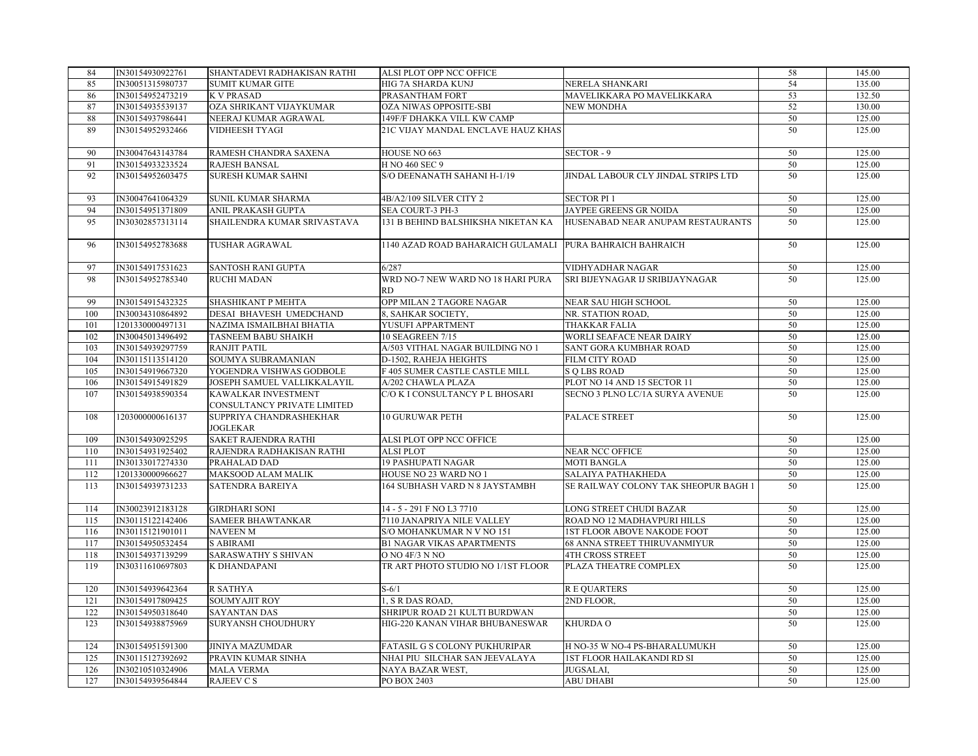| 84  | IN30154930922761 | SHANTADEVI RADHAKISAN RATHI                        | ALSI PLOT OPP NCC OFFICE                 |                                      | 58 | 145.00 |
|-----|------------------|----------------------------------------------------|------------------------------------------|--------------------------------------|----|--------|
| 85  | IN30051315980737 | <b>SUMIT KUMAR GITE</b>                            | HIG 7A SHARDA KUNJ                       | NERELA SHANKARI                      | 54 | 135.00 |
| 86  | IN30154952473219 | K V PRASAD                                         | PRASANTHAM FORT                          | MAVELIKKARA PO MAVELIKKARA           | 53 | 132.50 |
| 87  | IN30154935539137 | OZA SHRIKANT VIJAYKUMAR                            | OZA NIWAS OPPOSITE-SBI                   | NEW MONDHA                           | 52 | 130.00 |
| 88  | IN30154937986441 | NEERAJ KUMAR AGRAWAL                               | 149F/F DHAKKA VILL KW CAMP               |                                      | 50 | 125.00 |
| 89  | IN30154952932466 | VIDHEESH TYAGI                                     | 21C VIJAY MANDAL ENCLAVE HAUZ KHAS       |                                      | 50 | 125.00 |
| 90  | IN30047643143784 | RAMESH CHANDRA SAXENA                              | HOUSE NO 663                             | SECTOR-9                             | 50 | 125.00 |
| 91  | IN30154933233524 | RAJESH BANSAL                                      | H NO 460 SEC 9                           |                                      | 50 | 125.00 |
| 92  | IN30154952603475 | <b>SURESH KUMAR SAHNI</b>                          | S/O DEENANATH SAHANI H-1/19              | JINDAL LABOUR CLY JINDAL STRIPS LTD  | 50 | 125.00 |
| 93  | IN30047641064329 | SUNIL KUMAR SHARMA                                 | 4B/A2/109 SILVER CITY 2                  | <b>SECTOR PI1</b>                    | 50 | 125.00 |
| 94  | IN30154951371809 | ANIL PRAKASH GUPTA                                 | SEA COURT-3 PH-3                         | JAYPEE GREENS GR NOIDA               | 50 | 125.00 |
| 95  | IN30302857313114 | SHAILENDRA KUMAR SRIVASTAVA                        | 131 B BEHIND BALSHIKSHA NIKETAN KA       | HUSENABAD NEAR ANUPAM RESTAURANTS    | 50 | 125.00 |
| 96  | IN30154952783688 | <b>TUSHAR AGRAWAL</b>                              | 1140 AZAD ROAD BAHARAICH GULAMALI        | PURA BAHRAICH BAHRAICH               | 50 | 125.00 |
| 97  | IN30154917531623 | SANTOSH RANI GUPTA                                 | 6/287                                    | VIDHYADHAR NAGAR                     | 50 | 125.00 |
| 98  | IN30154952785340 | <b>RUCHI MADAN</b>                                 | WRD NO-7 NEW WARD NO 18 HARI PURA<br>RD. | SRI BIJEYNAGAR IJ SRIBIJAYNAGAR      | 50 | 125.00 |
| 99  | IN30154915432325 | SHASHIKANT P MEHTA                                 | OPP MILAN 2 TAGORE NAGAR                 | <b>NEAR SAU HIGH SCHOOL</b>          | 50 | 125.00 |
| 100 | IN30034310864892 | DESAI BHAVESH UMEDCHAND                            | 8, SAHKAR SOCIETY,                       | NR. STATION ROAD,                    | 50 | 125.00 |
| 101 | 1201330000497131 | NAZIMA ISMAILBHAI BHATIA                           | YUSUFI APPARTMENT                        | THAKKAR FALIA                        | 50 | 125.00 |
| 102 | IN30045013496492 | TASNEEM BABU SHAIKH                                | 10 SEAGREEN 7/15                         | WORLI SEAFACE NEAR DAIRY             | 50 | 125.00 |
| 103 | IN30154939297759 | <b>RANJIT PATIL</b>                                | A/503 VITHAL NAGAR BUILDING NO 1         | SANT GORA KUMBHAR ROAD               | 50 | 125.00 |
| 104 | IN30115113514120 | SOUMYA SUBRAMANIAN                                 | D-1502, RAHEJA HEIGHTS                   | FILM CITY ROAD                       | 50 | 125.00 |
| 105 | IN30154919667320 | YOGENDRA VISHWAS GODBOLE                           | F 405 SUMER CASTLE CASTLE MILL           | <b>SOLBS ROAD</b>                    | 50 | 125.00 |
| 106 | IN30154915491829 | JOSEPH SAMUEL VALLIKKALAYIL                        | A/202 CHAWLA PLAZA                       | PLOT NO 14 AND 15 SECTOR 11          | 50 | 125.00 |
| 107 | IN30154938590354 | KAWALKAR INVESTMENT<br>CONSULTANCY PRIVATE LIMITED | C/O K I CONSULTANCY P L BHOSARI          | SECNO 3 PLNO LC/1A SURYA AVENUE      | 50 | 125.00 |
| 108 | 1203000000616137 | SUPPRIYA CHANDRASHEKHAR<br>JOGLEKAR                | <b>10 GURUWAR PETH</b>                   | PALACE STREET                        | 50 | 125.00 |
| 109 | IN30154930925295 | <b>SAKET RAJENDRA RATHI</b>                        | ALSI PLOT OPP NCC OFFICE                 |                                      | 50 | 125.00 |
| 110 | IN30154931925402 | RAJENDRA RADHAKISAN RATHI                          | <b>ALSI PLOT</b>                         | <b>NEAR NCC OFFICE</b>               | 50 | 125.00 |
| 111 | IN30133017274330 | PRAHALAD DAD                                       | <b>19 PASHUPATI NAGAR</b>                | MOTI BANGLA                          | 50 | 125.00 |
| 112 | 1201330000966627 | MAKSOOD ALAM MALIK                                 | HOUSE NO 23 WARD NO 1                    | SALAIYA PATHAKHEDA                   | 50 | 125.00 |
| 113 | IN30154939731233 | SATENDRA BAREIYA                                   | 164 SUBHASH VARD N 8 JAYSTAMBH           | SE RAILWAY COLONY TAK SHEOPUR BAGH 1 | 50 | 125.00 |
| 114 | IN30023912183128 | <b>GIRDHARI SONI</b>                               | 14 - 5 - 291 F NO L3 7710                | LONG STREET CHUDI BAZAR              | 50 | 125.00 |
| 115 | IN30115122142406 | <b>SAMEER BHAWTANKAR</b>                           | 7110 JANAPRIYA NILE VALLEY               | ROAD NO 12 MADHAVPURI HILLS          | 50 | 125.00 |
| 116 | IN30115121901011 | <b>NAVEEN M</b>                                    | S/O MOHANKUMAR N V NO 151                | 1ST FLOOR ABOVE NAKODE FOOT          | 50 | 125.00 |
| 117 | IN30154950532454 | <b>S ABIRAMI</b>                                   | <b>B1 NAGAR VIKAS APARTMENTS</b>         | 68 ANNA STREET THIRUVANMIYUR         | 50 | 125.00 |
| 118 | IN30154937139299 | SARASWATHY S SHIVAN                                | O NO 4F/3 N NO                           | <b>4TH CROSS STREET</b>              | 50 | 125.00 |
| 119 | IN30311610697803 | K DHANDAPANI                                       | TR ART PHOTO STUDIO NO 1/1ST FLOOR       | PLAZA THEATRE COMPLEX                | 50 | 125.00 |
| 120 | IN30154939642364 | R SATHYA                                           | $S-6/1$                                  | R E QUARTERS                         | 50 | 125.00 |
| 121 | IN30154917809425 | SOUMYAJIT ROY                                      | 1, S R DAS ROAD,                         | 2ND FLOOR,                           | 50 | 125.00 |
| 122 | IN30154950318640 | <b>SAYANTAN DAS</b>                                | SHRIPUR ROAD 21 KULTI BURDWAN            |                                      | 50 | 125.00 |
| 123 | IN30154938875969 | <b>SURYANSH CHOUDHURY</b>                          | HIG-220 KANAN VIHAR BHUBANESWAR          | <b>KHURDA O</b>                      | 50 | 125.00 |
| 124 | IN30154951591300 | <b>JINIYA MAZUMDAR</b>                             | FATASIL G S COLONY PUKHURIPAR            | H NO-35 W NO-4 PS-BHARALUMUKH        | 50 | 125.00 |
| 125 | IN30115127392692 | PRAVIN KUMAR SINHA                                 | NHAI PIU SILCHAR SAN JEEVALAYA           | <b>1ST FLOOR HAILAKANDI RD SI</b>    | 50 | 125.00 |
| 126 | IN30210510324906 | <b>MALA VERMA</b>                                  | NAYA BAZAR WEST,                         | JUGSALAI,                            | 50 | 125.00 |
| 127 | IN30154939564844 | RAJEEV C S                                         | PO BOX 2403                              | <b>ABU DHABI</b>                     | 50 | 125.00 |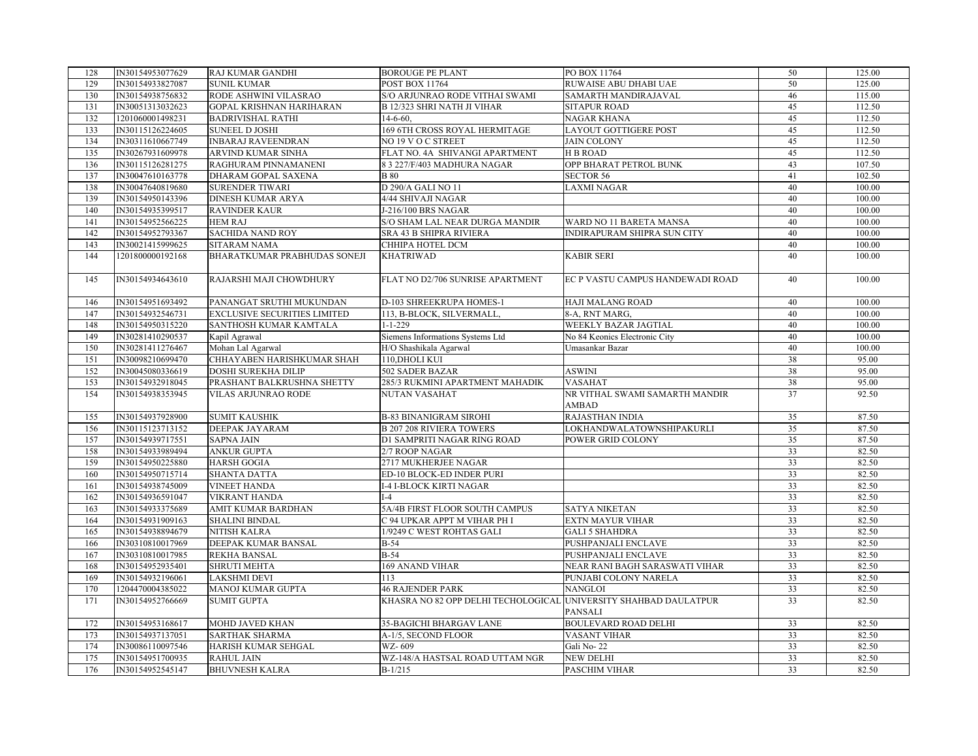| 128 | IN30154953077629 | RAJ KUMAR GANDHI                    | <b>BOROUGE PE PLANT</b>                                          | PO BOX 11764                     | 50              | 125.00 |
|-----|------------------|-------------------------------------|------------------------------------------------------------------|----------------------------------|-----------------|--------|
| 129 | IN30154933827087 | <b>SUNIL KUMAR</b>                  | <b>POST BOX 11764</b>                                            | RUWAISE ABU DHABI UAE            | 50              | 125.00 |
| 130 | IN30154938756832 | RODE ASHWINI VILASRAO               | S/O ARJUNRAO RODE VITHAI SWAMI                                   | SAMARTH MANDIRAJAVAL             | 46              | 115.00 |
| 131 | IN30051313032623 | <b>GOPAL KRISHNAN HARIHARAN</b>     | <b>B 12/323 SHRI NATH JI VIHAR</b>                               | <b>SITAPUR ROAD</b>              | 45              | 112.50 |
| 132 | 1201060001498231 | <b>BADRIVISHAL RATHI</b>            | $14-6-60.$                                                       | <b>NAGAR KHANA</b>               | 45              | 112.50 |
| 133 | IN30115126224605 | <b>SUNEEL D JOSHI</b>               | 169 6TH CROSS ROYAL HERMITAGE                                    | <b>LAYOUT GOTTIGERE POST</b>     | 45              | 112.50 |
| 134 | IN30311610667749 | <b>INBARAJ RAVEENDRAN</b>           | NO 19 V O C STREET                                               | <b>JAIN COLONY</b>               | 45              | 112.50 |
| 135 | IN30267931609978 | ARVIND KUMAR SINHA                  | FLAT NO. 4A SHIVANGI APARTMENT                                   | <b>HB ROAD</b>                   | 45              | 112.50 |
| 136 | IN30115126281275 | RAGHURAM PINNAMANENI                | 8 3 227/F/403 MADHURA NAGAR                                      | OPP BHARAT PETROL BUNK           | 43              | 107.50 |
| 137 | IN30047610163778 | DHARAM GOPAL SAXENA                 | <b>B</b> 80                                                      | <b>SECTOR 56</b>                 | 41              | 102.50 |
| 138 | IN30047640819680 | <b>SURENDER TIWARI</b>              | D 290/A GALI NO 11                                               | <b>LAXMI NAGAR</b>               | 40              | 100.00 |
| 139 | IN30154950143396 | <b>DINESH KUMAR ARYA</b>            | 4/44 SHIVAJI NAGAR                                               |                                  | 40              | 100.00 |
| 140 | IN30154935399517 | <b>RAVINDER KAUR</b>                | J-216/100 BRS NAGAR                                              |                                  | 40              | 100.00 |
| 141 | IN30154952566225 | <b>HEM RAJ</b>                      | S/O SHAM LAL NEAR DURGA MANDIR                                   | WARD NO 11 BARETA MANSA          | 40              | 100.00 |
| 142 | IN30154952793367 | <b>SACHIDA NAND ROY</b>             | SRA 43 B SHIPRA RIVIERA                                          | INDIRAPURAM SHIPRA SUN CITY      | 40              | 100.00 |
| 143 | IN30021415999625 | SITARAM NAMA                        | CHHIPA HOTEL DCM                                                 |                                  | 40              | 100.00 |
| 144 | 1201800000192168 | BHARATKUMAR PRABHUDAS SONEJI        | <b>KHATRIWAD</b>                                                 | <b>KABIR SERI</b>                | 40              | 100.00 |
|     |                  |                                     |                                                                  |                                  |                 |        |
| 145 | IN30154934643610 | RAJARSHI MAJI CHOWDHURY             | FLAT NO D2/706 SUNRISE APARTMENT                                 | EC P VASTU CAMPUS HANDEWADI ROAD | 40              | 100.00 |
|     |                  |                                     |                                                                  |                                  |                 |        |
| 146 | IN30154951693492 | PANANGAT SRUTHI MUKUNDAN            | D-103 SHREEKRUPA HOMES-1                                         | <b>HAJI MALANG ROAD</b>          | 40              | 100.00 |
| 147 | IN30154932546731 | <b>EXCLUSIVE SECURITIES LIMITED</b> | 113, B-BLOCK, SILVERMALL.                                        | 8-A, RNT MARG,                   | 40              | 100.00 |
| 148 | IN30154950315220 | SANTHOSH KUMAR KAMTALA              | $1 - 1 - 229$                                                    | WEEKLY BAZAR JAGTIAL             | 40              | 100.00 |
| 149 | IN30281410290537 | Kapil Agrawal                       | Siemens Informations Systems Ltd                                 | No 84 Keonics Electronic City    | 40              | 100.00 |
| 150 | IN30281411276467 | Mohan Lal Agarwal                   | H/O Shashikala Agarwal                                           | Umasankar Bazar                  | 40              | 100.00 |
| 151 | IN30098210699470 | CHHAYABEN HARISHKUMAR SHAH          | 110, DHOLI KUI                                                   |                                  | 38              | 95.00  |
| 152 | IN30045080336619 | DOSHI SUREKHA DILIP                 | 502 SADER BAZAR                                                  | <b>ASWINI</b>                    | 38              | 95.00  |
| 153 | IN30154932918045 | PRASHANT BALKRUSHNA SHETTY          | 285/3 RUKMINI APARTMENT MAHADIK                                  | <b>VASAHAT</b>                   | 38              | 95.00  |
| 154 | IN30154938353945 | VILAS ARJUNRAO RODE                 | NUTAN VASAHAT                                                    | NR VITHAL SWAMI SAMARTH MANDIR   | 37              | 92.50  |
|     |                  |                                     |                                                                  | <b>AMBAD</b>                     |                 |        |
| 155 | IN30154937928900 | <b>SUMIT KAUSHIK</b>                | <b>B-83 BINANIGRAM SIROHI</b>                                    | <b>RAJASTHAN INDIA</b>           | 35              | 87.50  |
| 156 | IN30115123713152 | DEEPAK JAYARAM                      | <b>B 207 208 RIVIERA TOWERS</b>                                  | LOKHANDWALATOWNSHIPAKURLI        | 35              | 87.50  |
| 157 | IN30154939717551 | <b>SAPNA JAIN</b>                   | D1 SAMPRITI NAGAR RING ROAD                                      | POWER GRID COLONY                | 35              | 87.50  |
| 158 | IN30154933989494 | <b>ANKUR GUPTA</b>                  | 2/7 ROOP NAGAR                                                   |                                  | 33              | 82.50  |
| 159 | IN30154950225880 | <b>HARSH GOGIA</b>                  | 2717 MUKHERJEE NAGAR                                             |                                  | 33              | 82.50  |
| 160 | IN30154950715714 | <b>SHANTA DATTA</b>                 | ED-10 BLOCK-ED INDER PURI                                        |                                  | 33              | 82.50  |
| 161 | IN30154938745009 | <b>VINEET HANDA</b>                 | <b>I-4 I-BLOCK KIRTI NAGAR</b>                                   |                                  | 33              | 82.50  |
| 162 | IN30154936591047 | <b>VIKRANT HANDA</b>                | $I-4$                                                            |                                  | 33              | 82.50  |
| 163 | IN30154933375689 | AMIT KUMAR BARDHAN                  | 5A/4B FIRST FLOOR SOUTH CAMPUS                                   | <b>SATYA NIKETAN</b>             | 33              | 82.50  |
| 164 | IN30154931909163 | <b>SHALINI BINDAL</b>               | C 94 UPKAR APPT M VIHAR PH I                                     | <b>EXTN MAYUR VIHAR</b>          | 33              | 82.50  |
| 165 | IN30154938894679 | NITISH KALRA                        | 1/9249 C WEST ROHTAS GALI                                        | <b>GALI 5 SHAHDRA</b>            | 33              | 82.50  |
| 166 | IN30310810017969 | DEEPAK KUMAR BANSAL                 | $B-54$                                                           | PUSHPANJALI ENCLAVE              | 33              | 82.50  |
| 167 | IN30310810017985 | <b>REKHA BANSAL</b>                 | $B-54$                                                           | PUSHPANJALI ENCLAVE              | 33              | 82.50  |
| 168 | IN30154952935401 | <b>SHRUTI MEHTA</b>                 | 169 ANAND VIHAR                                                  | NEAR RANI BAGH SARASWATI VIHAR   | 33              | 82.50  |
| 169 | IN30154932196061 | <b>LAKSHMI DEVI</b>                 | 113                                                              | PUNJABI COLONY NARELA            | 33              | 82.50  |
| 170 | 1204470004385022 | MANOJ KUMAR GUPTA                   | <b>46 RAJENDER PARK</b>                                          | <b>NANGLOI</b>                   | 33              | 82.50  |
| 171 | IN30154952766669 | <b>SUMIT GUPTA</b>                  | KHASRA NO 82 OPP DELHI TECHOLOGICAL UNIVERSITY SHAHBAD DAULATPUR |                                  | 33              | 82.50  |
|     |                  |                                     |                                                                  | PANSALI                          |                 |        |
| 172 | IN30154953168617 | MOHD JAVED KHAN                     | 35-BAGICHI BHARGAV LANE                                          | <b>BOULEVARD ROAD DELHI</b>      | 33              | 82.50  |
| 173 | IN30154937137051 | SARTHAK SHARMA                      | A-1/5, SECOND FLOOR                                              | <b>VASANT VIHAR</b>              | 33              | 82.50  |
| 174 | IN30086110097546 | HARISH KUMAR SEHGAL                 | WZ-609                                                           | Gali No-22                       | 33              | 82.50  |
| 175 | IN30154951700935 | <b>RAHUL JAIN</b>                   | WZ-148/A HASTSAL ROAD UTTAM NGR                                  | <b>NEW DELHI</b>                 | 33              | 82.50  |
| 176 | IN30154952545147 | <b>BHUVNESH KALRA</b>               | $B-1/215$                                                        | <b>PASCHIM VIHAR</b>             | $\overline{33}$ | 82.50  |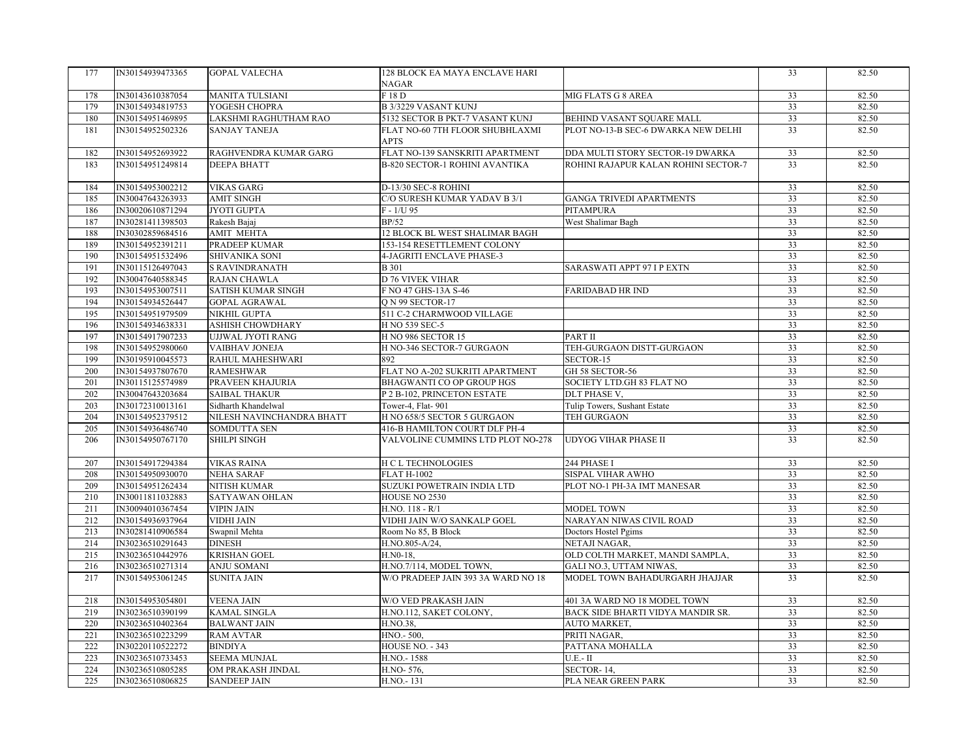| 177 | IN30154939473365 | <b>GOPAL VALECHA</b>      | 128 BLOCK EA MAYA ENCLAVE HARI     |                                      | 33 | 82.50 |
|-----|------------------|---------------------------|------------------------------------|--------------------------------------|----|-------|
|     |                  |                           | NAGAR                              |                                      |    |       |
| 178 | IN30143610387054 | <b>MANITA TULSIANI</b>    | F 18 D                             | MIG FLATS G 8 AREA                   | 33 | 82.50 |
| 179 | IN30154934819753 | YOGESH CHOPRA             | <b>B 3/3229 VASANT KUNJ</b>        |                                      | 33 | 82.50 |
| 180 | IN30154951469895 | LAKSHMI RAGHUTHAM RAO     | 5132 SECTOR B PKT-7 VASANT KUNJ    | BEHIND VASANT SQUARE MALL            | 33 | 82.50 |
| 181 | IN30154952502326 | <b>SANJAY TANEJA</b>      | FLAT NO-60 7TH FLOOR SHUBHLAXMI    | PLOT NO-13-B SEC-6 DWARKA NEW DELHI  | 33 | 82.50 |
|     |                  |                           | APTS                               |                                      |    |       |
| 182 | IN30154952693922 | RAGHVENDRA KUMAR GARG     | FLAT NO-139 SANSKRITI APARTMENT    | DDA MULTI STORY SECTOR-19 DWARKA     | 33 | 82.50 |
| 183 | IN30154951249814 | <b>DEEPA BHATT</b>        | B-820 SECTOR-1 ROHINI AVANTIKA     | ROHINI RAJAPUR KALAN ROHINI SECTOR-7 | 33 | 82.50 |
|     |                  |                           |                                    |                                      |    |       |
| 184 | IN30154953002212 | <b>VIKAS GARG</b>         | D-13/30 SEC-8 ROHINI               |                                      | 33 | 82.50 |
| 185 | IN30047643263933 | AMIT SINGH                | C/O SURESH KUMAR YADAV B 3/1       | GANGA TRIVEDI APARTMENTS             | 33 | 82.50 |
| 186 | IN30020610871294 | <b>JYOTI GUPTA</b>        | $F - 1/U$ 95                       | <b>PITAMPURA</b>                     | 33 | 82.50 |
| 187 | IN30281411398503 | Rakesh Bajaj              | BP/52                              | West Shalimar Bagh                   | 33 | 82.50 |
| 188 | IN30302859684516 | AMIT MEHTA                | 12 BLOCK BL WEST SHALIMAR BAGH     |                                      | 33 | 82.50 |
| 189 | IN30154952391211 | PRADEEP KUMAR             | 153-154 RESETTLEMENT COLONY        |                                      | 33 | 82.50 |
| 190 | IN30154951532496 | SHIVANIKA SONI            | 4-JAGRITI ENCLAVE PHASE-3          |                                      | 33 | 82.50 |
| 191 | IN30115126497043 | <b>S RAVINDRANATH</b>     | <b>B</b> 301                       | SARASWATI APPT 97 I P EXTN           | 33 | 82.50 |
| 192 | IN30047640588345 | <b>RAJAN CHAWLA</b>       | D 76 VIVEK VIHAR                   |                                      | 33 | 82.50 |
| 193 | IN30154953007511 | <b>SATISH KUMAR SINGH</b> | F NO 47 GHS-13A S-46               | <b>FARIDABAD HR IND</b>              | 33 | 82.50 |
| 194 | IN30154934526447 | <b>GOPAL AGRAWAL</b>      | O N 99 SECTOR-17                   |                                      | 33 | 82.50 |
| 195 | IN30154951979509 | NIKHIL GUPTA              | 511 C-2 CHARMWOOD VILLAGE          |                                      | 33 | 82.50 |
| 196 | IN30154934638331 | ASHISH CHOWDHARY          | H NO 539 SEC-5                     |                                      | 33 | 82.50 |
| 197 | IN30154917907233 | UJJWAL JYOTI RANG         | <b>H NO 986 SECTOR 15</b>          | PART II                              | 33 | 82.50 |
| 198 | IN30154952980060 | VAIBHAV JONEJA            | H NO-346 SECTOR-7 GURGAON          | TEH-GURGAON DISTT-GURGAON            | 33 | 82.50 |
| 199 | IN30195910045573 | RAHUL MAHESHWARI          | 892                                | SECTOR-15                            | 33 | 82.50 |
| 200 | IN30154937807670 | <b>RAMESHWAR</b>          | FLAT NO A-202 SUKRITI APARTMENT    | GH 58 SECTOR-56                      | 33 | 82.50 |
| 201 | IN30115125574989 | PRAVEEN KHAJURIA          | BHAGWANTI CO OP GROUP HGS          | SOCIETY LTD.GH 83 FLAT NO            | 33 | 82.50 |
| 202 | IN30047643203684 | <b>SAIBAL THAKUR</b>      | P 2 B-102, PRINCETON ESTATE        | DLT PHASE V,                         | 33 | 82.50 |
| 203 | IN30172310013161 | Sidharth Khandelwal       | Tower-4, Flat-901                  | Tulip Towers, Sushant Estate         | 33 | 82.50 |
| 204 | IN30154952379512 | NILESH NAVINCHANDRA BHATT | H NO 658/5 SECTOR 5 GURGAON        | TEH GURGAON                          | 33 | 82.50 |
| 205 | IN30154936486740 | <b>SOMDUTTA SEN</b>       | 416-B HAMILTON COURT DLF PH-4      |                                      | 33 | 82.50 |
| 206 | IN30154950767170 | SHILPI SINGH              | VALVOLINE CUMMINS LTD PLOT NO-278  | <b>UDYOG VIHAR PHASE II</b>          | 33 | 82.50 |
|     |                  |                           |                                    |                                      |    |       |
| 207 | IN30154917294384 | <b>VIKAS RAINA</b>        | <b>H C L TECHNOLOGIES</b>          | 244 PHASE I                          | 33 | 82.50 |
| 208 | IN30154950930070 | NEHA SARAF                | <b>FLAT H-1002</b>                 | SISPAL VIHAR AWHO                    | 33 | 82.50 |
| 209 | IN30154951262434 | <b>NITISH KUMAR</b>       | SUZUKI POWETRAIN INDIA LTD         | PLOT NO-1 PH-3A IMT MANESAR          | 33 | 82.50 |
| 210 | IN30011811032883 | SATYAWAN OHLAN            | HOUSE NO 2530                      |                                      | 33 | 82.50 |
| 211 | IN30094010367454 | <b>VIPIN JAIN</b>         | H.NO. 118 - R/1                    | MODEL TOWN                           | 33 | 82.50 |
| 212 | IN30154936937964 | <b>VIDHI JAIN</b>         | VIDHI JAIN W/O SANKALP GOEL        | NARAYAN NIWAS CIVIL ROAD             | 33 | 82.50 |
| 213 | IN30281410906584 | Swapnil Mehta             | Room No 85, B Block                | Doctors Hostel Pgims                 | 33 | 82.50 |
| 214 | IN30236510291643 | <b>DINESH</b>             | H.NO.805-A/24,                     | NETAJI NAGAR,                        | 33 | 82.50 |
| 215 | IN30236510442976 | <b>KRISHAN GOEL</b>       | H.N0-18.                           | OLD COLTH MARKET, MANDI SAMPLA,      | 33 | 82.50 |
| 216 | IN30236510271314 | ANJU SOMANI               | H.NO.7/114, MODEL TOWN,            | GALI NO.3, UTTAM NIWAS,              | 33 | 82.50 |
| 217 | IN30154953061245 | <b>SUNITA JAIN</b>        | W/O PRADEEP JAIN 393 3A WARD NO 18 | MODEL TOWN BAHADURGARH JHAJJAR       | 33 | 82.50 |
|     |                  |                           |                                    |                                      |    |       |
| 218 | IN30154953054801 | <b>VEENA JAIN</b>         | <b>W/O VED PRAKASH JAIN</b>        | 401 3A WARD NO 18 MODEL TOWN         | 33 | 82.50 |
| 219 | IN30236510390199 | <b>KAMAL SINGLA</b>       | H.NO.112, SAKET COLONY,            | BACK SIDE BHARTI VIDYA MANDIR SR.    | 33 | 82.50 |
| 220 | IN30236510402364 | <b>BALWANT JAIN</b>       | H.NO.38,                           | AUTO MARKET,                         | 33 | 82.50 |
| 221 | IN30236510223299 | <b>RAM AVTAR</b>          | HNO.-500,                          | PRITI NAGAR,                         | 33 | 82.50 |
| 222 | IN30220110522272 | <b>BINDIYA</b>            | <b>HOUSE NO. - 343</b>             | PATTANA MOHALLA                      | 33 | 82.50 |
| 223 | IN30236510733453 | <b>SEEMA MUNJAL</b>       | H.NO.-1588                         | $U.E.-II$                            | 33 | 82.50 |
| 224 | IN30236510805285 | OM PRAKASH JINDAL         | H.NO-576,                          | SECTOR-14,                           | 33 | 82.50 |
| 225 | IN30236510806825 | <b>SANDEEP JAIN</b>       | H.NO.-131                          | PLA NEAR GREEN PARK                  | 33 | 82.50 |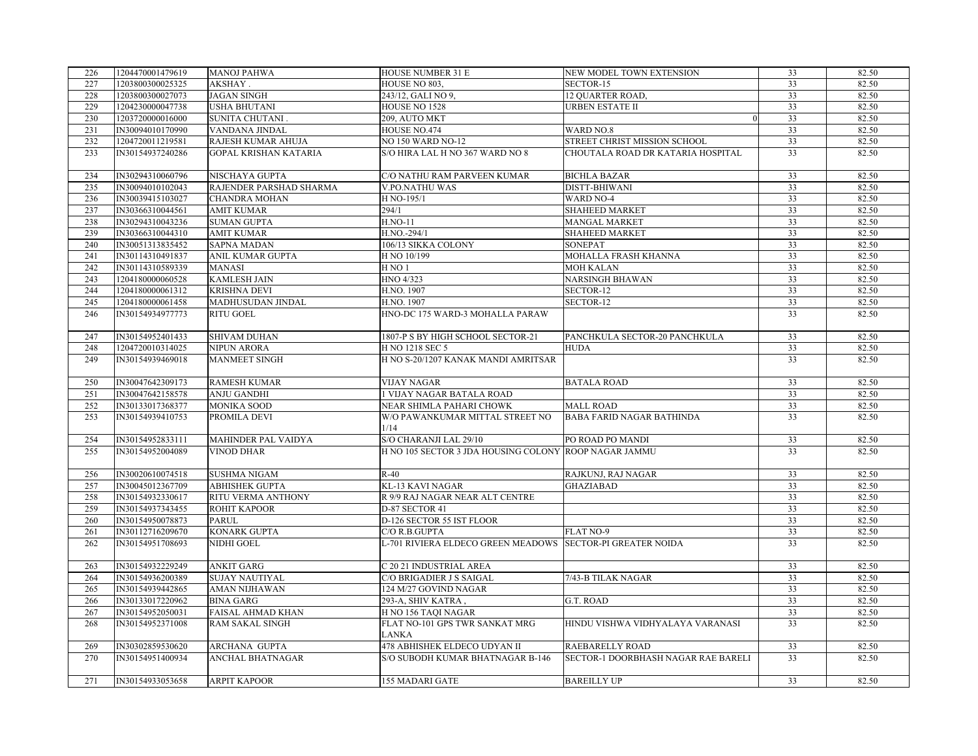| 226        | 1204470001479619 | <b>MANOJ PAHWA</b>                       | HOUSE NUMBER 31 E                                                | NEW MODEL TOWN EXTENSION                                      | 33       | 82.50          |
|------------|------------------|------------------------------------------|------------------------------------------------------------------|---------------------------------------------------------------|----------|----------------|
| 227        | 1203800300025325 | AKSHAY.                                  | HOUSE NO 803,                                                    | SECTOR-15                                                     | 33       | 82.50          |
| 228        | 1203800300027073 | <b>JAGAN SINGH</b>                       | 243/12, GALI NO 9,                                               | <b>12 QUARTER ROAD.</b>                                       | 33       | 82.50          |
| 229        | 1204230000047738 | <b>USHA BHUTANI</b>                      | HOUSE NO 1528                                                    | <b>URBEN ESTATE II</b>                                        | 33       | 82.50          |
| 230        | 1203720000016000 | SUNITA CHUTANI.                          | 209, AUTO MKT                                                    | $\Omega$                                                      | 33       | 82.50          |
| 231        | IN30094010170990 | VANDANA JINDAL                           | HOUSE NO.474                                                     | <b>WARD NO.8</b>                                              | 33       | 82.50          |
| 232        | 1204720011219581 | RAJESH KUMAR AHUJA                       | <b>NO 150 WARD NO-12</b>                                         | STREET CHRIST MISSION SCHOOL                                  | 33       | 82.50          |
| 233        | IN30154937240286 | <b>GOPAL KRISHAN KATARIA</b>             | S/O HIRA LAL H NO 367 WARD NO 8                                  | CHOUTALA ROAD DR KATARIA HOSPITAL                             | 33       | 82.50          |
|            |                  |                                          |                                                                  |                                                               |          |                |
| 234        | IN30294310060796 | NISCHAYA GUPTA                           | C/O NATHU RAM PARVEEN KUMAR                                      | <b>BICHLA BAZAR</b>                                           | 33       | 82.50          |
| 235        | IN30094010102043 | RAJENDER PARSHAD SHARMA                  | V.PO.NATHU WAS                                                   | DISTT-BHIWANI                                                 | 33       | 82.50          |
| 236        | IN30039415103027 | <b>CHANDRA MOHAN</b>                     | H NO-195/1                                                       | <b>WARD NO-4</b>                                              | 33       | 82.50          |
| 237        | IN30366310044561 | <b>AMIT KUMAR</b>                        | 294/1                                                            | <b>SHAHEED MARKET</b>                                         | 33       | 82.50          |
| 238        | IN30294310043236 | <b>SUMAN GUPTA</b>                       | <b>H.NO-11</b>                                                   | <b>MANGAL MARKET</b>                                          | 33       | 82.50          |
| 239        | IN30366310044310 | <b>AMIT KUMAR</b>                        | H.NO.-294/1                                                      | <b>SHAHEED MARKET</b>                                         | 33       | 82.50          |
| 240        | IN30051313835452 | <b>SAPNA MADAN</b>                       | 106/13 SIKKA COLONY                                              | <b>SONEPAT</b>                                                | 33       | 82.50          |
| 241        | IN30114310491837 | ANIL KUMAR GUPTA                         | H NO 10/199                                                      | MOHALLA FRASH KHANNA                                          | 33       | 82.50          |
| 242        | IN30114310589339 | <b>MANASI</b>                            | H <sub>NO1</sub>                                                 | MOH KALAN                                                     | 33       | 82.50          |
| 243        | 1204180000060528 | <b>KAMLESH JAIN</b>                      | HNO 4/323                                                        | <b>NARSINGH BHAWAN</b>                                        | 33       | 82.50          |
| 244        | 1204180000061312 | KRISHNA DEVI                             | H.NO. 1907                                                       | SECTOR-12                                                     | 33       | 82.50          |
| 245        | 1204180000061458 | MADHUSUDAN JINDAL                        | H.NO. 1907                                                       | SECTOR-12                                                     | 33       | 82.50          |
| 246        | IN30154934977773 | <b>RITU GOEL</b>                         | HNO-DC 175 WARD-3 MOHALLA PARAW                                  |                                                               | 33       | 82.50          |
|            |                  |                                          |                                                                  |                                                               |          |                |
| 247        | IN30154952401433 | SHIVAM DUHAN                             | 1807-P S BY HIGH SCHOOL SECTOR-21                                | PANCHKULA SECTOR-20 PANCHKULA                                 | 33       | 82.50          |
| 248        | 1204720010314025 | NIPUN ARORA                              | H NO 1218 SEC 5                                                  | <b>HUDA</b>                                                   | 33       | 82.50          |
| 249        | IN30154939469018 | <b>MANMEET SINGH</b>                     | H NO S-20/1207 KANAK MANDI AMRITSAR                              |                                                               | 33       | 82.50          |
|            |                  |                                          |                                                                  |                                                               |          |                |
| 250        | IN30047642309173 | <b>RAMESH KUMAR</b>                      | <b>VIJAY NAGAR</b>                                               | <b>BATALA ROAD</b>                                            | 33       | 82.50          |
| 251        | IN30047642158578 | ANJU GANDHI                              | 1 VIJAY NAGAR BATALA ROAD                                        |                                                               | 33       | 82.50          |
| 252        | IN30133017368377 | MONIKA SOOD                              | NEAR SHIMLA PAHARI CHOWK                                         | <b>MALL ROAD</b>                                              | 33       | 82.50          |
| 253        | IN30154939410753 | PROMILA DEVI                             | W/O PAWANKUMAR MITTAL STREET NO                                  | <b>BABA FARID NAGAR BATHINDA</b>                              | 33       | 82.50          |
|            |                  |                                          | 1/14                                                             |                                                               |          |                |
| 254        | IN30154952833111 | MAHINDER PAL VAIDYA                      | S/O CHARANJI LAL 29/10                                           | PO ROAD PO MANDI                                              | 33       | 82.50          |
| 255        | IN30154952004089 | <b>VINOD DHAR</b>                        | H NO 105 SECTOR 3 JDA HOUSING COLONY ROOP NAGAR JAMMU            |                                                               | 33       | 82.50          |
|            |                  |                                          |                                                                  |                                                               |          |                |
| 256        | IN30020610074518 | <b>SUSHMA NIGAM</b>                      | $R-40$                                                           | RAJKUNJ, RAJ NAGAR                                            | 33       | 82.50          |
| 257        | IN30045012367709 | <b>ABHISHEK GUPTA</b>                    | KL-13 KAVI NAGAR                                                 | <b>GHAZIABAD</b>                                              | 33       | 82.50          |
| 258        | IN30154932330617 | RITU VERMA ANTHONY                       | R 9/9 RAJ NAGAR NEAR ALT CENTRE                                  |                                                               | 33       | 82.50          |
| 259        | IN30154937343455 | <b>ROHIT KAPOOR</b>                      | D-87 SECTOR 41                                                   |                                                               | 33       | 82.50          |
| 260        | IN30154950078873 | <b>PARUL</b>                             | D-126 SECTOR 55 IST FLOOR                                        |                                                               | 33       | 82.50          |
| 261        | IN30112716209670 | KONARK GUPTA                             | C/O R.B.GUPTA                                                    | <b>FLAT NO-9</b>                                              | 33       | 82.50          |
| 262        | IN30154951708693 | NIDHI GOEL                               | L-701 RIVIERA ELDECO GREEN MEADOWS SECTOR-PI GREATER NOIDA       |                                                               | 33       | 82.50          |
|            |                  |                                          |                                                                  |                                                               |          |                |
| 263        | IN30154932229249 | <b>ANKIT GARG</b>                        | C 20 21 INDUSTRIAL AREA                                          |                                                               | 33       | 82.50          |
| 264        | IN30154936200389 | <b>SUJAY NAUTIYAL</b>                    | C/O BRIGADIER J S SAIGAL                                         | 7/43-B TILAK NAGAR                                            | 33       | 82.50          |
| 265        | IN30154939442865 | <b>AMAN NIJHAWAN</b>                     | 124 M/27 GOVIND NAGAR                                            |                                                               | 33       | 82.50          |
| 266        | IN30133017220962 | <b>BINA GARG</b>                         | 293-A, SHIV KATRA,                                               | G.T. ROAD                                                     | 33       | 82.50          |
| 267        | IN30154952050031 | FAISAL AHMAD KHAN                        | H NO 156 TAQI NAGAR                                              |                                                               | 33       | 82.50          |
|            |                  |                                          |                                                                  | HINDU VISHWA VIDHYALAYA VARANASI                              | 33       |                |
| 268        | IN30154952371008 | <b>RAM SAKAL SINGH</b>                   | FLAT NO-101 GPS TWR SANKAT MRG<br><b>LANKA</b>                   |                                                               |          | 82.50          |
|            |                  |                                          |                                                                  |                                                               |          |                |
| 269<br>270 | IN30302859530620 | ARCHANA GUPTA<br><b>ANCHAL BHATNAGAR</b> | 478 ABHISHEK ELDECO UDYAN II<br>S/O SUBODH KUMAR BHATNAGAR B-146 | <b>RAEBARELLY ROAD</b><br>SECTOR-1 DOORBHASH NAGAR RAE BARELI | 33<br>33 | 82.50<br>82.50 |
|            | IN30154951400934 |                                          |                                                                  |                                                               |          |                |
|            |                  |                                          |                                                                  |                                                               |          |                |
| 271        | IN30154933053658 | <b>ARPIT KAPOOR</b>                      | 155 MADARI GATE                                                  | <b>BAREILLY UP</b>                                            | 33       | 82.50          |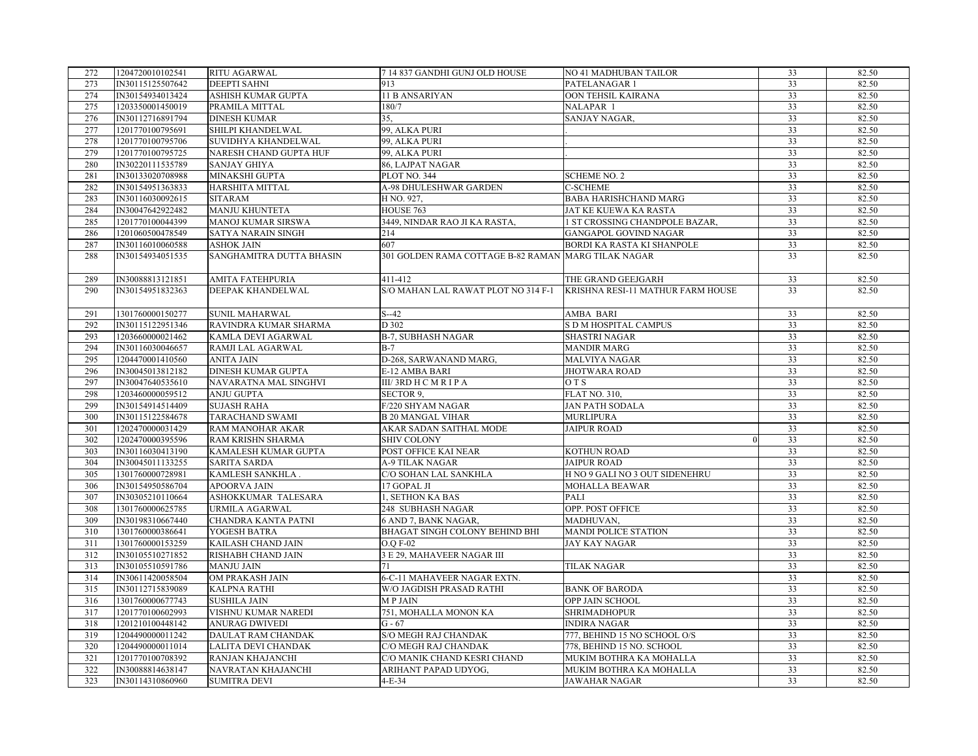| 272 | 1204720010102541 | RITU AGARWAL              | 7 14 837 GANDHI GUNJ OLD HOUSE                      | NO 41 MADHUBAN TAILOR             | 33 | 82.50 |
|-----|------------------|---------------------------|-----------------------------------------------------|-----------------------------------|----|-------|
| 273 | IN30115125507642 | <b>DEEPTI SAHNI</b>       | 913                                                 | PATELANAGAR 1                     | 33 | 82.50 |
| 274 | IN30154934013424 | ASHISH KUMAR GUPTA        | 11 B ANSARIYAN                                      | OON TEHSIL KAIRANA                | 33 | 82.50 |
| 275 | 1203350001450019 | PRAMILA MITTAL            | 180/7                                               | NALAPAR 1                         | 33 | 82.50 |
| 276 | IN30112716891794 | <b>DINESH KUMAR</b>       | 35.                                                 | SANJAY NAGAR,                     | 33 | 82.50 |
| 277 | 1201770100795691 | SHILPI KHANDELWAL         | 99, ALKA PURI                                       |                                   | 33 | 82.50 |
| 278 | 1201770100795706 | SUVIDHYA KHANDELWAL       | 99, ALKA PURI                                       |                                   | 33 | 82.50 |
| 279 | 1201770100795725 | NARESH CHAND GUPTA HUF    | 99, ALKA PURI                                       |                                   | 33 | 82.50 |
| 280 | IN30220111535789 | <b>SANJAY GHIYA</b>       | 86, LAJPAT NAGAR                                    |                                   | 33 | 82.50 |
| 281 | IN30133020708988 | MINAKSHI GUPTA            | PLOT NO. 344                                        | <b>SCHEME NO. 2</b>               | 33 | 82.50 |
| 282 | IN30154951363833 | HARSHITA MITTAL           | <b>A-98 DHULESHWAR GARDEN</b>                       | <b>C-SCHEME</b>                   | 33 | 82.50 |
| 283 | IN30116030092615 | <b>SITARAM</b>            | H NO. 927,                                          | <b>BABA HARISHCHAND MARG</b>      | 33 | 82.50 |
| 284 | IN30047642922482 | <b>MANJU KHUNTETA</b>     | HOUSE 763                                           | JAT KE KUEWA KA RASTA             | 33 | 82.50 |
| 285 | 1201770100044399 | <b>MANOJ KUMAR SIRSWA</b> | 3449, NINDAR RAO JI KA RASTA,                       | 1 ST CROSSING CHANDPOLE BAZAR,    | 33 | 82.50 |
| 286 | 1201060500478549 | SATYA NARAIN SINGH        | 214                                                 | GANGAPOL GOVIND NAGAR             | 33 | 82.50 |
| 287 | IN30116010060588 | <b>ASHOK JAIN</b>         | 607                                                 | BORDI KA RASTA KI SHANPOLE        | 33 | 82.50 |
| 288 | IN30154934051535 | SANGHAMITRA DUTTA BHASIN  | 301 GOLDEN RAMA COTTAGE B-82 RAMAN MARG TILAK NAGAR |                                   | 33 | 82.50 |
|     |                  |                           |                                                     |                                   |    |       |
| 289 | IN30088813121851 | <b>AMITA FATEHPURIA</b>   | 411-412                                             | THE GRAND GEEJGARH                | 33 | 82.50 |
| 290 | IN30154951832363 | DEEPAK KHANDELWAL         | S/O MAHAN LAL RAWAT PLOT NO 314 F-1                 | KRISHNA RESI-11 MATHUR FARM HOUSE | 33 | 82.50 |
|     |                  |                           |                                                     |                                   |    |       |
| 291 | 1301760000150277 | <b>SUNIL MAHARWAL</b>     | $S-42$                                              | AMBA BARI                         | 33 | 82.50 |
| 292 | IN30115122951346 | RAVINDRA KUMAR SHARMA     | D 302                                               | S D M HOSPITAL CAMPUS             | 33 | 82.50 |
| 293 | 1203660000021462 | KAMLA DEVI AGARWAL        | <b>B-7, SUBHASH NAGAR</b>                           | <b>SHASTRI NAGAR</b>              | 33 | 82.50 |
| 294 | IN30116030046657 | RAMJI LAL AGARWAL         | $B-7$                                               | <b>MANDIR MARG</b>                | 33 | 82.50 |
| 295 | 1204470001410560 | <b>ANITA JAIN</b>         | D-268, SARWANAND MARG.                              | MALVIYA NAGAR                     | 33 | 82.50 |
| 296 | IN30045013812182 | <b>DINESH KUMAR GUPTA</b> | E-12 AMBA BARI                                      | <b>JHOTWARA ROAD</b>              | 33 | 82.50 |
| 297 | IN30047640535610 | NAVARATNA MAL SINGHVI     | III/3RD H C M R I P A                               | O T S                             | 33 | 82.50 |
| 298 | 1203460000059512 | ANJU GUPTA                | SECTOR 9,                                           | <b>FLAT NO. 310,</b>              | 33 | 82.50 |
| 299 | IN30154914514409 | <b>SUJASH RAHA</b>        | F/220 SHYAM NAGAR                                   | JAN PATH SODALA                   | 33 | 82.50 |
| 300 | IN30115122584678 | TARACHAND SWAMI           | <b>B 20 MANGAL VIHAR</b>                            | <b>MURLIPURA</b>                  | 33 | 82.50 |
| 301 | 1202470000031429 | RAM MANOHAR AKAR          | AKAR SADAN SAITHAL MODE                             | <b>JAIPUR ROAD</b>                | 33 | 82.50 |
| 302 | 1202470000395596 | RAM KRISHN SHARMA         | <b>SHIV COLONY</b>                                  |                                   | 33 | 82.50 |
| 303 | IN30116030413190 | KAMALESH KUMAR GUPTA      | POST OFFICE KAI NEAR                                | KOTHUN ROAD                       | 33 | 82.50 |
| 304 | IN30045011133255 | <b>SARITA SARDA</b>       | A-9 TILAK NAGAR                                     | <b>JAIPUR ROAD</b>                | 33 | 82.50 |
| 305 | 1301760000728981 | KAMLESH SANKHLA.          | C/O SOHAN LAL SANKHLA                               | H NO 9 GALI NO 3 OUT SIDENEHRU    | 33 | 82.50 |
| 306 | IN30154950586704 | APOORVA JAIN              | 17 GOPAL JI                                         | MOHALLA BEAWAR                    | 33 | 82.50 |
| 307 | IN30305210110664 | ASHOKKUMAR TALESARA       | 1, SETHON KA BAS                                    | PALI                              | 33 | 82.50 |
| 308 | 1301760000625785 | URMILA AGARWAL            | 248 SUBHASH NAGAR                                   | OPP. POST OFFICE                  | 33 | 82.50 |
| 309 | IN30198310667440 | CHANDRA KANTA PATNI       | 6 AND 7, BANK NAGAR,                                | MADHUVAN,                         | 33 | 82.50 |
| 310 | 1301760000386641 | YOGESH BATRA              | BHAGAT SINGH COLONY BEHIND BHI                      | MANDI POLICE STATION              | 33 | 82.50 |
| 311 | 1301760000153259 | KAILASH CHAND JAIN        | O.O F-02                                            | <b>JAY KAY NAGAR</b>              | 33 | 82.50 |
| 312 | IN30105510271852 | RISHABH CHAND JAIN        | 3 E 29, MAHAVEER NAGAR III                          |                                   | 33 | 82.50 |
| 313 | IN30105510591786 | <b>MANJU JAIN</b>         | 71                                                  | TILAK NAGAR                       | 33 | 82.50 |
| 314 | IN30611420058504 | OM PRAKASH JAIN           | 6-C-11 MAHAVEER NAGAR EXTN.                         |                                   | 33 | 82.50 |
| 315 | IN30112715839089 | <b>KALPNA RATHI</b>       | W/O JAGDISH PRASAD RATHI                            | <b>BANK OF BARODA</b>             | 33 | 82.50 |
| 316 | 1301760000677743 | <b>SUSHILA JAIN</b>       | <b>MPJAIN</b>                                       | OPP JAIN SCHOOL                   | 33 | 82.50 |
| 317 | 1201770100602993 | VISHNU KUMAR NAREDI       | 751, MOHALLA MONON KA                               | SHRIMADHOPUR                      | 33 | 82.50 |
| 318 | 1201210100448142 | <b>ANURAG DWIVEDI</b>     | $G - 67$                                            | <b>INDIRA NAGAR</b>               | 33 | 82.50 |
| 319 | 1204490000011242 | DAULAT RAM CHANDAK        | S/O MEGH RAJ CHANDAK                                | 777, BEHIND 15 NO SCHOOL O/S      | 33 | 82.50 |
| 320 | 1204490000011014 | LALITA DEVI CHANDAK       | C/O MEGH RAJ CHANDAK                                | 778, BEHIND 15 NO. SCHOOL         | 33 | 82.50 |
| 321 | 1201770100708392 | RANJAN KHAJANCHI          | C/O MANIK CHAND KESRI CHAND                         | MUKIM BOTHRA KA MOHALLA           | 33 | 82.50 |
| 322 | IN30088814638147 | NAVRATAN KHAJANCHI        | ARIHANT PAPAD UDYOG,                                | MUKIM BOTHRA KA MOHALLA           | 33 | 82.50 |
| 323 | IN30114310860960 | <b>SUMITRA DEVI</b>       | $4-E-34$                                            | <b>JAWAHAR NAGAR</b>              | 33 | 82.50 |
|     |                  |                           |                                                     |                                   |    |       |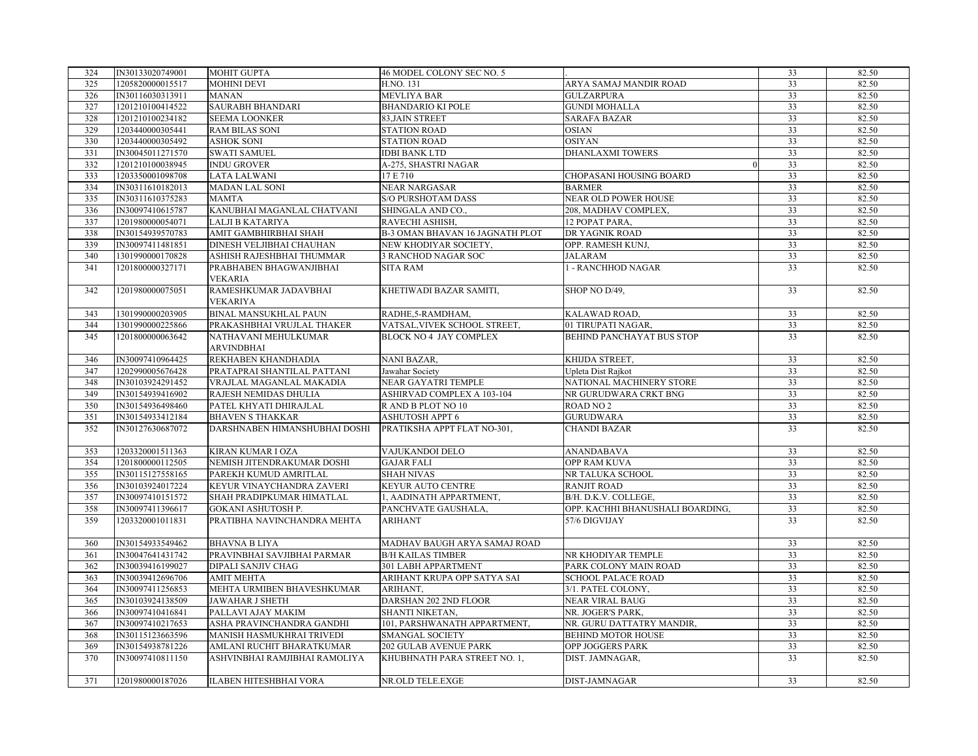| 324 | IN30133020749001 | <b>MOHIT GUPTA</b>            | 46 MODEL COLONY SEC NO. 5         |                                  | 33              | 82.50 |
|-----|------------------|-------------------------------|-----------------------------------|----------------------------------|-----------------|-------|
| 325 | 1205820000015517 | MOHINI DEVI                   | H.NO. 131                         | ARYA SAMAJ MANDIR ROAD           | 33              | 82.50 |
| 326 | IN30116030313911 | <b>MANAN</b>                  | <b>MEVLIYA BAR</b>                | <b>GULZARPURA</b>                | 33              | 82.50 |
| 327 | 1201210100414522 | <b>SAURABH BHANDARI</b>       | <b>BHANDARIO KI POLE</b>          | <b>GUNDI MOHALLA</b>             | 33              | 82.50 |
| 328 | 1201210100234182 | <b>SEEMA LOONKER</b>          | 83, JAIN STREET                   | <b>SARAFA BAZAR</b>              | 33              | 82.50 |
| 329 | 1203440000305441 | <b>RAM BILAS SONI</b>         | <b>STATION ROAD</b>               | <b>OSIAN</b>                     | 33              | 82.50 |
| 330 | 1203440000305492 | <b>ASHOK SONI</b>             | <b>STATION ROAD</b>               | <b>OSIYAN</b>                    | 33              | 82.50 |
| 331 | IN30045011271570 | <b>SWATI SAMUEL</b>           | <b>IDBI BANK LTD</b>              | <b>DHANLAXMI TOWERS</b>          | 33              | 82.50 |
| 332 | 1201210100038945 | <b>INDU GROVER</b>            | A-275, SHASTRI NAGAR              |                                  | 33              | 82.50 |
| 333 | 1203350001098708 | LATA LALWANI                  | 17 E 710                          | CHOPASANI HOUSING BOARD          | 33              | 82.50 |
| 334 | IN30311610182013 | MADAN LAL SONI                | <b>NEAR NARGASAR</b>              | <b>BARMER</b>                    | 33              | 82.50 |
| 335 | IN30311610375283 | <b>MAMTA</b>                  | <b>S/O PURSHOTAM DASS</b>         | NEAR OLD POWER HOUSE             | 33              | 82.50 |
| 336 | IN30097410615787 | KANUBHAI MAGANLAL CHATVANI    | SHINGALA AND CO.,                 | 208, MADHAV COMPLEX,             | 33              | 82.50 |
| 337 | 1201980000054071 | LALJI B KATARIYA              | RAVECHI ASHISH,                   | 12 POPAT PARA,                   | 33              | 82.50 |
| 338 | IN30154939570783 | AMIT GAMBHIRBHAI SHAH         | B-3 OMAN BHAVAN 16 JAGNATH PLOT   | DR YAGNIK ROAD                   | 33              | 82.50 |
| 339 | IN30097411481851 | DINESH VELJIBHAI CHAUHAN      | NEW KHODIYAR SOCIETY,             | OPP. RAMESH KUNJ.                | 33              | 82.50 |
| 340 | 1301990000170828 | ASHISH RAJESHBHAI THUMMAR     | 3 RANCHOD NAGAR SOC               | <b>JALARAM</b>                   | 33              | 82.50 |
| 341 | 1201800000327171 | PRABHABEN BHAGWANJIBHAI       | <b>SITA RAM</b>                   | 1 - RANCHHOD NAGAR               | 33              | 82.50 |
|     |                  | VEKARIA                       |                                   |                                  |                 |       |
| 342 | 1201980000075051 | RAMESHKUMAR JADAVBHAI         | KHETIWADI BAZAR SAMITI,           | SHOP NO D/49,                    | 33              | 82.50 |
|     |                  | VEKARIYA                      |                                   |                                  |                 |       |
| 343 | 1301990000203905 | BINAL MANSUKHLAL PAUN         | RADHE, 5-RAMDHAM,                 | KALAWAD ROAD,                    | 33              | 82.50 |
| 344 | 1301990000225866 | PRAKASHBHAI VRUJLAL THAKER    | VATSAL, VIVEK SCHOOL STREET,      | 01 TIRUPATI NAGAR,               | 33              | 82.50 |
| 345 | 1201800000063642 | NATHAVANI MEHULKUMAR          | BLOCK NO 4 JAY COMPLEX            | BEHIND PANCHAYAT BUS STOP        | 33              | 82.50 |
|     |                  | ARVINDBHAI                    |                                   |                                  |                 |       |
| 346 | IN30097410964425 | REKHABEN KHANDHADIA           | <b>NANI BAZAR,</b>                | KHIJDA STREET,                   | 33              | 82.50 |
| 347 | 1202990005676428 | PRATAPRAI SHANTILAL PATTANI   | Jawahar Society                   | Upleta Dist Rajkot               | $\overline{33}$ | 82.50 |
| 348 | IN30103924291452 | VRAJLAL MAGANLAL MAKADIA      | NEAR GAYATRI TEMPLE               | NATIONAL MACHINERY STORE         | 33              | 82.50 |
| 349 | IN30154939416902 | RAJESH NEMIDAS DHULIA         | <b>ASHIRVAD COMPLEX A 103-104</b> | NR GURUDWARA CRKT BNG            | 33              | 82.50 |
| 350 | IN30154936498460 | PATEL KHYATI DHIRAJLAL        | R AND B PLOT NO 10                | <b>ROAD NO 2</b>                 | 33              | 82.50 |
| 351 | IN30154933412184 | <b>BHAVEN S THAKKAR</b>       | <b>ASHUTOSH APPT 6</b>            | <b>GURUDWARA</b>                 | 33              | 82.50 |
| 352 | IN30127630687072 | DARSHNABEN HIMANSHUBHAI DOSHI | PRATIKSHA APPT FLAT NO-301,       | <b>CHANDI BAZAR</b>              | 33              | 82.50 |
| 353 | 1203320001511363 | KIRAN KUMAR I OZA             | VAJUKANDOI DELO                   | <b>ANANDABAVA</b>                | 33              | 82.50 |
| 354 | 1201800000112505 | NEMISH JITENDRAKUMAR DOSHI    | <b>GAJAR FALI</b>                 | OPP RAM KUVA                     | 33              | 82.50 |
| 355 | IN30115127558165 | PAREKH KUMUD AMRITLAL         | <b>SHAH NIVAS</b>                 | NR TALUKA SCHOOL                 | $\overline{33}$ | 82.50 |
| 356 | IN30103924017224 | KEYUR VINAYCHANDRA ZAVERI     | KEYUR AUTO CENTRE                 | <b>RANJIT ROAD</b>               | 33              | 82.50 |
| 357 | IN30097410151572 | SHAH PRADIPKUMAR HIMATLAL     | I, AADINATH APPARTMENT,           | B/H. D.K.V. COLLEGE,             | 33              | 82.50 |
| 358 | IN30097411396617 | <b>GOKANI ASHUTOSH P.</b>     | PANCHVATE GAUSHALA,               | OPP. KACHHI BHANUSHALI BOARDING, | 33              | 82.50 |
| 359 | 1203320001011831 | PRATIBHA NAVINCHANDRA MEHTA   | <b>ARIHANT</b>                    | 57/6 DIGVIJAY                    | 33              | 82.50 |
|     |                  |                               |                                   |                                  |                 |       |
| 360 | IN30154933549462 | <b>BHAVNA B LIYA</b>          | MADHAV BAUGH ARYA SAMAJ ROAD      |                                  | 33              | 82.50 |
| 361 | IN30047641431742 | PRAVINBHAI SAVJIBHAI PARMAR   | <b>B/H KAILAS TIMBER</b>          | NR KHODIYAR TEMPLE               | 33              | 82.50 |
| 362 | IN30039416199027 | DIPALI SANJIV CHAG            | 301 LABH APPARTMENT               | PARK COLONY MAIN ROAD            | 33              | 82.50 |
| 363 | IN30039412696706 | <b>AMIT MEHTA</b>             | ARIHANT KRUPA OPP SATYA SAI       | <b>SCHOOL PALACE ROAD</b>        | 33              | 82.50 |
| 364 | IN30097411256853 | MEHTA URMIBEN BHAVESHKUMAR    | ARIHANT,                          | 3/1. PATEL COLONY,               | 33              | 82.50 |
| 365 | IN30103924138509 | JAWAHAR J SHETH               | DARSHAN 202 2ND FLOOR             | <b>NEAR VIRAL BAUG</b>           | 33              | 82.50 |
| 366 | IN30097410416841 | PALLAVI AJAY MAKIM            | SHANTI NIKETAN,                   | NR. JOGER'S PARK,                | 33              | 82.50 |
| 367 | IN30097410217653 | ASHA PRAVINCHANDRA GANDHI     | 101, PARSHWANATH APPARTMENT,      | NR. GURU DATTATRY MANDIR,        | $\overline{33}$ | 82.50 |
| 368 | IN30115123663596 | MANISH HASMUKHRAI TRIVEDI     | SMANGAL SOCIETY                   | <b>BEHIND MOTOR HOUSE</b>        | 33              | 82.50 |
| 369 | IN30154938781226 | AMLANI RUCHIT BHARATKUMAR     | 202 GULAB AVENUE PARK             | OPP JOGGERS PARK                 | 33              | 82.50 |
| 370 | IN30097410811150 | ASHVINBHAI RAMJIBHAI RAMOLIYA | KHUBHNATH PARA STREET NO. 1,      | DIST. JAMNAGAR,                  | 33              | 82.50 |
|     |                  |                               |                                   |                                  |                 |       |
| 371 | 1201980000187026 | <b>ILABEN HITESHBHAI VORA</b> | NR.OLD TELE.EXGE                  | <b>DIST-JAMNAGAR</b>             | 33              | 82.50 |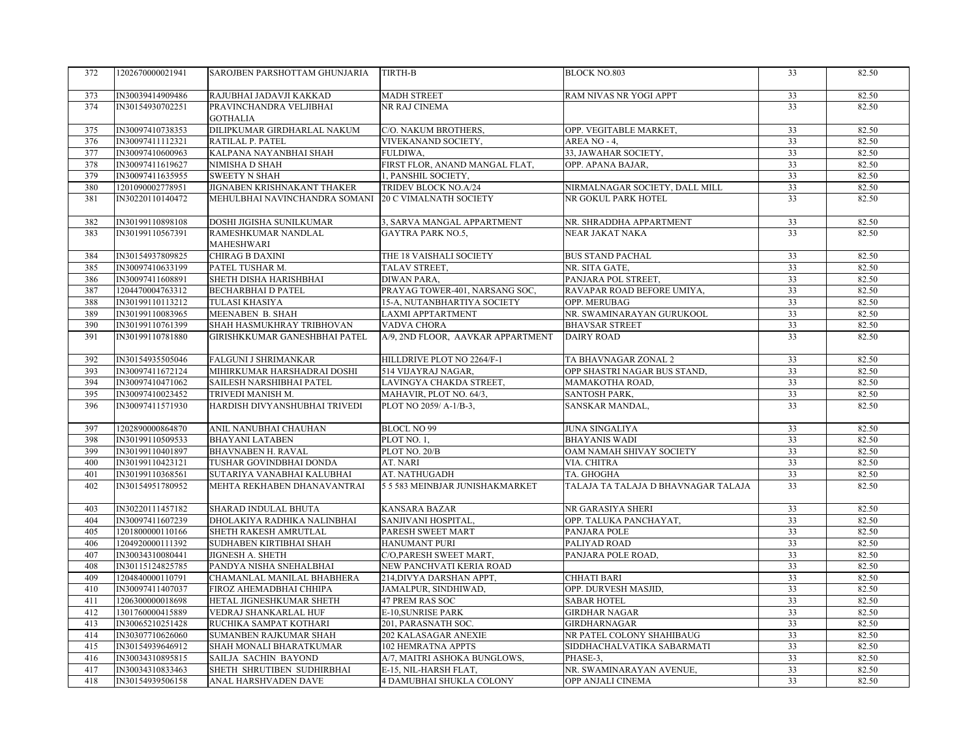| 372 | 1202670000021941 | SAROJBEN PARSHOTTAM GHUNJARIA              | TIRTH-B                           | <b>BLOCK NO.803</b>                 | 33              | 82.50 |
|-----|------------------|--------------------------------------------|-----------------------------------|-------------------------------------|-----------------|-------|
|     |                  |                                            |                                   |                                     |                 |       |
| 373 | IN30039414909486 | RAJUBHAI JADAVJI KAKKAD                    | <b>MADH STREET</b>                | RAM NIVAS NR YOGI APPT              | 33              | 82.50 |
| 374 | IN30154930702251 | PRAVINCHANDRA VELJIBHAI<br><b>GOTHALIA</b> | NR RAJ CINEMA                     |                                     | 33              | 82.50 |
| 375 | IN30097410738353 | DILIPKUMAR GIRDHARLAL NAKUM                | C/O. NAKUM BROTHERS,              | OPP. VEGITABLE MARKET,              | 33              | 82.50 |
| 376 | IN30097411112321 | RATILAL P. PATEL                           | VIVEKANAND SOCIETY,               | AREA NO - 4,                        | 33              | 82.50 |
| 377 | IN30097410600963 | KALPANA NAYANBHAI SHAH                     | FULDIWA,                          | 33, JAWAHAR SOCIETY,                | 33              | 82.50 |
| 378 | IN30097411619627 | NIMISHA D SHAH                             | FIRST FLOR, ANAND MANGAL FLAT,    | OPP. APANA BAJAR,                   | 33              | 82.50 |
| 379 | IN30097411635955 | <b>SWEETY N SHAH</b>                       | 1, PANSHIL SOCIETY,               |                                     | 33              | 82.50 |
| 380 | 1201090002778951 | JIGNABEN KRISHNAKANT THAKER                | TRIDEV BLOCK NO.A/24              | NIRMALNAGAR SOCIETY, DALL MILL      | 33              | 82.50 |
| 381 | IN30220110140472 | MEHULBHAI NAVINCHANDRA SOMANI              | <b>20 C VIMALNATH SOCIETY</b>     | NR GOKUL PARK HOTEL                 | 33              | 82.50 |
| 382 | IN30199110898108 | DOSHI JIGISHA SUNILKUMAR                   | 3, SARVA MANGAL APPARTMENT        | NR. SHRADDHA APPARTMENT             | 33              | 82.50 |
| 383 | IN30199110567391 | RAMESHKUMAR NANDLAL<br>MAHESHWARI          | <b>GAYTRA PARK NO.5,</b>          | NEAR JAKAT NAKA                     | 33              | 82.50 |
| 384 | IN30154937809825 | CHIRAG B DAXINI                            | THE 18 VAISHALI SOCIETY           | <b>BUS STAND PACHAL</b>             | 33              | 82.50 |
| 385 | IN30097410633199 | PATEL TUSHAR M.                            | TALAV STREET,                     | NR. SITA GATE,                      | 33              | 82.50 |
| 386 | IN30097411608891 | SHETH DISHA HARISHBHAI                     | DIWAN PARA,                       | PANJARA POL STREET,                 | 33              | 82.50 |
| 387 | 1204470004763312 | <b>BECHARBHAI D PATEL</b>                  | PRAYAG TOWER-401, NARSANG SOC,    | RAVAPAR ROAD BEFORE UMIYA,          | 33              | 82.50 |
| 388 | IN30199110113212 | <b>TULASI KHASIYA</b>                      | 15-A, NUTANBHARTIYA SOCIETY       | OPP. MERUBAG                        | 33              | 82.50 |
| 389 | IN30199110083965 | MEENABEN B. SHAH                           | <b>LAXMI APPTARTMENT</b>          | NR. SWAMINARAYAN GURUKOOL           | 33              | 82.50 |
| 390 | IN30199110761399 | SHAH HASMUKHRAY TRIBHOVAN                  | VADVA CHORA                       | <b>BHAVSAR STREET</b>               | 33              | 82.50 |
| 391 | IN30199110781880 | GIRISHKKUMAR GANESHBHAI PATEL              | A/9, 2ND FLOOR, AAVKAR APPARTMENT | <b>DAIRY ROAD</b>                   | 33              | 82.50 |
| 392 | IN30154935505046 | FALGUNI J SHRIMANKAR                       | HILLDRIVE PLOT NO 2264/F-1        | TA BHAVNAGAR ZONAL 2                | 33              | 82.50 |
| 393 | IN30097411672124 | MIHIRKUMAR HARSHADRAI DOSHI                | 514 VIJAYRAJ NAGAR,               | OPP SHASTRI NAGAR BUS STAND,        | 33              | 82.50 |
| 394 | IN30097410471062 | SAILESH NARSHIBHAI PATEL                   | LAVINGYA CHAKDA STREET,           | MAMAKOTHA ROAD,                     | 33              | 82.50 |
| 395 | IN30097410023452 | TRIVEDI MANISH M.                          | MAHAVIR, PLOT NO. 64/3,           | SANTOSH PARK,                       | 33              | 82.50 |
| 396 | IN30097411571930 | HARDISH DIVYANSHUBHAI TRIVEDI              | PLOT NO 2059/A-1/B-3,             | SANSKAR MANDAL,                     | 33              | 82.50 |
| 397 | 1202890000864870 | ANIL NANUBHAI CHAUHAN                      | <b>BLOCL NO 99</b>                | <b>JUNA SINGALIYA</b>               | $\overline{33}$ | 82.50 |
| 398 | IN30199110509533 | <b>BHAYANI LATABEN</b>                     | PLOT NO. 1,                       | <b>BHAYANIS WADI</b>                | 33              | 82.50 |
| 399 | IN30199110401897 | <b>BHAVNABEN H. RAVAL</b>                  | PLOT NO. 20/B                     | OAM NAMAH SHIVAY SOCIETY            | 33              | 82.50 |
| 400 | IN30199110423121 | TUSHAR GOVINDBHAI DONDA                    | AT. NARI                          | VIA. CHITRA                         | 33              | 82.50 |
| 401 | IN30199110368561 | SUTARIYA VANABHAI KALUBHAI                 | AT. NATHUGADH                     | TA. GHOGHA                          | 33              | 82.50 |
| 402 | IN30154951780952 | MEHTA REKHABEN DHANAVANTRAI                | 5 5 583 MEINBJAR JUNISHAKMARKET   | TALAJA TA TALAJA D BHAVNAGAR TALAJA | $\overline{33}$ | 82.50 |
| 403 | IN30220111457182 | SHARAD INDULAL BHUTA                       | <b>KANSARA BAZAR</b>              | NR GARASIYA SHERI                   | 33              | 82.50 |
| 404 | IN30097411607239 | DHOLAKIYA RADHIKA NALINBHAI                | SANJIVANI HOSPITAL,               | OPP. TALUKA PANCHAYAT,              | 33              | 82.50 |
| 405 | 1201800000110166 | SHETH RAKESH AMRUTLAL                      | PARESH SWEET MART                 | PANJARA POLE                        | 33              | 82.50 |
| 406 | 1204920000111392 | SUDHABEN KIRTIBHAI SHAH                    | <b>HANUMANT PURI</b>              | PALIYAD ROAD                        | 33              | 82.50 |
| 407 | IN30034310080441 | <b>JIGNESH A. SHETH</b>                    | C/O,PARESH SWEET MART,            | PANJARA POLE ROAD,                  | 33              | 82.50 |
| 408 | IN30115124825785 | PANDYA NISHA SNEHALBHAI                    | NEW PANCHVATI KERIA ROAD          |                                     | 33              | 82.50 |
| 409 | 1204840000110791 | CHAMANLAL MANILAL BHABHERA                 | 214, DIVYA DARSHAN APPT,          | <b>CHHATI BARI</b>                  | 33              | 82.50 |
| 410 | IN30097411407037 | FIROZ AHEMADBHAI CHHIPA                    | JAMALPUR, SINDHIWAD,              | OPP. DURVESH MASJID,                | 33              | 82.50 |
| 411 | 1206300000018698 | HETAL JIGNESHKUMAR SHETH                   | 47 PREM RAS SOC                   | <b>SABAR HOTEL</b>                  | 33              | 82.50 |
| 412 | 1301760000415889 | VEDRAJ SHANKARLAL HUF                      | E-10, SUNRISE PARK                | <b>GIRDHAR NAGAR</b>                | 33              | 82.50 |
| 413 | IN30065210251428 | RUCHIKA SAMPAT KOTHARI                     | 201, PARASNATH SOC.               | <b>GIRDHARNAGAR</b>                 | 33              | 82.50 |
| 414 | IN30307710626060 | SUMANBEN RAJKUMAR SHAH                     | 202 KALASAGAR ANEXIE              | NR PATEL COLONY SHAHIBAUG           | 33              | 82.50 |
| 415 | IN30154939646912 | SHAH MONALI BHARATKUMAR                    | 102 HEMRATNA APPTS                | SIDDHACHALVATIKA SABARMATI          | 33              | 82.50 |
| 416 | IN30034310895815 | SAILJA SACHIN BAYOND                       | A/7, MAITRI ASHOKA BUNGLOWS,      | PHASE-3,                            | 33              | 82.50 |
| 417 | IN30034310833463 | SHETH SHRUTIBEN SUDHIRBHAI                 | E-15, NIL-HARSH FLAT,             | NR. SWAMINARAYAN AVENUE,            | 33              | 82.50 |
| 418 | IN30154939506158 | ANAL HARSHVADEN DAVE                       | 4 DAMUBHAI SHUKLA COLONY          | OPP ANJALI CINEMA                   | 33              | 82.50 |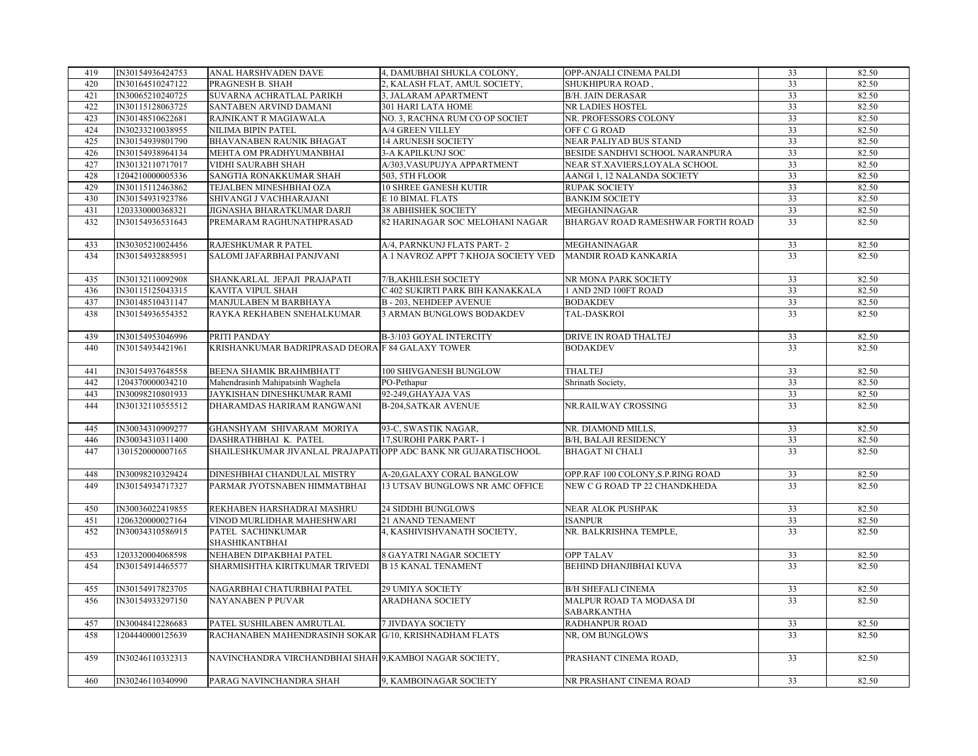| 419 | IN30154936424753 | ANAL HARSHVADEN DAVE                                            | 4, DAMUBHAI SHUKLA COLONY,          | OPP-ANJALI CINEMA PALDI                 | 33              | 82.50 |
|-----|------------------|-----------------------------------------------------------------|-------------------------------------|-----------------------------------------|-----------------|-------|
| 420 | IN30164510247122 | PRAGNESH B. SHAH                                                | 2, KALASH FLAT, AMUL SOCIETY,       | SHUKHIPURA ROAD,                        | 33              | 82.50 |
| 421 | IN30065210240725 | SUVARNA ACHRATLAL PARIKH                                        | 3, JALARAM APARTMENT                | <b>B/H. JAIN DERASAR</b>                | 33              | 82.50 |
| 422 | IN30115128063725 | SANTABEN ARVIND DAMANI                                          | 301 HARI LATA HOME                  | NR LADIES HOSTEL                        | 33              | 82.50 |
| 423 | IN30148510622681 | RAJNIKANT R MAGIAWALA                                           | NO. 3, RACHNA RUM CO OP SOCIET      | NR. PROFESSORS COLONY                   | 33              | 82.50 |
| 424 | IN30233210038955 | NILIMA BIPIN PATEL                                              | A/4 GREEN VILLEY                    | OFF C G ROAD                            | 33              | 82.50 |
| 425 | IN30154939801790 | BHAVANABEN RAUNIK BHAGAT                                        | <b>14 ARUNESH SOCIETY</b>           | NEAR PALIYAD BUS STAND                  | 33              | 82.50 |
| 426 | IN30154938964134 | MEHTA OM PRADHYUMANBHAI                                         | <b>3-A KAPILKUNJ SOC</b>            | BESIDE SANDHVI SCHOOL NARANPURA         | 33              | 82.50 |
| 427 | IN30132110717017 | <b>VIDHI SAURABH SHAH</b>                                       | A/303, VASUPUJYA APPARTMENT         | NEAR ST.XAVIERS, LOYALA SCHOOL          | 33              | 82.50 |
| 428 | 1204210000005336 | SANGTIA RONAKKUMAR SHAH                                         | 503, 5TH FLOOR                      | AANGI 1, 12 NALANDA SOCIETY             | 33              | 82.50 |
| 429 | IN30115112463862 | TEJALBEN MINESHBHAI OZA                                         | 10 SHREE GANESH KUTIR               | <b>RUPAK SOCIETY</b>                    | 33              | 82.50 |
| 430 | IN30154931923786 | SHIVANGI J VACHHARAJANI                                         | E 10 BIMAL FLATS                    | <b>BANKIM SOCIETY</b>                   | 33              | 82.50 |
| 431 | 1203330000368321 | JIGNASHA BHARATKUMAR DARJI                                      | 38 ABHISHEK SOCIETY                 | MEGHANINAGAR                            | 33              | 82.50 |
| 432 | IN30154936531643 | PREMARAM RAGHUNATHPRASAD                                        | 82 HARINAGAR SOC MELOHANI NAGAR     | BHARGAV ROAD RAMESHWAR FORTH ROAD       | 33              | 82.50 |
| 433 | IN30305210024456 | RAJESHKUMAR R PATEL                                             | A/4, PARNKUNJ FLATS PART-2          | MEGHANINAGAR                            | 33              | 82.50 |
| 434 | IN30154932885951 | SALOMI JAFARBHAI PANJVANI                                       | A 1 NAVROZ APPT 7 KHOJA SOCIETY VED | <b>MANDIR ROAD KANKARIA</b>             | $\overline{33}$ | 82.50 |
| 435 | IN30132110092908 | SHANKARLAL JEPAJI PRAJAPATI                                     | 7/B, AKHILESH SOCIETY               | NR MONA PARK SOCIETY                    | 33              | 82.50 |
| 436 | IN30115125043315 | KAVITA VIPUL SHAH                                               | C 402 SUKIRTI PARK BIH KANAKKALA    | 1 AND 2ND 100FT ROAD                    | 33              | 82.50 |
| 437 | IN30148510431147 | MANJULABEN M BARBHAYA                                           | <b>B-203, NEHDEEP AVENUE</b>        | <b>BODAKDEV</b>                         | 33              | 82.50 |
| 438 | IN30154936554352 | RAYKA REKHABEN SNEHALKUMAR                                      | 3 ARMAN BUNGLOWS BODAKDEV           | TAL-DASKROI                             | 33              | 82.50 |
|     |                  |                                                                 |                                     |                                         |                 |       |
| 439 | IN30154953046996 | PRITI PANDAY                                                    | B-3/103 GOYAL INTERCITY             | DRIVE IN ROAD THALTEJ                   | 33              | 82.50 |
| 440 | IN30154934421961 | KRISHANKUMAR BADRIPRASAD DEORA F 84 GALAXY TOWER                |                                     | <b>BODAKDEV</b>                         | 33              | 82.50 |
| 441 | IN30154937648558 | BEENA SHAMIK BRAHMBHATT                                         | 100 SHIVGANESH BUNGLOW              | <b>THALTEJ</b>                          | 33              | 82.50 |
| 442 | 1204370000034210 | Mahendrasinh Mahipatsinh Waghela                                | PO-Pethapur                         | Shrinath Society,                       | 33              | 82.50 |
| 443 | IN30098210801933 | JAYKISHAN DINESHKUMAR RAMI                                      | 92-249, GHAYAJA VAS                 |                                         | 33              | 82.50 |
| 444 | IN30132110555512 | DHARAMDAS HARIRAM RANGWANI                                      | <b>B-204, SATKAR AVENUE</b>         | NR.RAILWAY CROSSING                     | 33              | 82.50 |
| 445 | IN30034310909277 | GHANSHYAM SHIVARAM MORIYA                                       | 93-C, SWASTIK NAGAR,                | NR. DIAMOND MILLS,                      | 33              | 82.50 |
| 446 | IN30034310311400 | DASHRATHBHAI K. PATEL                                           | 17, SUROHI PARK PART-1              | <b>B/H, BALAJI RESIDENCY</b>            | 33              | 82.50 |
| 447 | 1301520000007165 | SHAILESHKUMAR JIVANLAL PRAJAPATI OPP ADC BANK NR GUJARATISCHOOL |                                     | <b>BHAGAT NI CHALI</b>                  | 33              | 82.50 |
| 448 | IN30098210329424 | DINESHBHAI CHANDULAL MISTRY                                     | A-20, GALAXY CORAL BANGLOW          | OPP.RAF 100 COLONY, S.P.RING ROAD       | 33              | 82.50 |
| 449 | IN30154934717327 | PARMAR JYOTSNABEN HIMMATBHAI                                    | 13 UTSAV BUNGLOWS NR AMC OFFICE     | NEW C G ROAD TP 22 CHANDKHEDA           | 33              | 82.50 |
|     |                  |                                                                 |                                     |                                         |                 |       |
| 450 | IN30036022419855 | REKHABEN HARSHADRAI MASHRU                                      | <b>24 SIDDHI BUNGLOWS</b>           | <b>NEAR ALOK PUSHPAK</b>                | 33              | 82.50 |
| 451 | 1206320000027164 | VINOD MURLIDHAR MAHESHWARI                                      | 21 ANAND TENAMENT                   | <b>ISANPUR</b>                          | 33              | 82.50 |
| 452 | IN30034310586915 | PATEL SACHINKUMAR<br>SHASHIKANTBHAI                             | 4, KASHIVISHVANATH SOCIETY,         | NR. BALKRISHNA TEMPLE,                  | 33              | 82.50 |
| 453 | 1203320004068598 | NEHABEN DIPAKBHAI PATEL                                         | 8 GAYATRI NAGAR SOCIETY             | <b>OPP TALAV</b>                        | 33              | 82.50 |
| 454 | IN30154914465577 | SHARMISHTHA KIRITKUMAR TRIVEDI                                  | <b>B 15 KANAL TENAMENT</b>          | BEHIND DHANJIBHAI KUVA                  | 33              | 82.50 |
|     |                  |                                                                 |                                     |                                         |                 |       |
| 455 | IN30154917823705 | NAGARBHAI CHATURBHAI PATEL                                      | 29 UMIYA SOCIETY                    | <b>B/H SHEFALI CINEMA</b>               | 33              | 82.50 |
| 456 | IN30154933297150 | <b>NAYANABEN P PUVAR</b>                                        | <b>ARADHANA SOCIETY</b>             | MALPUR ROAD TA MODASA DI<br>SABARKANTHA | 33              | 82.50 |
| 457 | IN30048412286683 | PATEL SUSHILABEN AMRUTLAL                                       | <b>7 JIVDAYA SOCIETY</b>            | RADHANPUR ROAD                          | 33              | 82.50 |
| 458 | 1204440000125639 | RACHANABEN MAHENDRASINH SOKAR G/10, KRISHNADHAM FLATS           |                                     | NR, OM BUNGLOWS                         | 33              | 82.50 |
| 459 | IN30246110332313 | NAVINCHANDRA VIRCHANDBHAI SHAH 9, KAMBOI NAGAR SOCIETY,         |                                     | PRASHANT CINEMA ROAD,                   | 33              | 82.50 |
| 460 | IN30246110340990 | PARAG NAVINCHANDRA SHAH                                         | 9, KAMBOINAGAR SOCIETY              | NR PRASHANT CINEMA ROAD                 | 33              | 82.50 |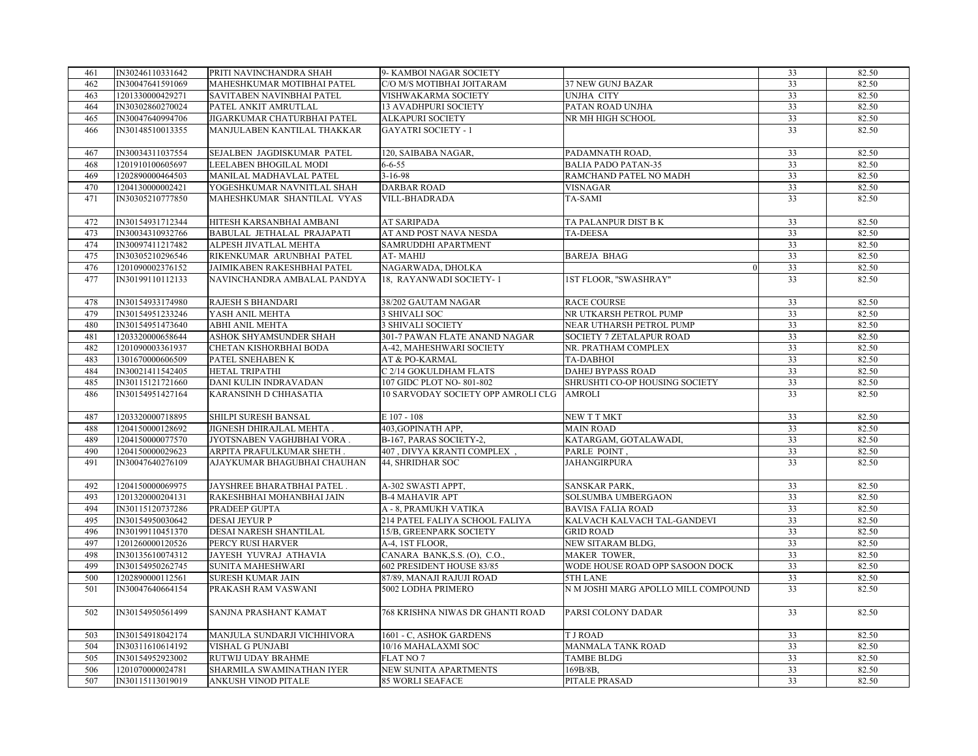| 461 | IN30246110331642 | PRITI NAVINCHANDRA SHAH     | 9- KAMBOI NAGAR SOCIETY            |                                     | 33              | 82.50 |
|-----|------------------|-----------------------------|------------------------------------|-------------------------------------|-----------------|-------|
| 462 | IN30047641591069 | MAHESHKUMAR MOTIBHAI PATEL  | C/O M/S MOTIBHAI JOITARAM          | 37 NEW GUNJ BAZAR                   | 33              | 82.50 |
| 463 | 1201330000429271 | SAVITABEN NAVINBHAI PATEL   | VISHWAKARMA SOCIETY                | UNJHA CITY                          | 33              | 82.50 |
| 464 | IN30302860270024 | PATEL ANKIT AMRUTLAL        | 13 AVADHPURI SOCIETY               | PATAN ROAD UNJHA                    | 33              | 82.50 |
| 465 | IN30047640994706 | JIGARKUMAR CHATURBHAI PATEL | ALKAPURI SOCIETY                   | NR MH HIGH SCHOOL                   | 33              | 82.50 |
| 466 | IN30148510013355 | MANJULABEN KANTILAL THAKKAR | <b>GAYATRI SOCIETY - 1</b>         |                                     | 33              | 82.50 |
|     |                  |                             |                                    |                                     |                 |       |
| 467 | IN30034311037554 | SEJALBEN JAGDISKUMAR PATEL  | 120, SAIBABA NAGAR,                | PADAMNATH ROAD,                     | 33              | 82.50 |
| 468 | 1201910100605697 | LEELABEN BHOGILAL MODI      | $6 - 6 - 55$                       | <b>BALIA PADO PATAN-35</b>          | 33              | 82.50 |
| 469 | 1202890000464503 | MANILAL MADHAVLAL PATEL     | $3 - 16 - 98$                      | RAMCHAND PATEL NO MADH              | $\overline{33}$ | 82.50 |
| 470 | 1204130000002421 | YOGESHKUMAR NAVNITLAL SHAH  | <b>DARBAR ROAD</b>                 | <b>VISNAGAR</b>                     | 33              | 82.50 |
| 471 | IN30305210777850 | MAHESHKUMAR SHANTILAL VYAS  | <b>VILL-BHADRADA</b>               | TA-SAMI                             | 33              | 82.50 |
|     |                  |                             |                                    |                                     |                 |       |
| 472 | IN30154931712344 | HITESH KARSANBHAI AMBANI    | <b>AT SARIPADA</b>                 | TA PALANPUR DIST B K                | 33              | 82.50 |
| 473 | IN30034310932766 | BABULAL JETHALAL PRAJAPATI  | AT AND POST NAVA NESDA             | TA-DEESA                            | 33              | 82.50 |
| 474 | IN30097411217482 | ALPESH JIVATLAL MEHTA       | SAMRUDDHI APARTMENT                |                                     | 33              | 82.50 |
| 475 | IN30305210296546 | RIKENKUMAR ARUNBHAI PATEL   | AT-MAHIJ                           | <b>BAREJA BHAG</b>                  | 33              | 82.50 |
| 476 | 1201090002376152 | JAIMIKABEN RAKESHBHAI PATEL | NAGARWADA, DHOLKA                  |                                     | 33              | 82.50 |
| 477 | IN30199110112133 | NAVINCHANDRA AMBALAL PANDYA | 18. RAYANWADI SOCIETY-1            | 1ST FLOOR, "SWASHRAY"               | 33              | 82.50 |
|     |                  |                             |                                    |                                     |                 |       |
| 478 | IN30154933174980 | RAJESH S BHANDARI           | 38/202 GAUTAM NAGAR                | <b>RACE COURSE</b>                  | 33              | 82.50 |
| 479 | IN30154951233246 | YASH ANIL MEHTA             | 3 SHIVALI SOC                      | NR UTKARSH PETROL PUMP              | 33              | 82.50 |
| 480 | IN30154951473640 | ABHI ANIL MEHTA             | <b>3 SHIVALI SOCIETY</b>           | NEAR UTHARSH PETROL PUMP            | 33              | 82.50 |
| 481 | 1203320000658644 | ASHOK SHYAMSUNDER SHAH      | 301-7 PAWAN FLATE ANAND NAGAR      | SOCIETY 7 ZETALAPUR ROAD            | 33              | 82.50 |
| 482 | 1201090003361937 | CHETAN KISHORBHAI BODA      | A-42, MAHESHWARI SOCIETY           | NR. PRATHAM COMPLEX                 | 33              | 82.50 |
| 483 | 1301670000606509 | PATEL SNEHABEN K            | AT & PO-KARMAL                     | <b>TA-DABHOI</b>                    | $\overline{33}$ | 82.50 |
| 484 | IN30021411542405 | HETAL TRIPATHI              | C 2/14 GOKULDHAM FLATS             | <b>DAHEJ BYPASS ROAD</b>            | 33              | 82.50 |
| 485 | IN30115121721660 | DANI KULIN INDRAVADAN       | 107 GIDC PLOT NO-801-802           | SHRUSHTI CO-OP HOUSING SOCIETY      | 33              | 82.50 |
| 486 | IN30154951427164 | KARANSINH D CHHASATIA       | 10 SARVODAY SOCIETY OPP AMROLI CLG | <b>AMROLI</b>                       | $\overline{33}$ | 82.50 |
|     |                  |                             |                                    |                                     |                 |       |
| 487 | 1203320000718895 | SHILPI SURESH BANSAL        | E 107 - 108                        | NEW T T MKT                         | 33              | 82.50 |
| 488 | 1204150000128692 | JIGNESH DHIRAJLAL MEHTA.    | 403, GOPINATH APP,                 | <b>MAIN ROAD</b>                    | 33              | 82.50 |
| 489 | 1204150000077570 | JYOTSNABEN VAGHJBHAI VORA.  | B-167, PARAS SOCIETY-2,            | KATARGAM, GOTALAWADI,               | 33              | 82.50 |
| 490 | 1204150000029623 | ARPITA PRAFULKUMAR SHETH.   | 407, DIVYA KRANTI COMPLEX.         | PARLE POINT,                        | 33              | 82.50 |
| 491 | IN30047640276109 | AJAYKUMAR BHAGUBHAI CHAUHAN | 44, SHRIDHAR SOC                   | <b>JAHANGIRPURA</b>                 | 33              | 82.50 |
|     |                  |                             |                                    |                                     |                 |       |
| 492 | 1204150000069975 | JAYSHREE BHARATBHAI PATEL.  | A-302 SWASTI APPT,                 | SANSKAR PARK,                       | 33              | 82.50 |
| 493 | 1201320000204131 | RAKESHBHAI MOHANBHAI JAIN   | <b>B-4 MAHAVIR APT</b>             | SOLSUMBA UMBERGAON                  | 33              | 82.50 |
| 494 | IN30115120737286 | PRADEEP GUPTA               | A - 8, PRAMUKH VATIKA              | <b>BAVISA FALIA ROAD</b>            | 33              | 82.50 |
| 495 | IN30154950030642 | <b>DESAI JEYUR P</b>        | 214 PATEL FALIYA SCHOOL FALIYA     | KALVACH KALVACH TAL-GANDEVI         | 33              | 82.50 |
| 496 | IN30199110451370 | DESAI NARESH SHANTILAL      | 15/B, GREENPARK SOCIETY            | <b>GRID ROAD</b>                    | 33              | 82.50 |
| 497 | 1201260000120526 | PERCY RUSI HARVER           | A-4, 1ST FLOOR,                    | NEW SITARAM BLDG,                   | $\overline{33}$ | 82.50 |
| 498 | IN30135610074312 | JAYESH YUVRAJ ATHAVIA       | CANARA BANK, S.S. (O), C.O.,       | MAKER TOWER,                        | 33              | 82.50 |
| 499 | IN30154950262745 | SUNITA MAHESHWARI           | 602 PRESIDENT HOUSE 83/85          | WODE HOUSE ROAD OPP SASOON DOCK     | 33              | 82.50 |
| 500 | 1202890000112561 | <b>SURESH KUMAR JAIN</b>    | 87/89, MANAJI RAJUJI ROAD          | 5TH LANE                            | 33              | 82.50 |
| 501 | IN30047640664154 | PRAKASH RAM VASWANI         | 5002 LODHA PRIMERO                 | N M JOSHI MARG APOLLO MILL COMPOUND | 33              | 82.50 |
|     |                  |                             |                                    |                                     |                 |       |
| 502 | IN30154950561499 | SANJNA PRASHANT KAMAT       | 768 KRISHNA NIWAS DR GHANTI ROAD   | PARSI COLONY DADAR                  | 33              | 82.50 |
|     |                  |                             |                                    |                                     |                 |       |
| 503 | IN30154918042174 | MANJULA SUNDARJI VICHHIVORA | 1601 - C, ASHOK GARDENS            | <b>TJ ROAD</b>                      | 33              | 82.50 |
| 504 | IN30311610614192 | VISHAL G PUNJABI            | 10/16 MAHALAXMI SOC                | MANMALA TANK ROAD                   | 33              | 82.50 |
| 505 | IN30154952923002 | RUTWIJ UDAY BRAHME          | <b>FLAT NO 7</b>                   | <b>TAMBE BLDG</b>                   | 33              | 82.50 |
| 506 | 1201070000024781 | SHARMILA SWAMINATHAN IYER   | NEW SUNITA APARTMENTS              | 169B/8B,                            | 33              | 82.50 |
| 507 | IN30115113019019 | ANKUSH VINOD PITALE         | <b>85 WORLI SEAFACE</b>            | PITALE PRASAD                       | 33              | 82.50 |
|     |                  |                             |                                    |                                     |                 |       |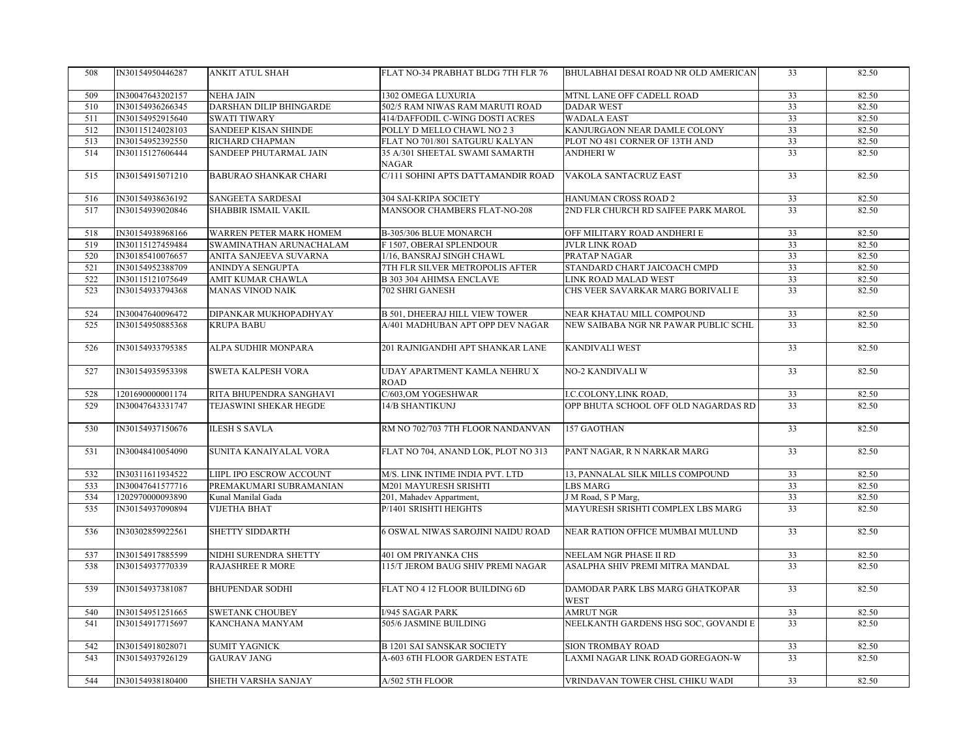| 508 | IN30154950446287 | ANKIT ATUL SHAH              | FLAT NO-34 PRABHAT BLDG 7TH FLR 76             | BHULABHAI DESAI ROAD NR OLD AMERICAN           | 33              | 82.50 |
|-----|------------------|------------------------------|------------------------------------------------|------------------------------------------------|-----------------|-------|
| 509 | IN30047643202157 | <b>NEHA JAIN</b>             | 1302 OMEGA LUXURIA                             | MTNL LANE OFF CADELL ROAD                      | 33              | 82.50 |
| 510 | IN30154936266345 | DARSHAN DILIP BHINGARDE      | 502/5 RAM NIWAS RAM MARUTI ROAD                | <b>DADAR WEST</b>                              | 33              | 82.50 |
| 511 | IN30154952915640 | <b>SWATI TIWARY</b>          | 414/DAFFODIL C-WING DOSTI ACRES                | <b>WADALA EAST</b>                             | 33              | 82.50 |
| 512 | IN30115124028103 | <b>SANDEEP KISAN SHINDE</b>  | POLLY D MELLO CHAWL NO 2 3                     | KANJURGAON NEAR DAMLE COLONY                   | 33              | 82.50 |
| 513 | IN30154952392550 | RICHARD CHAPMAN              | FLAT NO 701/801 SATGURU KALYAN                 | PLOT NO 481 CORNER OF 13TH AND                 | 33              | 82.50 |
| 514 | IN30115127606444 | SANDEEP PHUTARMAL JAIN       | 35 A/301 SHEETAL SWAMI SAMARTH<br><b>NAGAR</b> | <b>ANDHERI W</b>                               | 33              | 82.50 |
| 515 | IN30154915071210 | <b>BABURAO SHANKAR CHARI</b> | C/111 SOHINI APTS DATTAMANDIR ROAD             | VAKOLA SANTACRUZ EAST                          | 33              | 82.50 |
| 516 | IN30154938636192 | SANGEETA SARDESAI            | 304 SAI-KRIPA SOCIETY                          | HANUMAN CROSS ROAD 2                           | 33              | 82.50 |
| 517 | IN30154939020846 | SHABBIR ISMAIL VAKIL         | MANSOOR CHAMBERS FLAT-NO-208                   | 2ND FLR CHURCH RD SAIFEE PARK MAROL            | $\overline{33}$ | 82.50 |
| 518 | IN30154938968166 | WARREN PETER MARK HOMEM      | B-305/306 BLUE MONARCH                         | OFF MILITARY ROAD ANDHERI E                    | 33              | 82.50 |
| 519 | IN30115127459484 | SWAMINATHAN ARUNACHALAM      | F 1507, OBERAI SPLENDOUR                       | <b>JVLR LINK ROAD</b>                          | $\overline{33}$ | 82.50 |
| 520 | IN30185410076657 | ANITA SANJEEVA SUVARNA       | 1/16, BANSRAJ SINGH CHAWL                      | PRATAP NAGAR                                   | $\overline{33}$ | 82.50 |
| 521 | IN30154952388709 | ANINDYA SENGUPTA             | 7TH FLR SILVER METROPOLIS AFTER                | STANDARD CHART JAICOACH CMPD                   | 33              | 82.50 |
| 522 | IN30115121075649 | AMIT KUMAR CHAWLA            | <b>B 303 304 AHIMSA ENCLAVE</b>                | LINK ROAD MALAD WEST                           | 33              | 82.50 |
| 523 | IN30154933794368 | <b>MANAS VINOD NAIK</b>      | 702 SHRI GANESH                                | CHS VEER SAVARKAR MARG BORIVALI E              | 33              | 82.50 |
| 524 | IN30047640096472 | DIPANKAR MUKHOPADHYAY        | <b>B 501, DHEERAJ HILL VIEW TOWER</b>          | NEAR KHATAU MILL COMPOUND                      | 33              | 82.50 |
| 525 | IN30154950885368 | <b>KRUPA BABU</b>            | A/401 MADHUBAN APT OPP DEV NAGAR               | NEW SAIBABA NGR NR PAWAR PUBLIC SCHL           | 33              | 82.50 |
|     |                  |                              |                                                |                                                |                 |       |
| 526 | IN30154933795385 | ALPA SUDHIR MONPARA          | 201 RAJNIGANDHI APT SHANKAR LANE               | <b>KANDIVALI WEST</b>                          | 33              | 82.50 |
| 527 | IN30154935953398 | <b>SWETA KALPESH VORA</b>    | UDAY APARTMENT KAMLA NEHRU X<br><b>ROAD</b>    | <b>NO-2 KANDIVALI W</b>                        | $\overline{33}$ | 82.50 |
| 528 | 1201690000001174 | RITA BHUPENDRA SANGHAVI      | C/603, OM YOGESHWAR                            | I.C.COLONY,LINK ROAD,                          | 33              | 82.50 |
| 529 | IN30047643331747 | TEJASWINI SHEKAR HEGDE       | 14/B SHANTIKUNJ                                | OPP BHUTA SCHOOL OFF OLD NAGARDAS RD           | 33              | 82.50 |
| 530 | IN30154937150676 | <b>ILESH S SAVLA</b>         | RM NO 702/703 7TH FLOOR NANDANVAN              | 157 GAOTHAN                                    | $\overline{33}$ | 82.50 |
| 531 | IN30048410054090 | SUNITA KANAIYALAL VORA       | FLAT NO 704, ANAND LOK, PLOT NO 313            | PANT NAGAR, R N NARKAR MARG                    | 33              | 82.50 |
| 532 | IN30311611934522 | LIIPL IPO ESCROW ACCOUNT     | M/S. LINK INTIME INDIA PVT. LTD                | 13, PANNALAL SILK MILLS COMPOUND               | 33              | 82.50 |
| 533 | IN30047641577716 | PREMAKUMARI SUBRAMANIAN      | M201 MAYURESH SRISHTI                          | <b>LBS MARG</b>                                | 33              | 82.50 |
| 534 | 1202970000093890 | Kunal Manilal Gada           | 201, Mahadev Appartment,                       | J M Road, S P Marg,                            | 33              | 82.50 |
| 535 | IN30154937090894 | <b>VIJETHA BHAT</b>          | P/1401 SRISHTI HEIGHTS                         | MAYURESH SRISHTI COMPLEX LBS MARG              | 33              | 82.50 |
| 536 | IN30302859922561 | SHETTY SIDDARTH              | 6 OSWAL NIWAS SAROJINI NAIDU ROAD              | NEAR RATION OFFICE MUMBAI MULUND               | 33              | 82.50 |
| 537 | IN30154917885599 | NIDHI SURENDRA SHETTY        | 401 OM PRIYANKA CHS                            | NEELAM NGR PHASE II RD                         | 33              | 82.50 |
| 538 | IN30154937770339 | <b>RAJASHREE R MORE</b>      | 115/T JEROM BAUG SHIV PREMI NAGAR              | ASALPHA SHIV PREMI MITRA MANDAL                | 33              | 82.50 |
| 539 | IN30154937381087 | <b>BHUPENDAR SODHI</b>       | FLAT NO 4 12 FLOOR BUILDING 6D                 | DAMODAR PARK LBS MARG GHATKOPAR<br><b>WEST</b> | 33              | 82.50 |
| 540 | IN30154951251665 | <b>SWETANK CHOUBEY</b>       | <b>I/945 SAGAR PARK</b>                        | <b>AMRUT NGR</b>                               | 33              | 82.50 |
| 541 | IN30154917715697 | KANCHANA MANYAM              | 505/6 JASMINE BUILDING                         | NEELKANTH GARDENS HSG SOC, GOVANDI E           | 33              | 82.50 |
| 542 | IN30154918028071 | <b>SUMIT YAGNICK</b>         | <b>B 1201 SAI SANSKAR SOCIETY</b>              | SION TROMBAY ROAD                              | 33              | 82.50 |
| 543 | IN30154937926129 | <b>GAURAV JANG</b>           | A-603 6TH FLOOR GARDEN ESTATE                  | LAXMI NAGAR LINK ROAD GOREGAON-W               | $\overline{33}$ | 82.50 |
| 544 | IN30154938180400 | SHETH VARSHA SANJAY          | A/502 5TH FLOOR                                | VRINDAVAN TOWER CHSL CHIKU WADI                | 33              | 82.50 |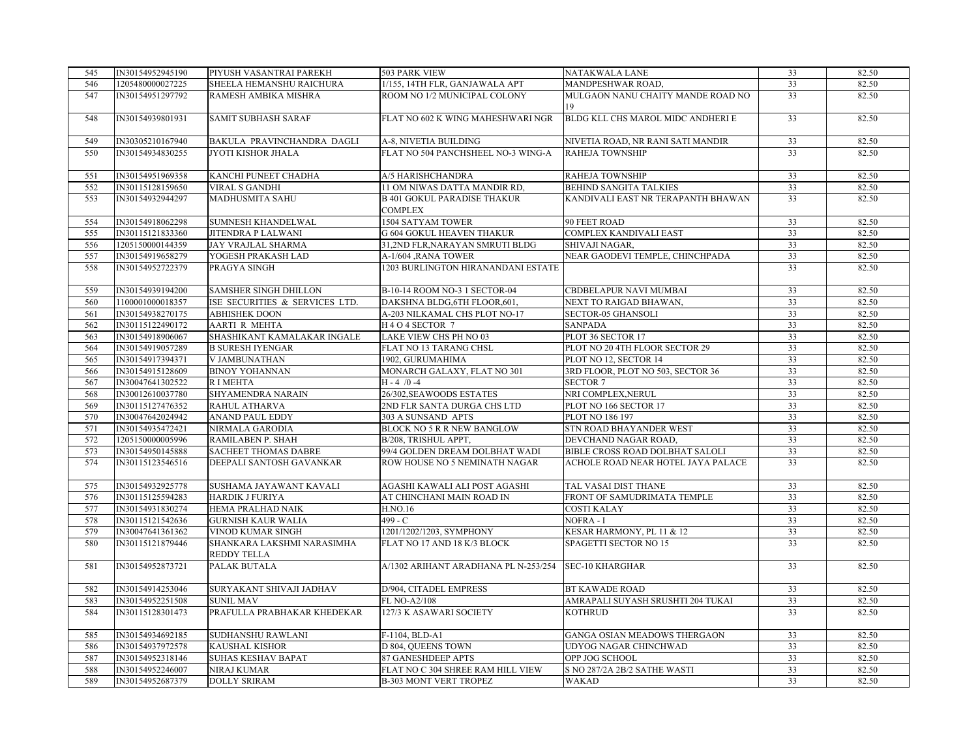| 545 | IN30154952945190 | PIYUSH VASANTRAI PAREKH                          | 503 PARK VIEW                                        | NATAKWALA LANE                          | 33              | 82.50 |
|-----|------------------|--------------------------------------------------|------------------------------------------------------|-----------------------------------------|-----------------|-------|
| 546 | 1205480000027225 | SHEELA HEMANSHU RAICHURA                         | 1/155, 14TH FLR, GANJAWALA APT                       | MANDPESHWAR ROAD,                       | 33              | 82.50 |
| 547 | IN30154951297792 | RAMESH AMBIKA MISHRA                             | ROOM NO 1/2 MUNICIPAL COLONY                         | MULGAON NANU CHAITY MANDE ROAD NO<br>19 | 33              | 82.50 |
| 548 | IN30154939801931 | <b>SAMIT SUBHASH SARAF</b>                       | FLAT NO 602 K WING MAHESHWARI NGR                    | BLDG KLL CHS MAROL MIDC ANDHERI E       | 33              | 82.50 |
| 549 | IN30305210167940 | BAKULA PRAVINCHANDRA DAGLI                       | A-8, NIVETIA BUILDING                                | NIVETIA ROAD, NR RANI SATI MANDIR       | 33              | 82.50 |
| 550 | IN30154934830255 | <b>JYOTI KISHOR JHALA</b>                        | FLAT NO 504 PANCHSHEEL NO-3 WING-A                   | <b>RAHEJA TOWNSHIP</b>                  | 33              | 82.50 |
| 551 | IN30154951969358 | KANCHI PUNEET CHADHA                             | A/5 HARISHCHANDRA                                    | RAHEJA TOWNSHIP                         | 33              | 82.50 |
| 552 | IN30115128159650 | VIRAL S GANDHI                                   | 11 OM NIWAS DATTA MANDIR RD,                         | <b>BEHIND SANGITA TALKIES</b>           | 33              | 82.50 |
| 553 | IN30154932944297 | MADHUSMITA SAHU                                  | <b>B 401 GOKUL PARADISE THAKUR</b><br><b>COMPLEX</b> | KANDIVALI EAST NR TERAPANTH BHAWAN      | $\overline{33}$ | 82.50 |
| 554 | IN30154918062298 | SUMNESH KHANDELWAL                               | 1504 SATYAM TOWER                                    | 90 FEET ROAD                            | 33              | 82.50 |
| 555 | IN30115121833360 | JITENDRA P LALWANI                               | <b>G 604 GOKUL HEAVEN THAKUR</b>                     | <b>COMPLEX KANDIVALI EAST</b>           | 33              | 82.50 |
| 556 | 1205150000144359 | JAY VRAJLAL SHARMA                               | 31,2ND FLR, NARAYAN SMRUTI BLDG                      | SHIVAJI NAGAR,                          | 33              | 82.50 |
| 557 | IN30154919658279 | YOGESH PRAKASH LAD                               | A-1/604 , RANA TOWER                                 | NEAR GAODEVI TEMPLE, CHINCHPADA         | 33              | 82.50 |
| 558 | IN30154952722379 | PRAGYA SINGH                                     | 1203 BURLINGTON HIRANANDANI ESTATE                   |                                         | 33              | 82.50 |
| 559 | IN30154939194200 | <b>SAMSHER SINGH DHILLON</b>                     | B-10-14 ROOM NO-3 1 SECTOR-04                        | CBDBELAPUR NAVI MUMBAI                  | 33              | 82.50 |
| 560 | 1100001000018357 | ISE SECURITIES & SERVICES LTD.                   | DAKSHNA BLDG, 6TH FLOOR, 601,                        | NEXT TO RAIGAD BHAWAN,                  | 33              | 82.50 |
| 561 | IN30154938270175 | <b>ABHISHEK DOON</b>                             | A-203 NILKAMAL CHS PLOT NO-17                        | <b>SECTOR-05 GHANSOLI</b>               | $\overline{33}$ | 82.50 |
| 562 | IN30115122490172 | AARTI R MEHTA                                    | H 4 O 4 SECTOR 7                                     | <b>SANPADA</b>                          | 33              | 82.50 |
| 563 | IN30154918906067 | SHASHIKANT KAMALAKAR INGALE                      | LAKE VIEW CHS PH NO 03                               | PLOT 36 SECTOR 17                       | 33              | 82.50 |
| 564 | IN30154919057289 | <b>B SURESH IYENGAR</b>                          | FLAT NO 13 TARANG CHSL                               | PLOT NO 20 4TH FLOOR SECTOR 29          | 33              | 82.50 |
| 565 | IN30154917394371 | <b>V JAMBUNATHAN</b>                             | 1902, GURUMAHIMA                                     | PLOT NO 12, SECTOR 14                   | 33              | 82.50 |
| 566 | IN30154915128609 | <b>BINOY YOHANNAN</b>                            | MONARCH GALAXY, FLAT NO 301                          | 3RD FLOOR, PLOT NO 503, SECTOR 36       | $\overline{33}$ | 82.50 |
| 567 | IN30047641302522 | R I MEHTA                                        | $H - 4 / 0 - 4$                                      | <b>SECTOR 7</b>                         | 33              | 82.50 |
| 568 | IN30012610037780 | SHYAMENDRA NARAIN                                | 26/302, SEAWOODS ESTATES                             | NRI COMPLEX, NERUL                      | 33              | 82.50 |
| 569 | IN30115127476352 | <b>RAHUL ATHARVA</b>                             | 2ND FLR SANTA DURGA CHS LTD                          | PLOT NO 166 SECTOR 17                   | 33              | 82.50 |
| 570 | IN30047642024942 | ANAND PAUL EDDY                                  | 303 A SUNSAND APTS                                   | PLOT NO 186 197                         | 33              | 82.50 |
| 571 | IN30154935472421 | NIRMALA GARODIA                                  | <b>BLOCK NO 5 R R NEW BANGLOW</b>                    | STN ROAD BHAYANDER WEST                 | $\overline{33}$ | 82.50 |
| 572 | 1205150000005996 | RAMILABEN P. SHAH                                | B/208, TRISHUL APPT,                                 | DEVCHAND NAGAR ROAD,                    | 33              | 82.50 |
| 573 | IN30154950145888 | <b>SACHEET THOMAS DABRE</b>                      | 99/4 GOLDEN DREAM DOLBHAT WADI                       | BIBLE CROSS ROAD DOLBHAT SALOLI         | 33              | 82.50 |
| 574 | IN30115123546516 | DEEPALI SANTOSH GAVANKAR                         | ROW HOUSE NO 5 NEMINATH NAGAR                        | ACHOLE ROAD NEAR HOTEL JAYA PALACE      | 33              | 82.50 |
| 575 | IN30154932925778 | SUSHAMA JAYAWANT KAVALI                          | AGASHI KAWALI ALI POST AGASHI                        | TAL VASAI DIST THANE                    | 33              | 82.50 |
| 576 | IN30115125594283 | <b>HARDIK J FURIYA</b>                           | AT CHINCHANI MAIN ROAD IN                            | FRONT OF SAMUDRIMATA TEMPLE             | 33              | 82.50 |
| 577 | IN30154931830274 | HEMA PRALHAD NAIK                                | <b>H.NO.16</b>                                       | <b>COSTI KALAY</b>                      | 33              | 82.50 |
| 578 | IN30115121542636 | <b>GURNISH KAUR WALIA</b>                        | $499 - C$                                            | NOFRA - I                               | 33              | 82.50 |
| 579 | IN30047641361362 | VINOD KUMAR SINGH                                | 1201/1202/1203, SYMPHONY                             | KESAR HARMONY, PL 11 & 12               | 33              | 82.50 |
| 580 | IN30115121879446 | SHANKARA LAKSHMI NARASIMHA<br><b>REDDY TELLA</b> | FLAT NO 17 AND 18 K/3 BLOCK                          | SPAGETTI SECTOR NO 15                   | $\overline{33}$ | 82.50 |
| 581 | IN30154952873721 | PALAK BUTALA                                     | A/1302 ARIHANT ARADHANA PL N-253/254 SEC-10 KHARGHAR |                                         | 33              | 82.50 |
| 582 | IN30154914253046 | SURYAKANT SHIVAJI JADHAV                         | D/904, CITADEL EMPRESS                               | <b>BT KAWADE ROAD</b>                   | 33              | 82.50 |
| 583 | IN30154952251508 | <b>SUNIL MAV</b>                                 | FL NO-A2/108                                         | AMRAPALI SUYASH SRUSHTI 204 TUKAI       | 33              | 82.50 |
| 584 | IN30115128301473 | PRAFULLA PRABHAKAR KHEDEKAR                      | 127/3 K ASAWARI SOCIETY                              | <b>KOTHRUD</b>                          | 33              | 82.50 |
| 585 | IN30154934692185 | SUDHANSHU RAWLANI                                | F-1104, BLD-A1                                       | GANGA OSIAN MEADOWS THERGAON            | 33              | 82.50 |
| 586 | IN30154937972578 | <b>KAUSHAL KISHOR</b>                            | D 804, QUEENS TOWN                                   | UDYOG NAGAR CHINCHWAD                   | 33              | 82.50 |
| 587 | IN30154952318146 | <b>SUHAS KESHAV BAPAT</b>                        | <b>87 GANESHDEEP APTS</b>                            | OPP JOG SCHOOL                          | 33              | 82.50 |
| 588 | IN30154952246007 | NIRAJ KUMAR                                      | FLAT NO C 304 SHREE RAM HILL VIEW                    | S NO 287/2A 2B/2 SATHE WASTI            | $\overline{33}$ | 82.50 |
| 589 | IN30154952687379 | <b>DOLLY SRIRAM</b>                              | <b>B-303 MONT VERT TROPEZ</b>                        | <b>WAKAD</b>                            | 33              | 82.50 |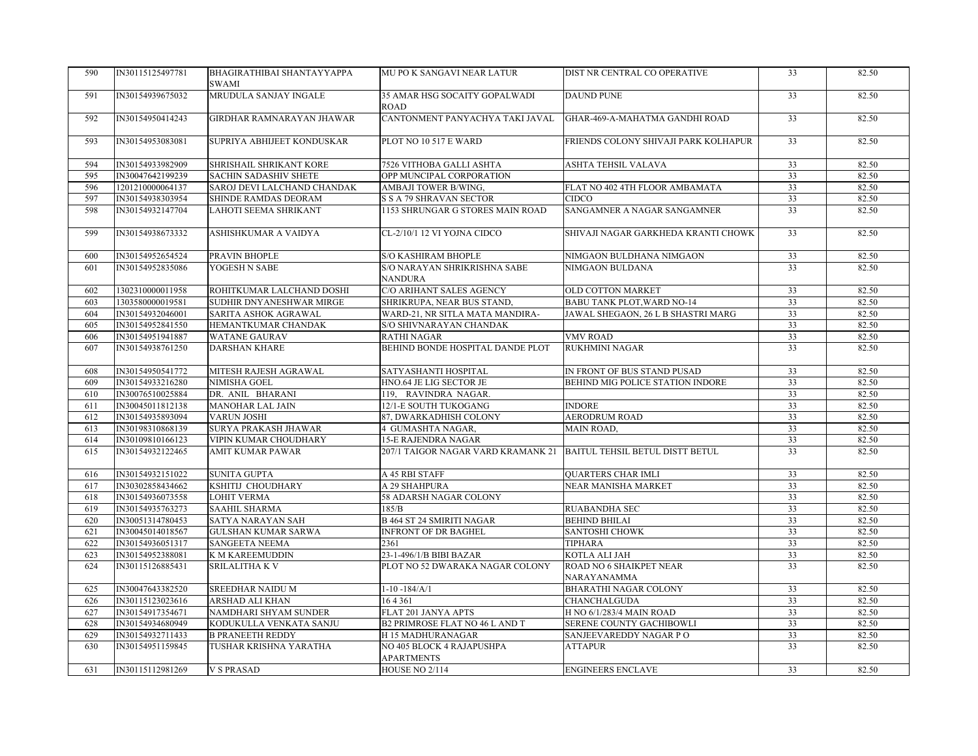| 590 | IN30115125497781 | BHAGIRATHIBAI SHANTAYYAPPA<br>SWAMI | MU PO K SANGAVI NEAR LATUR                     | DIST NR CENTRAL CO OPERATIVE           | 33              | 82.50 |
|-----|------------------|-------------------------------------|------------------------------------------------|----------------------------------------|-----------------|-------|
| 591 | IN30154939675032 | MRUDULA SANJAY INGALE               | 35 AMAR HSG SOCAITY GOPALWADI<br><b>ROAD</b>   | <b>DAUND PUNE</b>                      | 33              | 82.50 |
| 592 | IN30154950414243 | GIRDHAR RAMNARAYAN JHAWAR           | CANTONMENT PANYACHYA TAKI JAVAL                | GHAR-469-A-MAHATMA GANDHI ROAD         | 33              | 82.50 |
| 593 | IN30154953083081 | SUPRIYA ABHIJEET KONDUSKAR          | PLOT NO 10 517 E WARD                          | FRIENDS COLONY SHIVAJI PARK KOLHAPUR   | $\overline{33}$ | 82.50 |
| 594 | IN30154933982909 | SHRISHAIL SHRIKANT KORE             | 7526 VITHOBA GALLI ASHTA                       | ASHTA TEHSIL VALAVA                    | 33              | 82.50 |
| 595 | IN30047642199239 | <b>SACHIN SADASHIV SHETE</b>        | OPP MUNCIPAL CORPORATION                       |                                        | 33              | 82.50 |
| 596 | 1201210000064137 | SAROJ DEVI LALCHAND CHANDAK         | AMBAJI TOWER B/WING,                           | FLAT NO 402 4TH FLOOR AMBAMATA         | 33              | 82.50 |
| 597 | IN30154938303954 | SHINDE RAMDAS DEORAM                | <b>S S A 79 SHRAVAN SECTOR</b>                 | <b>CIDCO</b>                           | $\overline{33}$ | 82.50 |
| 598 | IN30154932147704 | LAHOTI SEEMA SHRIKANT               | 1153 SHRUNGAR G STORES MAIN ROAD               | SANGAMNER A NAGAR SANGAMNER            | 33              | 82.50 |
| 599 | IN30154938673332 | ASHISHKUMAR A VAIDYA                | CL-2/10/1 12 VI YOJNA CIDCO                    | SHIVAJI NAGAR GARKHEDA KRANTI CHOWK    | 33              | 82.50 |
| 600 | IN30154952654524 | PRAVIN BHOPLE                       | S/O KASHIRAM BHOPLE                            | NIMGAON BULDHANA NIMGAON               | 33              | 82.50 |
| 601 | IN30154952835086 | YOGESH N SABE                       | S/O NARAYAN SHRIKRISHNA SABE                   | NIMGAON BULDANA                        | 33              | 82.50 |
|     |                  |                                     | <b>NANDURA</b>                                 |                                        |                 |       |
| 602 | 1302310000011958 | ROHITKUMAR LALCHAND DOSHI           | C/O ARIHANT SALES AGENCY                       | OLD COTTON MARKET                      | 33              | 82.50 |
| 603 | 1303580000019581 | SUDHIR DNYANESHWAR MIRGE            | SHRIKRUPA, NEAR BUS STAND,                     | BABU TANK PLOT.WARD NO-14              | 33              | 82.50 |
| 604 | IN30154932046001 | SARITA ASHOK AGRAWAL                | WARD-21, NR SITLA MATA MANDIRA-                | JAWAL SHEGAON, 26 L B SHASTRI MARG     | $\overline{33}$ | 82.50 |
| 605 | IN30154952841550 | HEMANTKUMAR CHANDAK                 | S/O SHIVNARAYAN CHANDAK                        |                                        | 33              | 82.50 |
| 606 | IN30154951941887 | <b>WATANE GAURAV</b>                | <b>RATHI NAGAR</b>                             | VMV ROAD                               | 33              | 82.50 |
| 607 | IN30154938761250 | <b>DARSHAN KHARE</b>                | BEHIND BONDE HOSPITAL DANDE PLOT               | <b>RUKHMINI NAGAR</b>                  | 33              | 82.50 |
| 608 | IN30154950541772 | MITESH RAJESH AGRAWAL               | SATYASHANTI HOSPITAL                           | IN FRONT OF BUS STAND PUSAD            | $\overline{33}$ | 82.50 |
| 609 | IN30154933216280 | NIMISHA GOEL                        | HNO.64 JE LIG SECTOR JE                        | BEHIND MIG POLICE STATION INDORE       | 33              | 82.50 |
| 610 | IN30076510025884 | DR. ANIL BHARANI                    | 119, RAVINDRA NAGAR.                           |                                        | 33              | 82.50 |
| 611 | IN30045011812138 | <b>MANOHAR LAL JAIN</b>             | 12/1-E SOUTH TUKOGANG                          | <b>INDORE</b>                          | 33              | 82.50 |
| 612 | IN30154935893094 | <b>VARUN JOSHI</b>                  | 87, DWARKADHISH COLONY                         | <b>AERODRUM ROAD</b>                   | 33              | 82.50 |
| 613 | IN30198310868139 | SURYA PRAKASH JHAWAR                | 4 GUMASHTA NAGAR,                              | MAIN ROAD,                             | 33              | 82.50 |
| 614 | IN30109810166123 | VIPIN KUMAR CHOUDHARY               | <b>15-E RAJENDRA NAGAR</b>                     |                                        | 33              | 82.50 |
| 615 | IN30154932122465 | <b>AMIT KUMAR PAWAR</b>             | 207/1 TAIGOR NAGAR VARD KRAMANK 21             | BAITUL TEHSIL BETUL DISTT BETUL        | 33              | 82.50 |
| 616 | IN30154932151022 | SUNITA GUPTA                        | A 45 RBI STAFF                                 | <b>QUARTERS CHAR IMLI</b>              | 33              | 82.50 |
| 617 | IN30302858434662 | KSHITIJ CHOUDHARY                   | A 29 SHAHPURA                                  | NEAR MANISHA MARKET                    | $\overline{33}$ | 82.50 |
| 618 | IN30154936073558 | <b>LOHIT VERMA</b>                  | 58 ADARSH NAGAR COLONY                         |                                        | 33              | 82.50 |
| 619 | IN30154935763273 | SAAHIL SHARMA                       | 185/B                                          | RUABANDHA SEC                          | 33              | 82.50 |
| 620 | IN30051314780453 | SATYA NARAYAN SAH                   | <b>B 464 ST 24 SMIRITI NAGAR</b>               | BEHIND BHILAI                          | 33              | 82.50 |
| 621 | IN30045014018567 | <b>GULSHAN KUMAR SARWA</b>          | <b>INFRONT OF DR BAGHEL</b>                    | SANTOSHI CHOWK                         | 33              | 82.50 |
| 622 | IN30154936051317 | SANGEETA NEEMA                      | 2361                                           | <b>TIPHARA</b>                         | 33              | 82.50 |
| 623 | IN30154952388081 | K M KAREEMUDDIN                     | 23-1-496/1/B BIBI BAZAR                        | KOTLA ALI JAH                          | $\overline{33}$ | 82.50 |
| 624 | IN30115126885431 | SRILALITHA K V                      | PLOT NO 52 DWARAKA NAGAR COLONY                | ROAD NO 6 SHAIKPET NEAR<br>NARAYANAMMA | 33              | 82.50 |
| 625 | IN30047643382520 | SREEDHAR NAIDU M                    | $1-10-184/A/1$                                 | <b>BHARATHI NAGAR COLONY</b>           | 33              | 82.50 |
| 626 | IN30115123023616 | ARSHAD ALI KHAN                     | 164361                                         | CHANCHALGUDA                           | 33              | 82.50 |
| 627 | IN30154917354671 | NAMDHARI SHYAM SUNDER               | FLAT 201 JANYA APTS                            | H NO 6/1/283/4 MAIN ROAD               | $\overline{33}$ | 82.50 |
| 628 | IN30154934680949 | KODUKULLA VENKATA SANJU             | B2 PRIMROSE FLAT NO 46 L AND T                 | SERENE COUNTY GACHIBOWLI               | 33              | 82.50 |
| 629 | IN30154932711433 | <b>B PRANEETH REDDY</b>             | H 15 MADHURANAGAR                              | SANJEEVAREDDY NAGAR PO                 | 33              | 82.50 |
| 630 | IN30154951159845 | TUSHAR KRISHNA YARATHA              | NO 405 BLOCK 4 RAJAPUSHPA<br><b>APARTMENTS</b> | <b>ATTAPUR</b>                         | 33              | 82.50 |
|     |                  | <b>V S PRASAD</b>                   | HOUSE NO 2/114                                 | <b>ENGINEERS ENCLAVE</b>               | 33              | 82.50 |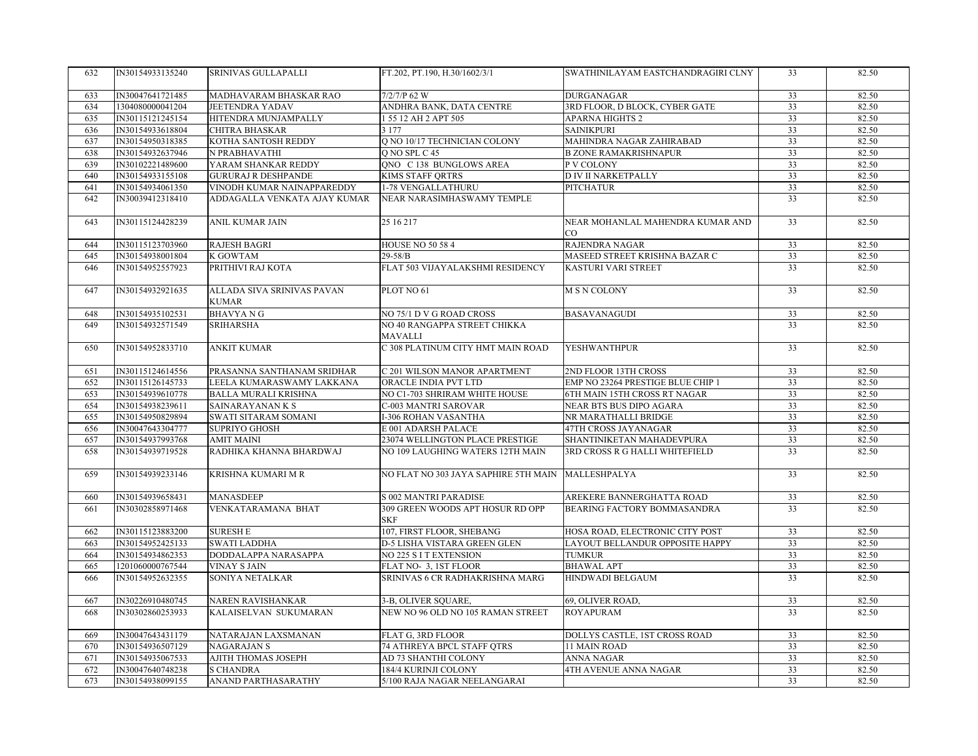| 632 | IN30154933135240 | <b>SRINIVAS GULLAPALLI</b>                 | FT.202, PT.190, H.30/1602/3/1                     | SWATHINILAYAM EASTCHANDRAGIRI CLNY            | 33              | 82.50 |
|-----|------------------|--------------------------------------------|---------------------------------------------------|-----------------------------------------------|-----------------|-------|
| 633 | IN30047641721485 | MADHAVARAM BHASKAR RAO                     | 7/2/7/P 62 W                                      | <b>DURGANAGAR</b>                             | 33              | 82.50 |
| 634 | 1304080000041204 | <b>JEETENDRA YADAV</b>                     | ANDHRA BANK, DATA CENTRE                          | 3RD FLOOR, D BLOCK, CYBER GATE                | 33              | 82.50 |
| 635 | IN30115121245154 | HITENDRA MUNJAMPALLY                       | 1 55 12 AH 2 APT 505                              | <b>APARNA HIGHTS 2</b>                        | 33              | 82.50 |
| 636 | IN30154933618804 | <b>CHITRA BHASKAR</b>                      | 3 1 7 7                                           | <b>SAINIKPURI</b>                             | 33              | 82.50 |
| 637 | IN30154950318385 | KOTHA SANTOSH REDDY                        | Q NO 10/17 TECHNICIAN COLONY                      | MAHINDRA NAGAR ZAHIRABAD                      | 33              | 82.50 |
| 638 | IN30154932637946 | N PRABHAVATHI                              | O NO SPL C 45                                     | <b>B ZONE RAMAKRISHNAPUR</b>                  | 33              | 82.50 |
| 639 | IN30102221489600 | YARAM SHANKAR REDDY                        | QNO C 138 BUNGLOWS AREA                           | P V COLONY                                    | 33              | 82.50 |
| 640 | IN30154933155108 | <b>GURURAJ R DESHPANDE</b>                 | KIMS STAFF QRTRS                                  | <b>D IV II NARKETPALLY</b>                    | 33              | 82.50 |
| 641 | IN30154934061350 | VINODH KUMAR NAINAPPAREDDY                 | 1-78 VENGALLATHURU                                | <b>PITCHATUR</b>                              | 33              | 82.50 |
| 642 | IN30039412318410 | ADDAGALLA VENKATA AJAY KUMAR               | NEAR NARASIMHASWAMY TEMPLE                        |                                               | $\overline{33}$ | 82.50 |
| 643 | IN30115124428239 | <b>ANIL KUMAR JAIN</b>                     | 25 16 217                                         | NEAR MOHANLAL MAHENDRA KUMAR AND<br>$\rm{CO}$ | 33              | 82.50 |
| 644 | IN30115123703960 | <b>RAJESH BAGRI</b>                        | HOUSE NO 50 58 4                                  | RAJENDRA NAGAR                                | 33              | 82.50 |
| 645 | IN30154938001804 | <b>K GOWTAM</b>                            | $29 - 58/B$                                       | MASEED STREET KRISHNA BAZAR C                 | 33              | 82.50 |
| 646 | IN30154952557923 | PRITHIVI RAJ KOTA                          | FLAT 503 VIJAYALAKSHMI RESIDENCY                  | KASTURI VARI STREET                           | $\overline{33}$ | 82.50 |
|     |                  |                                            |                                                   |                                               |                 |       |
| 647 | IN30154932921635 | ALLADA SIVA SRINIVAS PAVAN<br><b>KUMAR</b> | PLOT NO 61                                        | <b>M S N COLONY</b>                           | 33              | 82.50 |
| 648 | IN30154935102531 | <b>BHAVYANG</b>                            | NO 75/1 D V G ROAD CROSS                          | <b>BASAVANAGUDI</b>                           | 33              | 82.50 |
| 649 | IN30154932571549 | SRIHARSHA                                  | NO 40 RANGAPPA STREET CHIKKA                      |                                               | 33              | 82.50 |
|     |                  |                                            | MAVALLI                                           |                                               |                 |       |
| 650 | IN30154952833710 | <b>ANKIT KUMAR</b>                         | C 308 PLATINUM CITY HMT MAIN ROAD                 | <b>YESHWANTHPUR</b>                           | 33              | 82.50 |
| 651 | IN30115124614556 | PRASANNA SANTHANAM SRIDHAR                 | C 201 WILSON MANOR APARTMENT                      | 2ND FLOOR 13TH CROSS                          | 33              | 82.50 |
| 652 | IN30115126145733 | LEELA KUMARASWAMY LAKKANA                  | ORACLE INDIA PVT LTD                              | EMP NO 23264 PRESTIGE BLUE CHIP 1             | 33              | 82.50 |
| 653 | IN30154939610778 | <b>BALLA MURALI KRISHNA</b>                | NO C1-703 SHRIRAM WHITE HOUSE                     | 6TH MAIN 15TH CROSS RT NAGAR                  | $\overline{33}$ | 82.50 |
| 654 | IN30154938239611 | SAINARAYANAN K S                           | <b>C-003 MANTRI SAROVAR</b>                       | NEAR BTS BUS DIPO AGARA                       | 33              | 82.50 |
| 655 | IN30154950829894 | SWATI SITARAM SOMANI                       | <b>I-306 ROHAN VASANTHA</b>                       | NR MARATHALLI BRIDGE                          | 33              | 82.50 |
| 656 | IN30047643304777 | <b>SUPRIYO GHOSH</b>                       | E 001 ADARSH PALACE                               | 47TH CROSS JAYANAGAR                          | 33              | 82.50 |
| 657 | IN30154937993768 | <b>AMIT MAINI</b>                          | 23074 WELLINGTON PLACE PRESTIGE                   | SHANTINIKETAN MAHADEVPURA                     | 33              | 82.50 |
| 658 | IN30154939719528 | RADHIKA KHANNA BHARDWAJ                    | NO 109 LAUGHING WATERS 12TH MAIN                  | 3RD CROSS R G HALLI WHITEFIELD                | 33              | 82.50 |
| 659 | IN30154939233146 | KRISHNA KUMARI M R                         | NO FLAT NO 303 JAYA SAPHIRE 5TH MAIN MALLESHPALYA |                                               | 33              | 82.50 |
| 660 | IN30154939658431 | <b>MANASDEEP</b>                           | <b>S 002 MANTRI PARADISE</b>                      | AREKERE BANNERGHATTA ROAD                     | 33              | 82.50 |
| 661 | IN30302858971468 | VENKATARAMANA BHAT                         | 309 GREEN WOODS APT HOSUR RD OPP                  | BEARING FACTORY BOMMASANDRA                   | $\overline{33}$ | 82.50 |
|     |                  |                                            | <b>SKF</b>                                        |                                               |                 |       |
| 662 | IN30115123883200 | <b>SURESH E</b>                            | 107, FIRST FLOOR, SHEBANG                         | HOSA ROAD, ELECTRONIC CITY POST               | 33              | 82.50 |
| 663 | IN30154952425133 | <b>SWATI LADDHA</b>                        | D-5 LISHA VISTARA GREEN GLEN                      | LAYOUT BELLANDUR OPPOSITE HAPPY               | 33              | 82.50 |
| 664 | IN30154934862353 | DODDALAPPA NARASAPPA                       | NO 225 S I T EXTENSION                            | <b>TUMKUR</b>                                 | 33              | 82.50 |
| 665 | 1201060000767544 | <b>VINAY S JAIN</b>                        | FLAT NO- 3, 1ST FLOOR                             | <b>BHAWAL APT</b>                             | 33              | 82.50 |
| 666 | IN30154952632355 | SONIYA NETALKAR                            | SRINIVAS 6 CR RADHAKRISHNA MARG                   | <b>HINDWADI BELGAUM</b>                       | 33              | 82.50 |
|     |                  |                                            |                                                   |                                               |                 |       |
| 667 | IN30226910480745 | <b>NAREN RAVISHANKAR</b>                   | 3-B, OLIVER SQUARE,                               | 69, OLIVER ROAD,                              | 33              | 82.50 |
| 668 | IN30302860253933 | KALAISELVAN SUKUMARAN                      | NEW NO 96 OLD NO 105 RAMAN STREET                 | <b>ROYAPURAM</b>                              | 33              | 82.50 |
| 669 | IN30047643431179 | NATARAJAN LAXSMANAN                        | FLAT G, 3RD FLOOR                                 | DOLLYS CASTLE, 1ST CROSS ROAD                 | 33              | 82.50 |
| 670 | IN30154936507129 | <b>NAGARAJAN S</b>                         | 74 ATHREYA BPCL STAFF QTRS                        | 11 MAIN ROAD                                  | 33              | 82.50 |
| 671 | IN30154935067533 | <b>AJITH THOMAS JOSEPH</b>                 | AD 73 SHANTHI COLONY                              | ANNA NAGAR                                    | 33              | 82.50 |
| 672 | IN30047640748238 | <b>S CHANDRA</b>                           | 184/4 KURINJI COLONY                              | 4TH AVENUE ANNA NAGAR                         | 33              | 82.50 |
| 673 | IN30154938099155 | ANAND PARTHASARATHY                        | 5/100 RAJA NAGAR NEELANGARAI                      |                                               | 33              | 82.50 |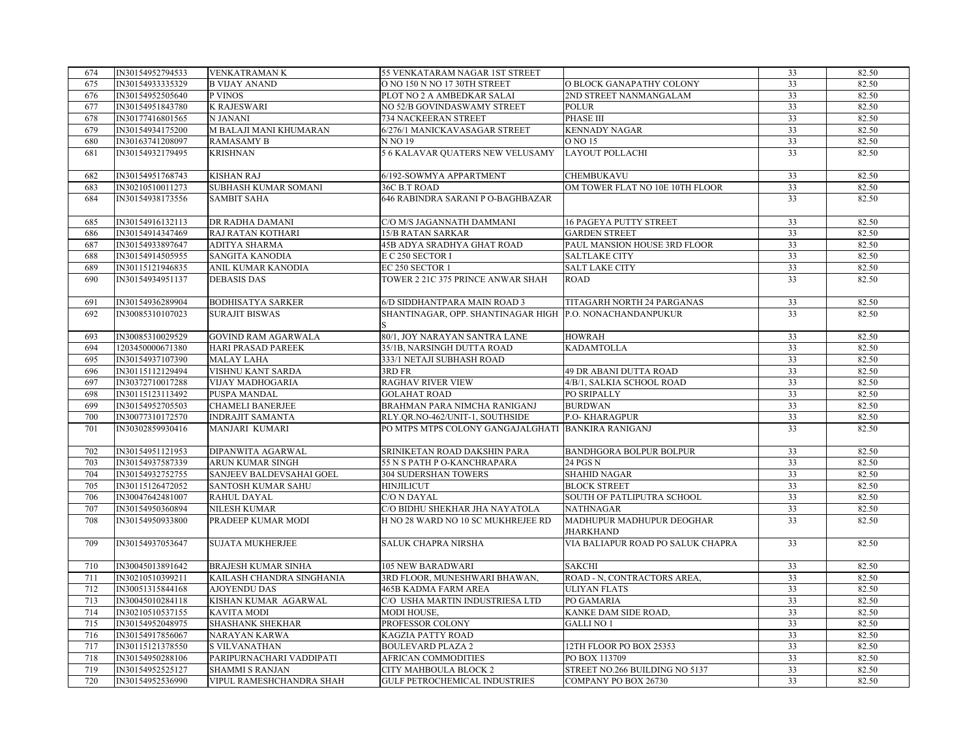| 674 | IN30154952794533 | <b>VENKATRAMANK</b>        | 55 VENKATARAM NAGAR 1ST STREET                           |                                   | 33              | 82.50 |
|-----|------------------|----------------------------|----------------------------------------------------------|-----------------------------------|-----------------|-------|
| 675 | IN30154933335329 | <b>B VIJAY ANAND</b>       | O NO 150 N NO 17 30TH STREET                             | O BLOCK GANAPATHY COLONY          | 33              | 82.50 |
| 676 | IN30154952505640 | P VINOS                    | PLOT NO 2 A AMBEDKAR SALAI                               | 2ND STREET NANMANGALAM            | 33              | 82.50 |
| 677 | IN30154951843780 | <b>K RAJESWARI</b>         | NO 52/B GOVINDASWAMY STREET                              | <b>POLUR</b>                      | 33              | 82.50 |
| 678 | IN30177416801565 | N JANANI                   | 734 NACKEERAN STREET                                     | PHASE III                         | 33              | 82.50 |
| 679 | IN30154934175200 | M BALAJI MANI KHUMARAN     | 6/276/1 MANICKAVASAGAR STREET                            | <b>KENNADY NAGAR</b>              | 33              | 82.50 |
| 680 | IN30163741208097 | <b>RAMASAMY B</b>          | N NO 19                                                  | O NO 15                           | 33              | 82.50 |
| 681 | IN30154932179495 | <b>KRISHNAN</b>            | 5 6 KALAVAR QUATERS NEW VELUSAMY                         | <b>LAYOUT POLLACHI</b>            | 33              | 82.50 |
|     |                  |                            |                                                          |                                   |                 |       |
| 682 | IN30154951768743 | <b>KISHAN RAJ</b>          | 6/192-SOWMYA APPARTMENT                                  | CHEMBUKAVU                        | 33              | 82.50 |
| 683 | IN30210510011273 | SUBHASH KUMAR SOMANI       | 36C B.T ROAD                                             | OM TOWER FLAT NO 10E 10TH FLOOR   | 33              | 82.50 |
| 684 | IN30154938173556 | <b>SAMBIT SAHA</b>         | 646 RABINDRA SARANI P O-BAGHBAZAR                        |                                   | $\overline{33}$ | 82.50 |
|     |                  |                            |                                                          |                                   |                 |       |
| 685 | IN30154916132113 | DR RADHA DAMANI            | C/O M/S JAGANNATH DAMMANI                                | <b>16 PAGEYA PUTTY STREET</b>     | 33              | 82.50 |
| 686 | IN30154914347469 | RAJ RATAN KOTHARI          | 15/B RATAN SARKAR                                        | <b>GARDEN STREET</b>              | 33              | 82.50 |
| 687 | IN30154933897647 | ADITYA SHARMA              | 45B ADYA SRADHYA GHAT ROAD                               | PAUL MANSION HOUSE 3RD FLOOR      | 33              | 82.50 |
| 688 | IN30154914505955 | <b>SANGITA KANODIA</b>     | E C 250 SECTOR I                                         | <b>SALTLAKE CITY</b>              | 33              | 82.50 |
| 689 | IN30115121946835 | ANIL KUMAR KANODIA         | EC 250 SECTOR 1                                          | <b>SALT LAKE CITY</b>             | 33              | 82.50 |
|     |                  |                            |                                                          |                                   | 33              |       |
| 690 | IN30154934951137 | <b>DEBASIS DAS</b>         | TOWER 2 21C 375 PRINCE ANWAR SHAH                        | <b>ROAD</b>                       |                 | 82.50 |
|     |                  |                            |                                                          |                                   |                 |       |
| 691 | IN30154936289904 | <b>BODHISATYA SARKER</b>   | 6/D SIDDHANTPARA MAIN ROAD 3                             | TITAGARH NORTH 24 PARGANAS        | 33              | 82.50 |
| 692 | IN30085310107023 | <b>SURAJIT BISWAS</b>      | SHANTINAGAR, OPP. SHANTINAGAR HIGH P.O. NONACHANDANPUKUR |                                   | 33              | 82.50 |
|     |                  |                            |                                                          |                                   |                 |       |
| 693 | IN30085310029529 | <b>GOVIND RAM AGARWALA</b> | 80/1, JOY NARAYAN SANTRA LANE                            | <b>HOWRAH</b>                     | 33              | 82.50 |
| 694 | 1203450000671380 | <b>HARI PRASAD PAREEK</b>  | 35/1B, NARSINGH DUTTA ROAD                               | KADAMTOLLA                        | 33              | 82.50 |
| 695 | IN30154937107390 | <b>MALAY LAHA</b>          | 333/1 NETAJI SUBHASH ROAD                                |                                   | 33              | 82.50 |
| 696 | IN30115112129494 | VISHNU KANT SARDA          | 3RD FR                                                   | 49 DR ABANI DUTTA ROAD            | $\overline{33}$ | 82.50 |
| 697 | IN30372710017288 | VIJAY MADHOGARIA           | <b>RAGHAV RIVER VIEW</b>                                 | 4/B/1, SALKIA SCHOOL ROAD         | 33              | 82.50 |
| 698 | IN30115123113492 | PUSPA MANDAL               | <b>GOLAHAT ROAD</b>                                      | PO SRIPALLY                       | 33              | 82.50 |
| 699 | IN30154952705503 | <b>CHAMELI BANERJEE</b>    | BRAHMAN PARA NIMCHA RANIGANJ                             | <b>BURDWAN</b>                    | 33              | 82.50 |
| 700 | IN30077310172570 | <b>INDRAJIT SAMANTA</b>    | RLY.QR.NO-462/UNIT-1, SOUTHSIDE                          | <b>P.O-KHARAGPUR</b>              | 33              | 82.50 |
| 701 | IN30302859930416 | MANJARI KUMARI             | PO MTPS MTPS COLONY GANGAJALGHATI BANKIRA RANIGANJ       |                                   | 33              | 82.50 |
|     |                  |                            |                                                          |                                   |                 |       |
| 702 | IN30154951121953 | DIPANWITA AGARWAL          | SRINIKETAN ROAD DAKSHIN PARA                             | <b>BANDHGORA BOLPUR BOLPUR</b>    | 33              | 82.50 |
| 703 | IN30154937587339 | ARUN KUMAR SINGH           | 55 N S PATH P O-KANCHRAPARA                              | 24 PGS N                          | 33              | 82.50 |
| 704 | IN30154932752755 | SANJEEV BALDEVSAHAI GOEL   | <b>304 SUDERSHAN TOWERS</b>                              | <b>SHAHID NAGAR</b>               | 33              | 82.50 |
| 705 | IN30115126472052 | SANTOSH KUMAR SAHU         | <b>HINJILICUT</b>                                        | <b>BLOCK STREET</b>               | 33              | 82.50 |
| 706 | IN30047642481007 | RAHUL DAYAL                | C/O N DAYAL                                              | SOUTH OF PATLIPUTRA SCHOOL        | 33              | 82.50 |
| 707 | IN30154950360894 | NILESH KUMAR               | C/O BIDHU SHEKHAR JHA NAYATOLA                           | <b>NATHNAGAR</b>                  | 33              | 82.50 |
| 708 | IN30154950933800 | PRADEEP KUMAR MODI         | H NO 28 WARD NO 10 SC MUKHREJEE RD                       | MADHUPUR MADHUPUR DEOGHAR         | 33              | 82.50 |
|     |                  |                            |                                                          | <b>JHARKHAND</b>                  |                 |       |
| 709 | IN30154937053647 | <b>SUJATA MUKHERJEE</b>    | <b>SALUK CHAPRA NIRSHA</b>                               | VIA BALIAPUR ROAD PO SALUK CHAPRA | $\overline{33}$ | 82.50 |
|     |                  |                            |                                                          |                                   |                 |       |
| 710 | IN30045013891642 | <b>BRAJESH KUMAR SINHA</b> | <b>105 NEW BARADWARI</b>                                 | <b>SAKCHI</b>                     | 33              | 82.50 |
| 711 | IN30210510399211 | KAILASH CHANDRA SINGHANIA  | 3RD FLOOR, MUNESHWARI BHAWAN,                            | ROAD - N, CONTRACTORS AREA,       | 33              | 82.50 |
| 712 | IN30051315844168 | <b>AJOYENDU DAS</b>        | 465B KADMA FARM AREA                                     | <b>ULIYAN FLATS</b>               | 33              | 82.50 |
| 713 | IN30045010284118 | KISHAN KUMAR AGARWAL       | C/O USHA MARTIN INDUSTRIESA LTD                          | PO GAMARIA                        | $\overline{33}$ | 82.50 |
| 714 | IN30210510537155 | <b>KAVITA MODI</b>         | MODI HOUSE,                                              | KANKE DAM SIDE ROAD,              | 33              | 82.50 |
| 715 | IN30154952048975 | <b>SHASHANK SHEKHAR</b>    | PROFESSOR COLONY                                         | <b>GALLI NO 1</b>                 | 33              | 82.50 |
| 716 | IN30154917856067 | NARAYAN KARWA              | <b>KAGZIA PATTY ROAD</b>                                 |                                   | 33              | 82.50 |
| 717 | IN30115121378550 | <b>S VILVANATHAN</b>       | <b>BOULEVARD PLAZA 2</b>                                 | 12TH FLOOR PO BOX 25353           | 33              | 82.50 |
| 718 | IN30154950288106 | PARIPURNACHARI VADDIPATI   | AFRICAN COMMODITIES                                      | PO BOX 113709                     | 33              | 82.50 |
| 719 | IN30154952525127 | <b>SHAMMI S RANJAN</b>     | CITY MAHBOULA BLOCK 2                                    | STREET NO.266 BUILDING NO 5137    | $\overline{33}$ | 82.50 |
| 720 | IN30154952536990 | VIPUL RAMESHCHANDRA SHAH   | <b>GULF PETROCHEMICAL INDUSTRIES</b>                     | COMPANY PO BOX 26730              | 33              | 82.50 |
|     |                  |                            |                                                          |                                   |                 |       |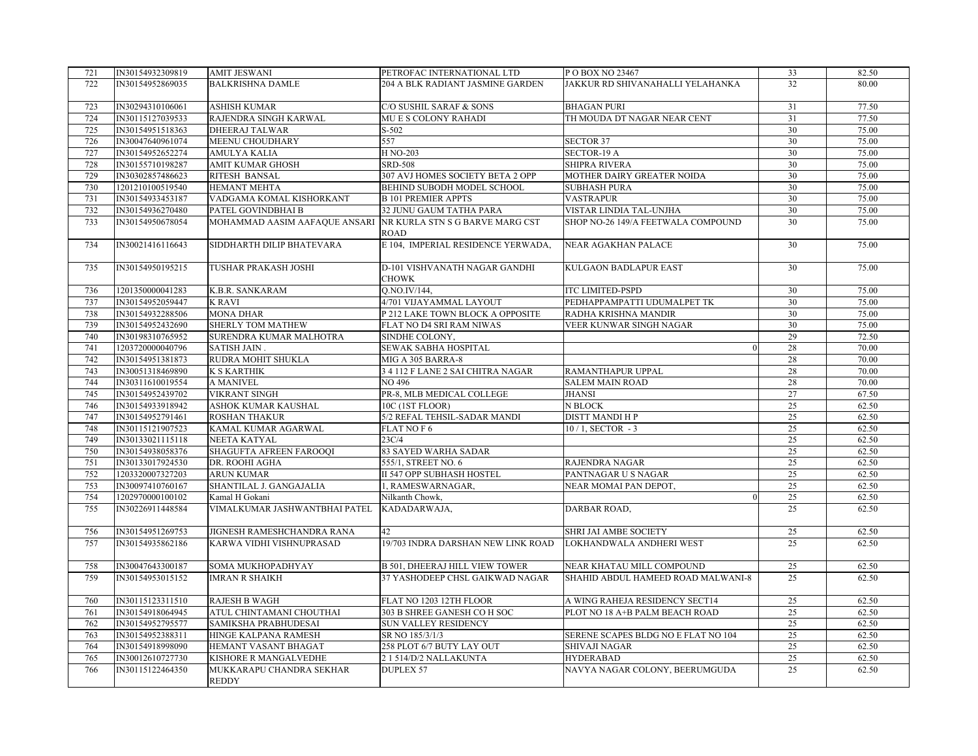| 721 | IN30154932309819 | <b>AMIT JESWANI</b>           | PETROFAC INTERNATIONAL LTD            | P O BOX NO 23467                    | 33              | 82.50 |
|-----|------------------|-------------------------------|---------------------------------------|-------------------------------------|-----------------|-------|
| 722 | IN30154952869035 | <b>BALKRISHNA DAMLE</b>       | 204 A BLK RADIANT JASMINE GARDEN      | JAKKUR RD SHIVANAHALLI YELAHANKA    | 32              | 80.00 |
|     |                  |                               |                                       |                                     |                 |       |
| 723 | IN30294310106061 | <b>ASHISH KUMAR</b>           | C/O SUSHIL SARAF & SONS               | <b>BHAGAN PURI</b>                  | 31              | 77.50 |
| 724 | IN30115127039533 | RAJENDRA SINGH KARWAL         | MU E S COLONY RAHADI                  | TH MOUDA DT NAGAR NEAR CENT         | 31              | 77.50 |
| 725 | IN30154951518363 | <b>DHEERAJ TALWAR</b>         | $S-502$                               |                                     | 30              | 75.00 |
| 726 | IN30047640961074 | MEENU CHOUDHARY               | 557                                   | <b>SECTOR 37</b>                    | 30              | 75.00 |
| 727 | IN30154952652274 | <b>AMULYA KALIA</b>           | <b>H NO-203</b>                       | SECTOR-19 A                         | 30              | 75.00 |
| 728 | IN30155710198287 | <b>AMIT KUMAR GHOSH</b>       | <b>SRD-508</b>                        | <b>SHIPRA RIVERA</b>                | 30              | 75.00 |
| 729 | IN30302857486623 | RITESH BANSAL                 | 307 AVJ HOMES SOCIETY BETA 2 OPP      | MOTHER DAIRY GREATER NOIDA          | 30              | 75.00 |
| 730 | 1201210100519540 | HEMANT MEHTA                  | BEHIND SUBODH MODEL SCHOOL            | <b>SUBHASH PURA</b>                 | 30              | 75.00 |
| 731 | IN30154933453187 | VADGAMA KOMAL KISHORKANT      | <b>B 101 PREMIER APPTS</b>            | <b>VASTRAPUR</b>                    | 30              | 75.00 |
| 732 | IN30154936270480 | PATEL GOVINDBHAI B            | 32 JUNU GAUM TATHA PARA               | VISTAR LINDIA TAL-UNJHA             | 30              | 75.00 |
| 733 | IN30154950678054 | MOHAMMAD AASIM AAFAQUE ANSARI | NR KURLA STN S G BARVE MARG CST       | SHOP NO-26 149/A FEETWALA COMPOUND  | 30              | 75.00 |
|     |                  |                               | <b>ROAD</b>                           |                                     |                 |       |
| 734 | IN30021416116643 | SIDDHARTH DILIP BHATEVARA     | E 104, IMPERIAL RESIDENCE YERWADA,    | NEAR AGAKHAN PALACE                 | 30              | 75.00 |
|     |                  |                               |                                       |                                     |                 |       |
| 735 | IN30154950195215 | <b>TUSHAR PRAKASH JOSHI</b>   | D-101 VISHVANATH NAGAR GANDHI         | KULGAON BADLAPUR EAST               | 30              | 75.00 |
|     |                  |                               | <b>CHOWK</b>                          |                                     |                 |       |
| 736 | 1201350000041283 | K.B.R. SANKARAM               | Q.NO.IV/144,                          | ITC LIMITED-PSPD                    | 30              | 75.00 |
| 737 | IN30154952059447 | <b>K RAVI</b>                 | 4/701 VIJAYAMMAL LAYOUT               | PEDHAPPAMPATTI UDUMALPET TK         | 30              | 75.00 |
| 738 | IN30154932288506 | <b>MONA DHAR</b>              | P 212 LAKE TOWN BLOCK A OPPOSITE      | RADHA KRISHNA MANDIR                | 30              | 75.00 |
| 739 | IN30154952432690 | <b>SHERLY TOM MATHEW</b>      | FLAT NO D4 SRI RAM NIWAS              | VEER KUNWAR SINGH NAGAR             | 30              | 75.00 |
| 740 | IN30198310765952 | SURENDRA KUMAR MALHOTRA       | SINDHE COLONY,                        |                                     | 29              | 72.50 |
| 741 | 1203720000040796 | SATISH JAIN.                  | SEWAK SABHA HOSPITAL                  |                                     | 28              | 70.00 |
| 742 | IN30154951381873 | RUDRA MOHIT SHUKLA            | MIG A 305 BARRA-8                     |                                     | 28              | 70.00 |
| 743 | IN30051318469890 | <b>K S KARTHIK</b>            | 3 4 112 F LANE 2 SAI CHITRA NAGAR     | RAMANTHAPUR UPPAL                   | 28              | 70.00 |
| 744 | IN30311610019554 | A MANIVEL                     | <b>NO 496</b>                         | <b>SALEM MAIN ROAD</b>              | 28              | 70.00 |
| 745 | IN30154952439702 | <b>VIKRANT SINGH</b>          | PR-8, MLB MEDICAL COLLEGE             | <b>JHANSI</b>                       | 27              | 67.50 |
| 746 | IN30154933918942 | ASHOK KUMAR KAUSHAL           | 10C (1ST FLOOR)                       | <b>N BLOCK</b>                      | 25              | 62.50 |
| 747 | IN30154952791461 | ROSHAN THAKUR                 | 5/2 REFAL TEHSIL-SADAR MANDI          | DISTT MANDI H P                     | 25              | 62.50 |
| 748 | IN30115121907523 | KAMAL KUMAR AGARWAL           | <b>FLAT NO F 6</b>                    | $10/1$ , SECTOR - 3                 | 25              | 62.50 |
| 749 | IN30133021115118 | NEETA KATYAL                  | 23C/4                                 |                                     | 25              | 62.50 |
| 750 | IN30154938058376 | SHAGUFTA AFREEN FAROOQI       | 83 SAYED WARHA SADAR                  |                                     | 25              | 62.50 |
| 751 | IN30133017924530 | DR. ROOHI AGHA                | 555/1, STREET NO. 6                   | RAJENDRA NAGAR                      | 25              | 62.50 |
| 752 | 1203320007327203 | <b>ARUN KUMAR</b>             | II 547 OPP SUBHASH HOSTEL             | PANTNAGAR U S NAGAR                 | 25              | 62.50 |
| 753 | IN30097410760167 | SHANTILAL J. GANGAJALIA       | 1, RAMESWARNAGAR,                     | NEAR MOMAI PAN DEPOT,               | 25              | 62.50 |
| 754 | 1202970000100102 | Kamal H Gokani                | Nilkanth Chowk,                       |                                     | 25              | 62.50 |
| 755 | IN30226911448584 | VIMALKUMAR JASHWANTBHAI PATEL | KADADARWAJA,                          | DARBAR ROAD,                        | 25              | 62.50 |
|     |                  |                               |                                       |                                     |                 |       |
| 756 | IN30154951269753 | JIGNESH RAMESHCHANDRA RANA    | 42                                    | SHRI JAI AMBE SOCIETY               | 25              | 62.50 |
| 757 | IN30154935862186 | KARWA VIDHI VISHNUPRASAD      | 19/703 INDRA DARSHAN NEW LINK ROAD    | LOKHANDWALA ANDHERI WEST            | $\overline{25}$ | 62.50 |
|     |                  |                               |                                       |                                     |                 |       |
| 758 | IN30047643300187 | SOMA MUKHOPADHYAY             | <b>B 501, DHEERAJ HILL VIEW TOWER</b> | NEAR KHATAU MILL COMPOUND           | 25              | 62.50 |
| 759 | IN30154953015152 | <b>IMRAN R SHAIKH</b>         | 37 YASHODEEP CHSL GAIKWAD NAGAR       | SHAHID ABDUL HAMEED ROAD MALWANI-8  | 25              | 62.50 |
|     |                  |                               |                                       |                                     |                 |       |
| 760 | IN30115123311510 | <b>RAJESH B WAGH</b>          | FLAT NO 1203 12TH FLOOR               | A WING RAHEJA RESIDENCY SECT14      | 25              | 62.50 |
| 761 | IN30154918064945 | ATUL CHINTAMANI CHOUTHAI      | 303 B SHREE GANESH CO H SOC           | PLOT NO 18 A+B PALM BEACH ROAD      | 25              | 62.50 |
| 762 | IN30154952795577 | SAMIKSHA PRABHUDESAI          | SUN VALLEY RESIDENCY                  |                                     | 25              | 62.50 |
| 763 | IN30154952388311 | HINGE KALPANA RAMESH          | SR NO 185/3/1/3                       | SERENE SCAPES BLDG NO E FLAT NO 104 | 25              | 62.50 |
| 764 | IN30154918998090 | HEMANT VASANT BHAGAT          | 258 PLOT 6/7 BUTY LAY OUT             | <b>SHIVAJI NAGAR</b>                | 25              | 62.50 |
| 765 | IN30012610727730 | KISHORE R MANGALVEDHE         | 2 1 514/D/2 NALLAKUNTA                | <b>HYDERABAD</b>                    | 25              | 62.50 |
| 766 | IN30115122464350 | MUKKARAPU CHANDRA SEKHAR      | <b>DUPLEX 57</b>                      | NAVYA NAGAR COLONY, BEERUMGUDA      | $\overline{25}$ | 62.50 |
|     |                  | <b>REDDY</b>                  |                                       |                                     |                 |       |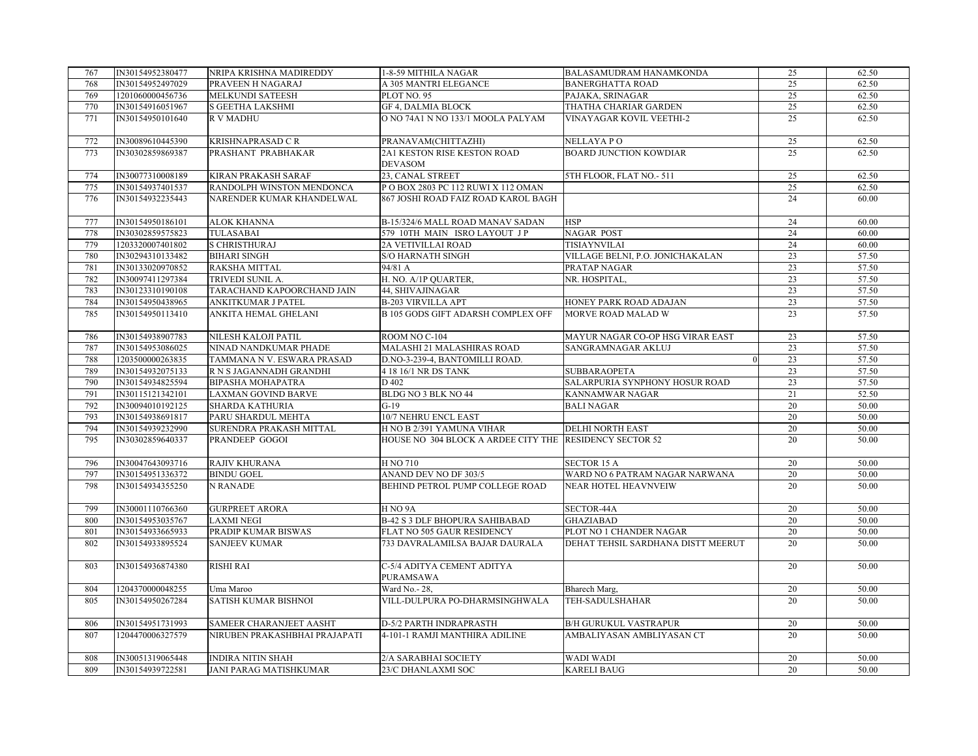| 767 | IN30154952380477 | NRIPA KRISHNA MADIREDDY       | 1-8-59 MITHILA NAGAR                                    | BALASAMUDRAM HANAMKONDA            | 25              | 62.50 |
|-----|------------------|-------------------------------|---------------------------------------------------------|------------------------------------|-----------------|-------|
| 768 | IN30154952497029 | PRAVEEN H NAGARAJ             | A 305 MANTRI ELEGANCE                                   | <b>BANERGHATTA ROAD</b>            | 25              | 62.50 |
| 769 | 1201060000456736 | MELKUNDI SATEESH              | PLOT NO. 95                                             | PAJAKA, SRINAGAR                   | 25              | 62.50 |
| 770 | IN30154916051967 | S GEETHA LAKSHMI              | <b>GF 4, DALMIA BLOCK</b>                               | THATHA CHARIAR GARDEN              | 25              | 62.50 |
| 771 | IN30154950101640 | <b>RV MADHU</b>               | O NO 74A1 N NO 133/1 MOOLA PALYAM                       | <b>VINAYAGAR KOVIL VEETHI-2</b>    | 25              | 62.50 |
|     |                  |                               |                                                         |                                    |                 |       |
| 772 | IN30089610445390 | KRISHNAPRASAD CR              | PRANAVAM(CHITTAZHI)                                     | NELLAYA PO                         | 25              | 62.50 |
| 773 | IN30302859869387 | PRASHANT PRABHAKAR            | 2A1 KESTON RISE KESTON ROAD                             | <b>BOARD JUNCTION KOWDIAR</b>      | 25              | 62.50 |
|     |                  |                               | <b>DEVASOM</b>                                          |                                    |                 |       |
| 774 | IN30077310008189 | KIRAN PRAKASH SARAF           | 23, CANAL STREET                                        | 5TH FLOOR, FLAT NO.- 511           | 25              | 62.50 |
| 775 | IN30154937401537 | RANDOLPH WINSTON MENDONCA     | P O BOX 2803 PC 112 RUWI X 112 OMAN                     |                                    | 25              | 62.50 |
| 776 | IN30154932235443 | NARENDER KUMAR KHANDELWAL     | 867 JOSHI ROAD FAIZ ROAD KAROL BAGH                     |                                    | 24              | 60.00 |
|     |                  |                               |                                                         |                                    |                 |       |
| 777 | IN30154950186101 | <b>ALOK KHANNA</b>            | B-15/324/6 MALL ROAD MANAV SADAN                        | <b>HSP</b>                         | 24              | 60.00 |
| 778 | IN30302859575823 | TULASABAI                     | 579 10TH MAIN ISRO LAYOUT JP                            | NAGAR POST                         | 24              | 60.00 |
| 779 | 1203320007401802 | S CHRISTHURAJ                 | <b>2A VETIVILLAI ROAD</b>                               | TISIAYNVILAI                       | 24              | 60.00 |
| 780 | IN30294310133482 | <b>BIHARI SINGH</b>           | <b>S/O HARNATH SINGH</b>                                | VILLAGE BELNI, P.O. JONICHAKALAN   | 23              | 57.50 |
| 781 | IN30133020970852 | RAKSHA MITTAL                 | 94/81 A                                                 | PRATAP NAGAR                       | 23              | 57.50 |
| 782 | IN30097411297384 | TRIVEDI SUNIL A.              | H. NO. A/1P QUARTER,                                    | NR. HOSPITAL,                      | 23              | 57.50 |
| 783 | IN30123310190108 | TARACHAND KAPOORCHAND JAIN    | 44, SHIVAJINAGAR                                        |                                    | 23              | 57.50 |
| 784 | IN30154950438965 | ANKITKUMAR J PATEL            | <b>B-203 VIRVILLA APT</b>                               | HONEY PARK ROAD ADAJAN             | 23              | 57.50 |
| 785 | IN30154950113410 | ANKITA HEMAL GHELANI          | <b>B 105 GODS GIFT ADARSH COMPLEX OFF</b>               | MORVE ROAD MALAD W                 | 23              | 57.50 |
|     |                  |                               |                                                         |                                    |                 |       |
| 786 | IN30154938907783 | <b>NILESH KALOJI PATIL</b>    | ROOM NO C-104                                           | MAYUR NAGAR CO-OP HSG VIRAR EAST   | 23              | 57.50 |
| 787 | IN30154953086025 | NINAD NANDKUMAR PHADE         | MALASHI 21 MALASHIRAS ROAD                              | SANGRAMNAGAR AKLUJ                 | 23              | 57.50 |
| 788 | 1203500000263835 | TAMMANA N V. ESWARA PRASAD    | D.NO-3-239-4, BANTOMILLI ROAD.                          |                                    | 23              | 57.50 |
| 789 | IN30154932075133 | R N S JAGANNADH GRANDHI       | 4 18 16/1 NR DS TANK                                    | <b>SUBBARAOPETA</b>                | 23              | 57.50 |
| 790 | IN30154934825594 | <b>BIPASHA MOHAPATRA</b>      | D 402                                                   | SALARPURIA SYNPHONY HOSUR ROAD     | 23              | 57.50 |
| 791 | IN30115121342101 | <b>LAXMAN GOVIND BARVE</b>    | BLDG NO 3 BLK NO 44                                     | KANNAMWAR NAGAR                    | 21              | 52.50 |
| 792 | IN30094010192125 | SHARDA KATHURIA               | $G-19$                                                  | <b>BALI NAGAR</b>                  | 20              | 50.00 |
| 793 | IN30154938691817 | PARU SHARDUL MEHTA            | 10/7 NEHRU ENCL EAST                                    |                                    | 20              | 50.00 |
| 794 | IN30154939232990 | SURENDRA PRAKASH MITTAL       | H NO B 2/391 YAMUNA VIHAR                               | <b>DELHI NORTH EAST</b>            | 20              | 50.00 |
| 795 | IN30302859640337 | PRANDEEP GOGOI                | HOUSE NO 304 BLOCK A ARDEE CITY THE RESIDENCY SECTOR 52 |                                    | 20              | 50.00 |
|     |                  |                               |                                                         |                                    |                 |       |
| 796 | IN30047643093716 | RAJIV KHURANA                 | H NO 710                                                | <b>SECTOR 15 A</b>                 | 20              | 50.00 |
| 797 | IN30154951336372 | <b>BINDU GOEL</b>             | ANAND DEV NO DF 303/5                                   | WARD NO 6 PATRAM NAGAR NARWANA     | 20              | 50.00 |
| 798 | IN30154934355250 | N RANADE                      | BEHIND PETROL PUMP COLLEGE ROAD                         | NEAR HOTEL HEAVNVEIW               | 20              | 50.00 |
|     |                  |                               |                                                         |                                    |                 |       |
| 799 | IN30001110766360 | <b>GURPREET ARORA</b>         | H <sub>NO</sub> 9A                                      | SECTOR-44A                         | 20              | 50.00 |
| 800 | IN30154953035767 | <b>LAXMI NEGI</b>             | <b>B-42 S 3 DLF BHOPURA SAHIBABAD</b>                   | <b>GHAZIABAD</b>                   | 20              | 50.00 |
| 801 | IN30154933665933 | PRADIP KUMAR BISWAS           | FLAT NO 505 GAUR RESIDENCY                              | PLOT NO 1 CHANDER NAGAR            | 20              | 50.00 |
| 802 | IN30154933895524 | <b>SANJEEV KUMAR</b>          | 733 DAVRALAMILSA BAJAR DAURALA                          | DEHAT TEHSIL SARDHANA DISTT MEERUT | 20              | 50.00 |
|     |                  |                               |                                                         |                                    |                 |       |
| 803 | IN30154936874380 | RISHI RAI                     | C-5/4 ADITYA CEMENT ADITYA                              |                                    | 20              | 50.00 |
|     |                  |                               | PURAMSAWA                                               |                                    |                 |       |
| 804 | 1204370000048255 | Uma Maroo                     | Ward No. - 28,                                          | Bharech Marg,                      | 20              | 50.00 |
| 805 | IN30154950267284 | <b>SATISH KUMAR BISHNOI</b>   | VILL-DULPURA PO-DHARMSINGHWALA                          | TEH-SADULSHAHAR                    | 20              | 50.00 |
|     |                  |                               |                                                         |                                    |                 |       |
| 806 | IN30154951731993 | SAMEER CHARANJEET AASHT       | D-5/2 PARTH INDRAPRASTH                                 | <b>B/H GURUKUL VASTRAPUR</b>       | 20              | 50.00 |
| 807 | 1204470006327579 | NIRUBEN PRAKASHBHAI PRAJAPATI | 4-101-1 RAMJI MANTHIRA ADILINE                          | AMBALIYASAN AMBLIYASAN CT          | 20              | 50.00 |
|     |                  |                               |                                                         |                                    |                 |       |
| 808 | IN30051319065448 | <b>INDIRA NITIN SHAH</b>      | 2/A SARABHAI SOCIETY                                    | <b>WADI WADI</b>                   | 20              | 50.00 |
| 809 | IN30154939722581 | JANI PARAG MATISHKUMAR        | 23/C DHANLAXMI SOC                                      | <b>KARELI BAUG</b>                 | $\overline{20}$ | 50.00 |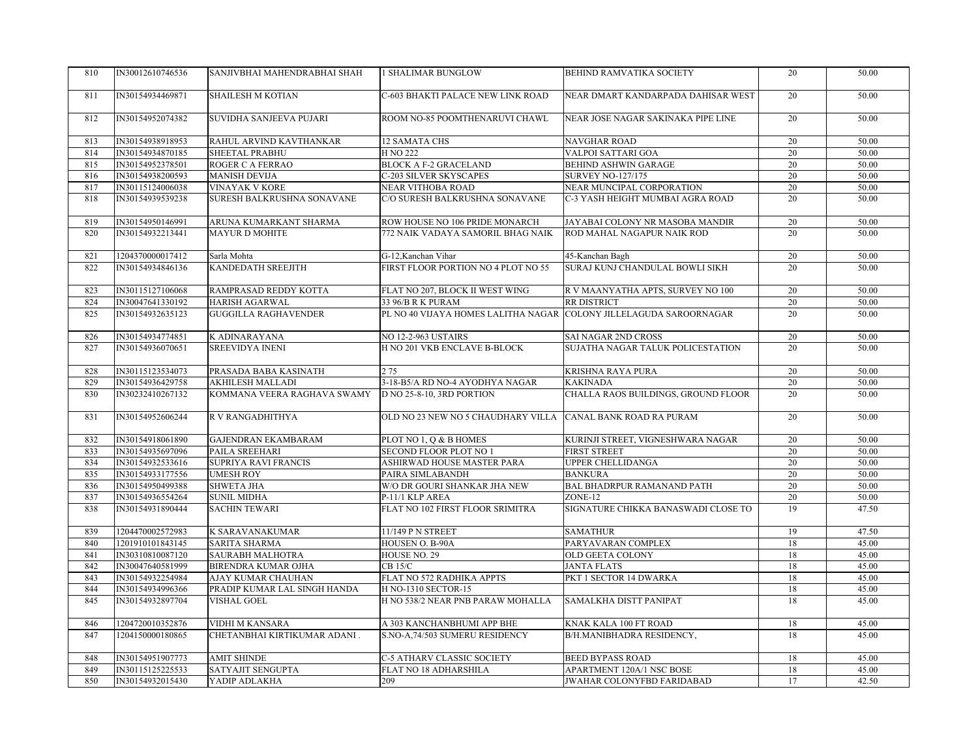| 810 | IN30012610746536 | SANJIVBHAI MAHENDRABHAI SHAH | <b>1 SHALIMAR BUNGLOW</b>                                          | BEHIND RAMVATIKA SOCIETY            | 20              | 50.00 |
|-----|------------------|------------------------------|--------------------------------------------------------------------|-------------------------------------|-----------------|-------|
| 811 | IN30154934469871 | <b>SHAILESH M KOTIAN</b>     | C-603 BHAKTI PALACE NEW LINK ROAD                                  | NEAR DMART KANDARPADA DAHISAR WEST  | 20              | 50.00 |
| 812 | IN30154952074382 | SUVIDHA SANJEEVA PUJARI      | ROOM NO-85 POOMTHENARUVI CHAWL                                     | NEAR JOSE NAGAR SAKINAKA PIPE LINE  | 20              | 50.00 |
| 813 | IN30154938918953 | RAHUL ARVIND KAVTHANKAR      | 12 SAMATA CHS                                                      | <b>NAVGHAR ROAD</b>                 | $\overline{20}$ | 50.00 |
| 814 | IN30154934870185 | SHEETAL PRABHU               | H NO 222                                                           | VALPOI SATTARI GOA                  | 20              | 50.00 |
| 815 | IN30154952378501 | ROGER C A FERRAO             | <b>BLOCK A F-2 GRACELAND</b>                                       | BEHIND ASHWIN GARAGE                | $\overline{20}$ | 50.00 |
| 816 | IN30154938200593 | <b>MANISH DEVIJA</b>         | <b>C-203 SILVER SKYSCAPES</b>                                      | <b>SURVEY NO-127/175</b>            | 20              | 50.00 |
| 817 | IN30115124006038 | <b>VINAYAK V KORE</b>        | NEAR VITHOBA ROAD                                                  | NEAR MUNCIPAL CORPORATION           | 20              | 50.00 |
| 818 | IN30154939539238 | SURESH BALKRUSHNA SONAVANE   | C/O SURESH BALKRUSHNA SONAVANE                                     | C-3 YASH HEIGHT MUMBAI AGRA ROAD    | 20              | 50.00 |
| 819 | IN30154950146991 | ARUNA KUMARKANT SHARMA       | ROW HOUSE NO 106 PRIDE MONARCH                                     | JAYABAI COLONY NR MASOBA MANDIR     | 20              | 50.00 |
| 820 | IN30154932213441 | <b>MAYUR D MOHITE</b>        | 772 NAIK VADAYA SAMORIL BHAG NAIK                                  | ROD MAHAL NAGAPUR NAIK ROD          | 20              | 50.00 |
| 821 | 1204370000017412 | Sarla Mohta                  | G-12, Kanchan Vihar                                                | 45-Kanchan Bagh                     | 20              | 50.00 |
| 822 | IN30154934846136 | KANDEDATH SREEJITH           | FIRST FLOOR PORTION NO 4 PLOT NO 55                                | SURAJ KUNJ CHANDULAL BOWLI SIKH     | 20              | 50.00 |
| 823 | IN30115127106068 | RAMPRASAD REDDY KOTTA        | FLAT NO 207, BLOCK II WEST WING                                    | R V MAANYATHA APTS, SURVEY NO 100   | 20              | 50.00 |
| 824 | IN30047641330192 | <b>HARISH AGARWAL</b>        | 33 96/B R K PURAM                                                  | RR DISTRICT                         | 20              | 50.00 |
| 825 | IN30154932635123 | <b>GUGGILLA RAGHAVENDER</b>  | PL NO 40 VIJAYA HOMES LALITHA NAGAR COLONY JILLELAGUDA SAROORNAGAR |                                     | $\overline{20}$ | 50.00 |
| 826 | IN30154934774851 | K ADINARAYANA                | <b>NO 12-2-963 USTAIRS</b>                                         | SAI NAGAR 2ND CROSS                 | 20              | 50.00 |
| 827 | IN30154936070651 | <b>SREEVIDYA INENI</b>       | H NO 201 VKB ENCLAVE B-BLOCK                                       | SUJATHA NAGAR TALUK POLICESTATION   | 20              | 50.00 |
| 828 | IN30115123534073 | PRASADA BABA KASINATH        | 275                                                                | KRISHNA RAYA PURA                   | 20              | 50.00 |
| 829 | IN30154936429758 | AKHILESH MALLADI             | 3-18-B5/A RD NO-4 AYODHYA NAGAR                                    | <b>KAKINADA</b>                     | 20              | 50.00 |
| 830 | IN30232410267132 | KOMMANA VEERA RAGHAVA SWAMY  | D NO 25-8-10, 3RD PORTION                                          | CHALLA RAOS BUILDINGS, GROUND FLOOR | 20              | 50.00 |
| 831 | IN30154952606244 | R V RANGADHITHYA             | OLD NO 23 NEW NO 5 CHAUDHARY VILLA                                 | CANAL BANK ROAD RA PURAM            | 20              | 50.00 |
| 832 | IN30154918061890 | <b>GAJENDRAN EKAMBARAM</b>   | PLOT NO 1, Q & B HOMES                                             | KURINJI STREET, VIGNESHWARA NAGAR   | 20              | 50.00 |
| 833 | IN30154935697096 | PAILA SREEHARI               | SECOND FLOOR PLOT NO 1                                             | <b>FIRST STREET</b>                 | 20              | 50.00 |
| 834 | IN30154932533616 | <b>SUPRIYA RAVI FRANCIS</b>  | ASHIRWAD HOUSE MASTER PARA                                         | <b>UPPER CHELLIDANGA</b>            | $\overline{20}$ | 50.00 |
| 835 | IN30154933177556 | <b>UMESH ROY</b>             | PAIRA SIMLABANDH                                                   | <b>BANKURA</b>                      | 20              | 50.00 |
| 836 | IN30154950499388 | SHWETA JHA                   | W/O DR GOURI SHANKAR JHA NEW                                       | BAL BHADRPUR RAMANAND PATH          | 20              | 50.00 |
| 837 | IN30154936554264 | <b>SUNIL MIDHA</b>           | P-11/1 KLP AREA                                                    | ZONE-12                             | 20              | 50.00 |
| 838 | IN30154931890444 | <b>SACHIN TEWARI</b>         | FLAT NO 102 FIRST FLOOR SRIMITRA                                   | SIGNATURE CHIKKA BANASWADI CLOSE TO | 19              | 47.50 |
| 839 | 1204470002572983 | K SARAVANAKUMAR              | 11/149 P N STREET                                                  | <b>SAMATHUR</b>                     | 19              | 47.50 |
| 840 | 1201910101843145 | <b>SARITA SHARMA</b>         | HOUSEN O. B-90A                                                    | PARYAVARAN COMPLEX                  | 18              | 45.00 |
| 841 | IN30310810087120 | <b>SAURABH MALHOTRA</b>      | HOUSE NO. 29                                                       | OLD GEETA COLONY                    | 18              | 45.00 |
| 842 | IN30047640581999 | BIRENDRA KUMAR OJHA          | <b>CB 15/C</b>                                                     | <b>JANTA FLATS</b>                  | 18              | 45.00 |
| 843 | IN30154932254984 | <b>AJAY KUMAR CHAUHAN</b>    | FLAT NO 572 RADHIKA APPTS                                          | PKT 1 SECTOR 14 DWARKA              | 18              | 45.00 |
| 844 | IN30154934996366 | PRADIP KUMAR LAL SINGH HANDA | H NO-1310 SECTOR-15                                                |                                     | 18              | 45.00 |
| 845 | IN30154932897704 | VISHAL GOEL                  | H NO 538/2 NEAR PNB PARAW MOHALLA                                  | SAMALKHA DISTT PANIPAT              | 18              | 45.00 |
| 846 | 1204720010352876 | VIDHI M KANSARA              | A 303 KANCHANBHUMI APP BHE                                         | KNAK KALA 100 FT ROAD               | 18              | 45.00 |
| 847 | 1204150000180865 | CHETANBHAI KIRTIKUMAR ADANI. | S.NO-A,74/503 SUMERU RESIDENCY                                     | B/H.MANIBHADRA RESIDENCY,           | 18              | 45.00 |
| 848 | IN30154951907773 | <b>AMIT SHINDE</b>           | <b>C-5 ATHARV CLASSIC SOCIETY</b>                                  | <b>BEED BYPASS ROAD</b>             | 18              | 45.00 |
| 849 | IN30115125225533 | SATYAJIT SENGUPTA            | FLAT NO 18 ADHARSHILA                                              | APARTMENT 120A/1 NSC BOSE           | 18              | 45.00 |
| 850 | IN30154932015430 | YADIP ADLAKHA                | 209                                                                | JWAHAR COLONYFBD FARIDABAD          | $\overline{17}$ | 42.50 |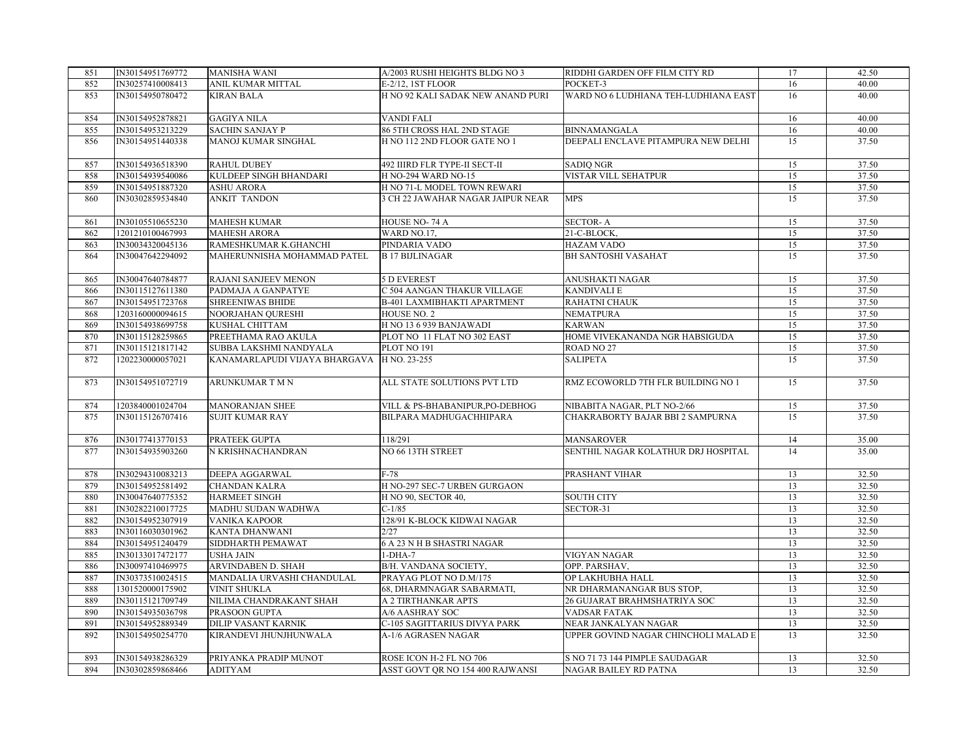| 851 | IN30154951769772 | <b>MANISHA WANI</b>                        | A/2003 RUSHI HEIGHTS BLDG NO 3           | RIDDHI GARDEN OFF FILM CITY RD       | 17              | 42.50 |
|-----|------------------|--------------------------------------------|------------------------------------------|--------------------------------------|-----------------|-------|
| 852 | IN30257410008413 | ANIL KUMAR MITTAL                          | E-2/12, 1ST FLOOR                        | POCKET-3                             | 16              | 40.00 |
| 853 | IN30154950780472 | KIRAN BALA                                 | H NO 92 KALI SADAK NEW ANAND PURI        | WARD NO 6 LUDHIANA TEH-LUDHIANA EAST | 16              | 40.00 |
| 854 | IN30154952878821 | <b>GAGIYA NILA</b>                         | VANDI FALI                               |                                      | 16              | 40.00 |
| 855 | IN30154953213229 | <b>SACHIN SANJAY P</b>                     | 86 5TH CROSS HAL 2ND STAGE               | <b>BINNAMANGALA</b>                  | 16              | 40.00 |
| 856 | IN30154951440338 | MANOJ KUMAR SINGHAL                        | H NO 112 2ND FLOOR GATE NO 1             | DEEPALI ENCLAVE PITAMPURA NEW DELHI  | 15              | 37.50 |
| 857 | IN30154936518390 | <b>RAHUL DUBEY</b>                         | 492 IIIRD FLR TYPE-II SECT-II            | <b>SADIO NGR</b>                     | 15              | 37.50 |
| 858 | IN30154939540086 | KULDEEP SINGH BHANDARI                     | <b>H NO-294 WARD NO-15</b>               | VISTAR VILL SEHATPUR                 | 15              | 37.50 |
| 859 | IN30154951887320 | <b>ASHU ARORA</b>                          | H NO 71-L MODEL TOWN REWARI              |                                      | 15              | 37.50 |
| 860 | IN30302859534840 | <b>ANKIT TANDON</b>                        | <b>3 CH 22 JAWAHAR NAGAR JAIPUR NEAR</b> | <b>MPS</b>                           | 15              | 37.50 |
| 861 | IN30105510655230 | <b>MAHESH KUMAR</b>                        | HOUSE NO-74 A                            | <b>SECTOR-A</b>                      | 15              | 37.50 |
| 862 | 1201210100467993 | <b>MAHESH ARORA</b>                        | WARD NO.17.                              | 21-C-BLOCK.                          | 15              | 37.50 |
| 863 | IN30034320045136 | RAMESHKUMAR K.GHANCHI                      | PINDARIA VADO                            | <b>HAZAM VADO</b>                    | 15              | 37.50 |
| 864 | IN30047642294092 | MAHERUNNISHA MOHAMMAD PATEL                | <b>B17 BIJLINAGAR</b>                    | <b>BH SANTOSHI VASAHAT</b>           | 15              | 37.50 |
| 865 | IN30047640784877 | RAJANI SANJEEV MENON                       | 5 D EVEREST                              | ANUSHAKTI NAGAR                      | 15              | 37.50 |
| 866 | IN30115127611380 | PADMAJA A GANPATYE                         | C 504 AANGAN THAKUR VILLAGE              | <b>KANDIVALI E</b>                   | 15              | 37.50 |
| 867 | IN30154951723768 | <b>SHREENIWAS BHIDE</b>                    | <b>B-401 LAXMIBHAKTI APARTMENT</b>       | RAHATNI CHAUK                        | 15              | 37.50 |
| 868 | 1203160000094615 | NOORJAHAN QURESHI                          | HOUSE NO. 2                              | NEMATPURA                            | 15              | 37.50 |
| 869 | IN30154938699758 | KUSHAL CHITTAM                             | H NO 13 6 939 BANJAWADI                  | <b>KARWAN</b>                        | 15              | 37.50 |
| 870 | IN30115128259865 | PREETHAMA RAO AKULA                        | PLOT NO 11 FLAT NO 302 EAST              | HOME VIVEKANANDA NGR HABSIGUDA       | 15              | 37.50 |
| 871 | IN30115121817142 | SUBBA LAKSHMI NANDYALA                     | PLOT NO 191                              | ROAD NO <sub>27</sub>                | 15              | 37.50 |
| 872 | 1202230000057021 | KANAMARLAPUDI VIJAYA BHARGAVA H NO. 23-255 |                                          | <b>SALIPETA</b>                      | 15              | 37.50 |
| 873 | IN30154951072719 | ARUNKUMAR T M N                            | ALL STATE SOLUTIONS PVT LTD              | RMZ ECOWORLD 7TH FLR BUILDING NO 1   | 15              | 37.50 |
| 874 | 1203840001024704 | <b>MANORANJAN SHEE</b>                     | VILL & PS-BHABANIPUR, PO-DEBHOG          | NIBABITA NAGAR, PLT NO-2/66          | 15              | 37.50 |
| 875 | IN30115126707416 | <b>SUJIT KUMAR RAY</b>                     | BILPARA MADHUGACHHIPARA                  | CHAKRABORTY BAJAR BBI 2 SAMPURNA     | 15              | 37.50 |
| 876 | IN30177413770153 | PRATEEK GUPTA                              | 118/291                                  | <b>MANSAROVER</b>                    | 14              | 35.00 |
| 877 | IN30154935903260 | N KRISHNACHANDRAN                          | NO 66 13TH STREET                        | SENTHIL NAGAR KOLATHUR DRJ HOSPITAL  | 14              | 35.00 |
| 878 | IN30294310083213 | DEEPA AGGARWAL                             | $F-78$                                   | PRASHANT VIHAR                       | 13              | 32.50 |
| 879 | IN30154952581492 | CHANDAN KALRA                              | H NO-297 SEC-7 URBEN GURGAON             |                                      | 13              | 32.50 |
| 880 | IN30047640775352 | <b>HARMEET SINGH</b>                       | H NO 90, SECTOR 40,                      | <b>SOUTH CITY</b>                    | 13              | 32.50 |
| 881 | IN30282210017725 | MADHU SUDAN WADHWA                         | $C-1/85$                                 | SECTOR-31                            | 13              | 32.50 |
| 882 | IN30154952307919 | <b>VANIKA KAPOOR</b>                       | 128/91 K-BLOCK KIDWAI NAGAR              |                                      | 13              | 32.50 |
| 883 | IN30116030301962 | KANTA DHANWANI                             | 2/27                                     |                                      | 13              | 32.50 |
| 884 | IN30154951240479 | SIDDHARTH PEMAWAT                          | 6 A 23 N H B SHASTRI NAGAR               |                                      | 13              | 32.50 |
| 885 | IN30133017472177 | <b>USHA JAIN</b>                           | $1-DHA-7$                                | VIGYAN NAGAR                         | $\overline{13}$ | 32.50 |
| 886 | IN30097410469975 | ARVINDABEN D. SHAH                         | B/H. VANDANA SOCIETY,                    | OPP. PARSHAV,                        | 13              | 32.50 |
| 887 | IN30373510024515 | MANDALIA URVASHI CHANDULAL                 | PRAYAG PLOT NO D.M/175                   | OP LAKHUBHA HALL                     | 13              | 32.50 |
| 888 | 1301520000175902 | VINIT SHUKLA                               | 68, DHARMNAGAR SABARMATI,                | NR DHARMANANGAR BUS STOP,            | 13              | 32.50 |
| 889 | IN30115121709749 | NILIMA CHANDRAKANT SHAH                    | A 2 TIRTHANKAR APTS                      | 26 GUJARAT BRAHMSHATRIYA SOC         | 13              | 32.50 |
| 890 | IN30154935036798 | PRASOON GUPTA                              | A/6 AASHRAY SOC                          | VADSAR FATAK                         | 13              | 32.50 |
| 891 | IN30154952889349 | <b>DILIP VASANT KARNIK</b>                 | C-105 SAGITTARIUS DIVYA PARK             | NEAR JANKALYAN NAGAR                 | 13              | 32.50 |
| 892 | IN30154950254770 | KIRANDEVI JHUNJHUNWALA                     | A-1/6 AGRASEN NAGAR                      | UPPER GOVIND NAGAR CHINCHOLI MALAD E | 13              | 32.50 |
| 893 | IN30154938286329 | PRIYANKA PRADIP MUNOT                      | ROSE ICON H-2 FL NO 706                  | S NO 71 73 144 PIMPLE SAUDAGAR       | 13              | 32.50 |
| 894 | IN30302859868466 | <b>ADITYAM</b>                             | ASST GOVT QR NO 154 400 RAJWANSI         | NAGAR BAILEY RD PATNA                | 13              | 32.50 |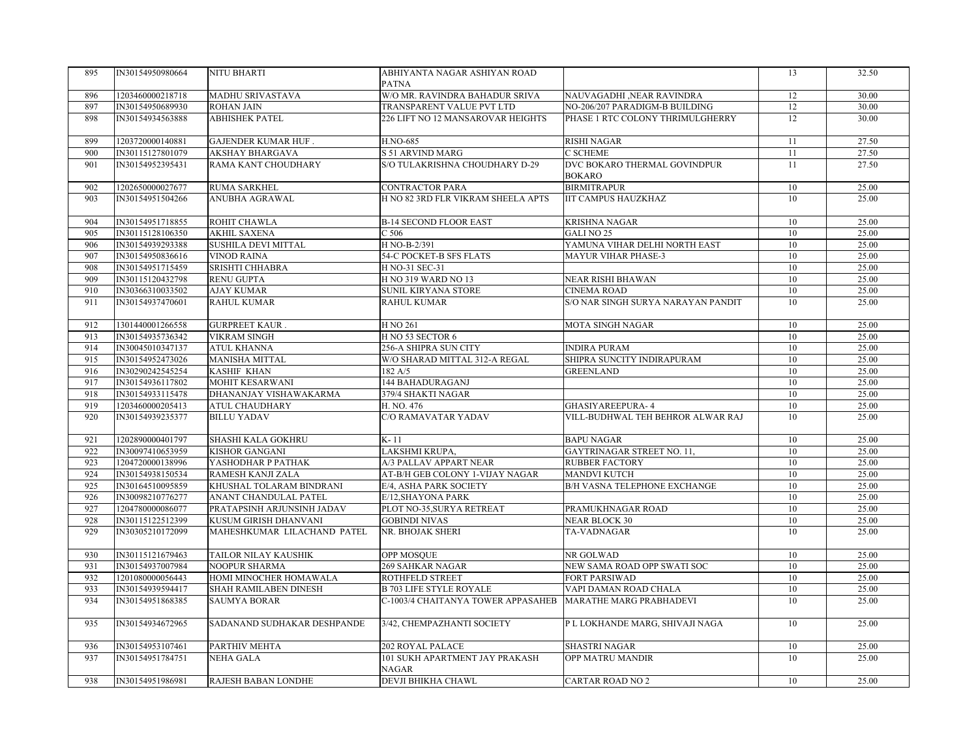| 895        | IN30154950980664                     | NITU BHARTI                                 | ABHIYANTA NAGAR ASHIYAN ROAD             |                                                | 13       | 32.50          |
|------------|--------------------------------------|---------------------------------------------|------------------------------------------|------------------------------------------------|----------|----------------|
|            |                                      |                                             | <b>PATNA</b>                             |                                                |          |                |
| 896        | 1203460000218718                     | MADHU SRIVASTAVA                            | W/O MR. RAVINDRA BAHADUR SRIVA           | NAUVAGADHI ,NEAR RAVINDRA                      | 12       | 30.00          |
| 897        | IN30154950689930                     | <b>ROHAN JAIN</b>                           | TRANSPARENT VALUE PVT LTD                | NO-206/207 PARADIGM-B BUILDING                 | 12       | 30.00          |
| 898        | IN30154934563888                     | <b>ABHISHEK PATEL</b>                       | 226 LIFT NO 12 MANSAROVAR HEIGHTS        | PHASE 1 RTC COLONY THRIMULGHERRY               | 12       | 30.00          |
|            |                                      |                                             |                                          |                                                |          |                |
| 899        | 1203720000140881                     | GAJENDER KUMAR HUF.                         | H.NO-685                                 | <b>RISHI NAGAR</b>                             | 11       | 27.50          |
| 900        | IN30115127801079                     | <b>AKSHAY BHARGAVA</b>                      | <b>S 51 ARVIND MARG</b>                  | <b>C SCHEME</b>                                | 11       | 27.50          |
| 901        | IN30154952395431                     | RAMA KANT CHOUDHARY                         | S/O TULAKRISHNA CHOUDHARY D-29           | DVC BOKARO THERMAL GOVINDPUR                   | 11       | 27.50          |
|            |                                      |                                             |                                          | <b>BOKARO</b>                                  |          |                |
| 902        | 1202650000027677                     | <b>RUMA SARKHEL</b>                         | CONTRACTOR PARA                          | <b>BIRMITRAPUR</b>                             | 10       | 25.00          |
| 903        | IN30154951504266                     | ANUBHA AGRAWAL                              | H NO 82 3RD FLR VIKRAM SHEELA APTS       | <b>IIT CAMPUS HAUZKHAZ</b>                     | 10       | 25.00          |
|            |                                      |                                             |                                          |                                                |          |                |
| 904        | IN30154951718855                     | ROHIT CHAWLA                                | <b>B-14 SECOND FLOOR EAST</b>            | <b>KRISHNA NAGAR</b>                           | 10       | 25.00          |
| 905        | IN30115128106350                     | <b>AKHIL SAXENA</b>                         | C <sub>506</sub>                         | GALI NO 25                                     | 10       | 25.00          |
| 906        | IN30154939293388                     | <b>SUSHILA DEVI MITTAL</b>                  | H NO-B-2/391                             | YAMUNA VIHAR DELHI NORTH EAST                  | 10       | 25.00          |
| 907        | IN30154950836616                     | <b>VINOD RAINA</b>                          | 54-C POCKET-B SFS FLATS                  | <b>MAYUR VIHAR PHASE-3</b>                     | 10       | 25.00          |
| 908        | IN30154951715459                     | SRISHTI CHHABRA                             | H NO-31 SEC-31                           |                                                | 10       | 25.00          |
| 909        | IN30115120432798                     | <b>RENU GUPTA</b>                           | <b>H NO 319 WARD NO 13</b>               | <b>NEAR RISHI BHAWAN</b>                       | 10       | 25.00          |
| 910        | IN30366310033502                     | <b>AJAY KUMAR</b>                           | SUNIL KIRYANA STORE                      | <b>CINEMA ROAD</b>                             | 10       | 25.00          |
| 911        | IN30154937470601                     | <b>RAHUL KUMAR</b>                          | <b>RAHUL KUMAR</b>                       | S/O NAR SINGH SURYA NARAYAN PANDIT             | 10       | 25.00          |
|            |                                      |                                             |                                          |                                                |          |                |
| 912        | 1301440001266558                     | <b>GURPREET KAUR.</b>                       | <b>HNO 261</b>                           | <b>MOTA SINGH NAGAR</b>                        | 10       | 25.00          |
| 913        | IN30154935736342                     | <b>VIKRAM SINGH</b>                         | H NO 53 SECTOR 6                         |                                                | 10       | 25.00          |
| 914        | IN30045010347137                     | <b>ATUL KHANNA</b>                          | 256-A SHIPRA SUN CITY                    | <b>INDIRA PURAM</b>                            | 10       | 25.00          |
| 915<br>916 | IN30154952473026<br>IN30290242545254 | <b>MANISHA MITTAL</b><br><b>KASHIF KHAN</b> | W/O SHARAD MITTAL 312-A REGAL<br>182 A/5 | SHIPRA SUNCITY INDIRAPURAM<br><b>GREENLAND</b> | 10<br>10 | 25.00<br>25.00 |
| 917        |                                      |                                             |                                          |                                                | 10       |                |
| 918        | IN30154936117802<br>IN30154933115478 | MOHIT KESARWANI<br>DHANANJAY VISHAWAKARMA   | 144 BAHADURAGANJ<br>379/4 SHAKTI NAGAR   |                                                | 10       | 25.00<br>25.00 |
| 919        | 1203460000205413                     | <b>ATUL CHAUDHARY</b>                       | H. NO. 476                               | <b>GHASIYAREEPURA-4</b>                        | 10       | 25.00          |
| 920        | IN30154939235377                     | <b>BILLU YADAV</b>                          | C/O RAMAVATAR YADAV                      | VILL-BUDHWAL TEH BEHROR ALWAR RAJ              | 10       | 25.00          |
|            |                                      |                                             |                                          |                                                |          |                |
| 921        | 1202890000401797                     | SHASHI KALA GOKHRU                          | K-11                                     | <b>BAPU NAGAR</b>                              | 10       | 25.00          |
| 922        | IN30097410653959                     | <b>KISHOR GANGANI</b>                       | LAKSHMI KRUPA.                           | GAYTRINAGAR STREET NO. 11,                     | 10       | 25.00          |
| 923        | 1204720000138996                     | YASHODHAR P PATHAK                          | A/3 PALLAV APPART NEAR                   | <b>RUBBER FACTORY</b>                          | 10       | 25.00          |
| 924        | IN30154938150534                     | RAMESH KANJI ZALA                           | AT-B/H GEB COLONY 1-VIJAY NAGAR          | <b>MANDVI KUTCH</b>                            | 10       | 25.00          |
| 925        | IN30164510095859                     | KHUSHAL TOLARAM BINDRANI                    | E/4, ASHA PARK SOCIETY                   | <b>B/H VASNA TELEPHONE EXCHANGE</b>            | 10       | 25.00          |
| 926        | IN30098210776277                     | ANANT CHANDULAL PATEL                       | E/12, SHAYONA PARK                       |                                                | 10       | 25.00          |
| 927        | 1204780000086077                     | PRATAPSINH ARJUNSINH JADAV                  | PLOT NO-35, SURYA RETREAT                | PRAMUKHNAGAR ROAD                              | 10       | 25.00          |
| 928        | IN30115122512399                     | KUSUM GIRISH DHANVANI                       | <b>GOBINDI NIVAS</b>                     | <b>NEAR BLOCK 30</b>                           | 10       | 25.00          |
| 929        | IN30305210172099                     | MAHESHKUMAR LILACHAND PATEL                 | NR. BHOJAK SHERI                         | TA-VADNAGAR                                    | 10       | 25.00          |
|            |                                      |                                             |                                          |                                                |          |                |
| 930        | IN30115121679463                     | <b>TAILOR NILAY KAUSHIK</b>                 | <b>OPP MOSOUE</b>                        | NR GOLWAD                                      | 10       | 25.00          |
| 931        | IN30154937007984                     | <b>NOOPUR SHARMA</b>                        | 269 SAHKAR NAGAR                         | NEW SAMA ROAD OPP SWATI SOC                    | 10       | 25.00          |
| 932        | 1201080000056443                     | HOMI MINOCHER HOMAWALA                      | ROTHFELD STREET                          | <b>FORT PARSIWAD</b>                           | 10       | 25.00          |
| 933        | IN30154939594417                     | <b>SHAH RAMILABEN DINESH</b>                | <b>B 703 LIFE STYLE ROYALE</b>           | VAPI DAMAN ROAD CHALA                          | 10       | 25.00          |
| 934        | IN30154951868385                     | <b>SAUMYA BORAR</b>                         | C-1003/4 CHAITANYA TOWER APPASAHEB       | MARATHE MARG PRABHADEVI                        | 10       | 25.00          |
| 935        | IN30154934672965                     | SADANAND SUDHAKAR DESHPANDE                 | 3/42, CHEMPAZHANTI SOCIETY               | P L LOKHANDE MARG, SHIVAJI NAGA                | 10       | 25.00          |
|            |                                      |                                             |                                          |                                                |          |                |
| 936        | IN30154953107461                     | PARTHIV MEHTA                               | 202 ROYAL PALACE                         | <b>SHASTRI NAGAR</b>                           | 10       | 25.00          |
| 937        | IN30154951784751                     | NEHA GALA                                   | 101 SUKH APARTMENT JAY PRAKASH           | OPP MATRU MANDIR                               | 10       | 25.00          |
|            |                                      |                                             | <b>NAGAR</b>                             |                                                |          |                |
| 938        | IN30154951986981                     | RAJESH BABAN LONDHE                         | DEVJI BHIKHA CHAWL                       | <b>CARTAR ROAD NO 2</b>                        | 10       | 25.00          |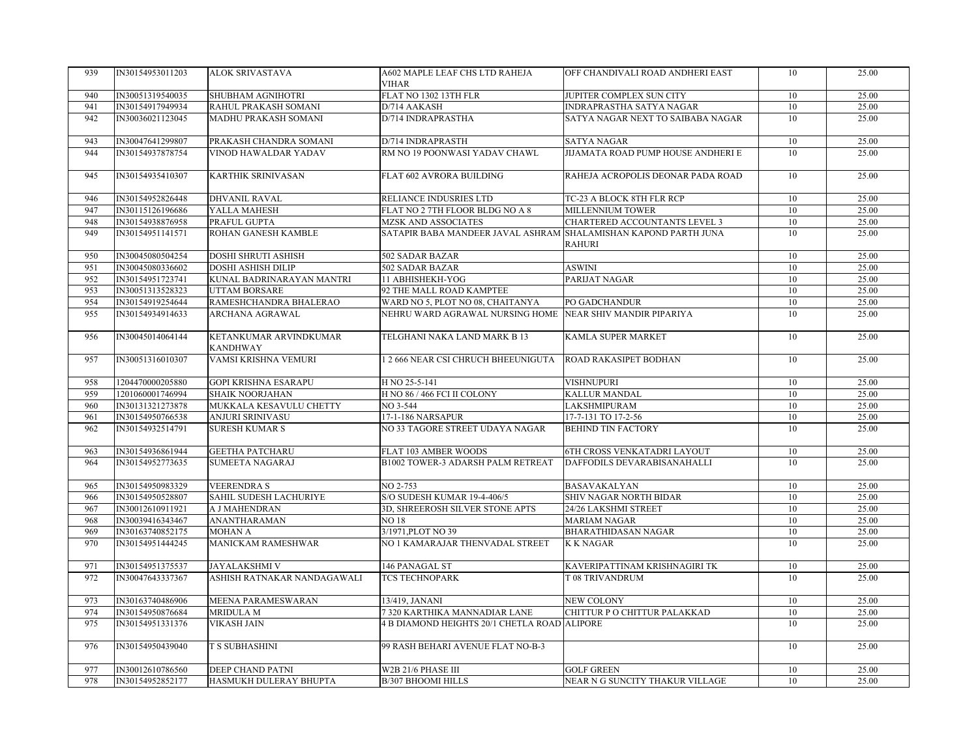| 939 | IN30154953011203 | <b>ALOK SRIVASTAVA</b>                    | A602 MAPLE LEAF CHS LTD RAHEJA                                  | OFF CHANDIVALI ROAD ANDHERI EAST   | 10 | 25.00 |
|-----|------------------|-------------------------------------------|-----------------------------------------------------------------|------------------------------------|----|-------|
|     |                  |                                           | <b>VIHAR</b>                                                    |                                    |    |       |
| 940 | IN30051319540035 | SHUBHAM AGNIHOTRI                         | FLAT NO 1302 13TH FLR                                           | JUPITER COMPLEX SUN CITY           | 10 | 25.00 |
| 941 | IN30154917949934 | RAHUL PRAKASH SOMANI                      | D/714 AAKASH                                                    | INDRAPRASTHA SATYA NAGAR           | 10 | 25.00 |
| 942 | IN30036021123045 | MADHU PRAKASH SOMANI                      | D/714 INDRAPRASTHA                                              | SATYA NAGAR NEXT TO SAIBABA NAGAR  | 10 | 25.00 |
|     |                  |                                           |                                                                 |                                    |    |       |
| 943 | IN30047641299807 | PRAKASH CHANDRA SOMANI                    | D/714 INDRAPRASTH                                               | <b>SATYA NAGAR</b>                 | 10 | 25.00 |
| 944 | IN30154937878754 | VINOD HAWALDAR YADAV                      | RM NO 19 POONWASI YADAV CHAWL                                   | JIJAMATA ROAD PUMP HOUSE ANDHERI E | 10 | 25.00 |
| 945 | IN30154935410307 | <b>KARTHIK SRINIVASAN</b>                 | FLAT 602 AVRORA BUILDING                                        | RAHEJA ACROPOLIS DEONAR PADA ROAD  | 10 | 25.00 |
|     |                  |                                           |                                                                 |                                    |    |       |
| 946 | IN30154952826448 | <b>DHVANIL RAVAL</b>                      | RELIANCE INDUSRIES LTD                                          | TC-23 A BLOCK 8TH FLR RCP          | 10 | 25.00 |
| 947 | IN30115126196686 | YALLA MAHESH                              | FLAT NO 2 7TH FLOOR BLDG NO A 8                                 | MILLENNIUM TOWER                   | 10 | 25.00 |
| 948 | IN30154938876958 | PRAFUL GUPTA                              | <b>MZSK AND ASSOCIATES</b>                                      | CHARTERED ACCOUNTANTS LEVEL 3      | 10 | 25.00 |
| 949 | IN30154951141571 | ROHAN GANESH KAMBLE                       | SATAPIR BABA MANDEER JAVAL ASHRAM SHALAMISHAN KAPOND PARTH JUNA |                                    | 10 | 25.00 |
|     |                  |                                           |                                                                 | <b>RAHURI</b>                      |    |       |
| 950 | IN30045080504254 | DOSHI SHRUTI ASHISH                       | 502 SADAR BAZAR                                                 |                                    | 10 | 25.00 |
| 951 | IN30045080336602 | <b>DOSHI ASHISH DILIP</b>                 | 502 SADAR BAZAR                                                 | <b>ASWINI</b>                      | 10 | 25.00 |
| 952 | IN30154951723741 | KUNAL BADRINARAYAN MANTRI                 | 11 ABHISHEKH-YOG                                                | PARIJAT NAGAR                      | 10 | 25.00 |
| 953 | IN30051313528323 | UTTAM BORSARE                             | 92 THE MALL ROAD KAMPTEE                                        |                                    | 10 | 25.00 |
| 954 | IN30154919254644 | RAMESHCHANDRA BHALERAO                    | WARD NO 5, PLOT NO 08, CHAITANYA                                | PO GADCHANDUR                      | 10 | 25.00 |
| 955 | IN30154934914633 | ARCHANA AGRAWAL                           | NEHRU WARD AGRAWAL NURSING HOME NEAR SHIV MANDIR PIPARIYA       |                                    | 10 | 25.00 |
|     |                  |                                           |                                                                 |                                    |    |       |
| 956 | IN30045014064144 | KETANKUMAR ARVINDKUMAR<br><b>KANDHWAY</b> | TELGHANI NAKA LAND MARK B 13                                    | KAMLA SUPER MARKET                 | 10 | 25.00 |
| 957 | IN30051316010307 | VAMSI KRISHNA VEMURI                      | 1 2 666 NEAR CSI CHRUCH BHEEUNIGUTA                             | ROAD RAKASIPET BODHAN              | 10 | 25.00 |
| 958 | 1204470000205880 | <b>GOPI KRISHNA ESARAPU</b>               | H NO 25-5-141                                                   | <b>VISHNUPURI</b>                  | 10 | 25.00 |
| 959 | 1201060001746994 | <b>SHAIK NOORJAHAN</b>                    | H NO 86 / 466 FCI II COLONY                                     | KALLUR MANDAL                      | 10 | 25.00 |
| 960 | IN30131321273878 | MUKKALA KESAVULU CHETTY                   | NO 3-544                                                        | LAKSHMIPURAM                       | 10 | 25.00 |
| 961 | IN30154950766538 | <b>ANJURI SRINIVASU</b>                   | 17-1-186 NARSAPUR                                               | 17-7-131 TO 17-2-56                | 10 | 25.00 |
| 962 | IN30154932514791 | <b>SURESH KUMAR S</b>                     | NO 33 TAGORE STREET UDAYA NAGAR                                 | <b>BEHIND TIN FACTORY</b>          | 10 | 25.00 |
|     |                  |                                           |                                                                 |                                    |    |       |
| 963 | IN30154936861944 | <b>GEETHA PATCHARU</b>                    | FLAT 103 AMBER WOODS                                            | 6TH CROSS VENKATADRI LAYOUT        | 10 | 25.00 |
| 964 | IN30154952773635 | <b>SUMEETA NAGARAJ</b>                    | B1002 TOWER-3 ADARSH PALM RETREAT                               | DAFFODILS DEVARABISANAHALLI        | 10 | 25.00 |
|     |                  |                                           |                                                                 |                                    |    |       |
| 965 | IN30154950983329 | <b>VEERENDRAS</b>                         | NO 2-753                                                        | <b>BASAVAKALYAN</b>                | 10 | 25.00 |
| 966 | IN30154950528807 | SAHIL SUDESH LACHURIYE                    | S/O SUDESH KUMAR 19-4-406/5                                     | SHIV NAGAR NORTH BIDAR             | 10 | 25.00 |
| 967 | IN30012610911921 | A J MAHENDRAN                             | 3D, SHREEROSH SILVER STONE APTS                                 | 24/26 LAKSHMI STREET               | 10 | 25.00 |
| 968 | IN30039416343467 | <b>ANANTHARAMAN</b>                       | <b>NO 18</b>                                                    | <b>MARIAM NAGAR</b>                | 10 | 25.00 |
| 969 | IN30163740852175 | MOHAN A                                   | 3/1971, PLOT NO 39                                              | BHARATHIDASAN NAGAR                | 10 | 25.00 |
| 970 | IN30154951444245 | MANICKAM RAMESHWAR                        | NO 1 KAMARAJAR THENVADAL STREET                                 | <b>KKNAGAR</b>                     | 10 | 25.00 |
| 971 | IN30154951375537 | <b>JAYALAKSHMI V</b>                      | 146 PANAGAL ST                                                  | KAVERIPATTINAM KRISHNAGIRI TK      | 10 | 25.00 |
| 972 | IN30047643337367 | ASHISH RATNAKAR NANDAGAWALI               | <b>TCS TECHNOPARK</b>                                           | T 08 TRIVANDRUM                    | 10 | 25.00 |
|     |                  |                                           |                                                                 |                                    |    |       |
| 973 | IN30163740486906 | MEENA PARAMESWARAN                        | 13/419, JANANI                                                  | <b>NEW COLONY</b>                  | 10 | 25.00 |
| 974 | IN30154950876684 | <b>MRIDULA M</b>                          | 7 320 KARTHIKA MANNADIAR LANE                                   | CHITTUR P O CHITTUR PALAKKAD       | 10 | 25.00 |
| 975 | IN30154951331376 | <b>VIKASH JAIN</b>                        | <b>4 B DIAMOND HEIGHTS 20/1 CHETLA ROAD ALIPORE</b>             |                                    | 10 | 25.00 |
| 976 | IN30154950439040 | <b>T S SUBHASHINI</b>                     | 99 RASH BEHARI AVENUE FLAT NO-B-3                               |                                    | 10 | 25.00 |
| 977 | IN30012610786560 | DEEP CHAND PATNI                          | W2B 21/6 PHASE III                                              | <b>GOLF GREEN</b>                  | 10 | 25.00 |
| 978 | IN30154952852177 | HASMUKH DULERAY BHUPTA                    | B/307 BHOOMI HILLS                                              | NEAR N G SUNCITY THAKUR VILLAGE    | 10 | 25.00 |
|     |                  |                                           |                                                                 |                                    |    |       |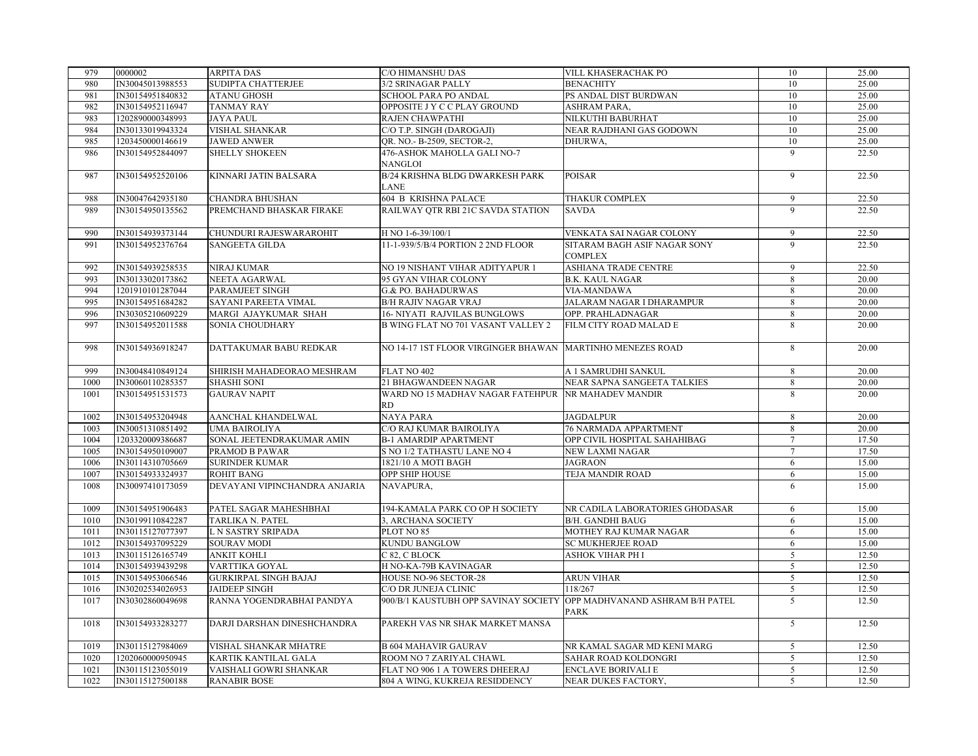| 979  | 0000002          | <b>ARPITA DAS</b>             | C/O HIMANSHU DAS                                                     | VILL KHASERACHAK PO             | 10             | 25.00 |
|------|------------------|-------------------------------|----------------------------------------------------------------------|---------------------------------|----------------|-------|
| 980  | IN30045013988553 | SUDIPTA CHATTERJEE            | 3/2 SRINAGAR PALLY                                                   | <b>BENACHITY</b>                | 10             | 25.00 |
| 981  | IN30154951840832 | <b>ATANU GHOSH</b>            | SCHOOL PARA PO ANDAL                                                 | PS ANDAL DIST BURDWAN           | 10             | 25.00 |
| 982  | IN30154952116947 | <b>TANMAY RAY</b>             | OPPOSITE J Y C C PLAY GROUND                                         | ASHRAM PARA,                    | 10             | 25.00 |
| 983  | 1202890000348993 | <b>JAYA PAUL</b>              | RAJEN CHAWPATHI                                                      | NILKUTHI BABURHAT               | 10             | 25.00 |
| 984  | IN30133019943324 | <b>VISHAL SHANKAR</b>         | C/O T.P. SINGH (DAROGAJI)                                            | NEAR RAJDHANI GAS GODOWN        | 10             | 25.00 |
| 985  | 1203450000146619 | <b>JAWED ANWER</b>            | QR. NO.- B-2509, SECTOR-2,                                           | DHURWA,                         | 10             | 25.00 |
| 986  | IN30154952844097 | <b>SHELLY SHOKEEN</b>         | 476-ASHOK MAHOLLA GALI NO-7                                          |                                 | 9              | 22.50 |
|      |                  |                               | <b>NANGLOI</b>                                                       |                                 |                |       |
| 987  | IN30154952520106 | KINNARI JATIN BALSARA         | B/24 KRISHNA BLDG DWARKESH PARK                                      | <b>POISAR</b>                   | 9              | 22.50 |
|      |                  |                               | <b>LANE</b>                                                          |                                 |                |       |
| 988  | IN30047642935180 | <b>CHANDRA BHUSHAN</b>        | <b>604 B KRISHNA PALACE</b>                                          | <b>THAKUR COMPLEX</b>           | 9              | 22.50 |
| 989  | IN30154950135562 | PREMCHAND BHASKAR FIRAKE      | RAILWAY QTR RBI 21C SAVDA STATION                                    | <b>SAVDA</b>                    | 9              | 22.50 |
|      |                  |                               |                                                                      |                                 |                |       |
| 990  | IN30154939373144 | CHUNDURI RAJESWARAROHIT       | H NO 1-6-39/100/1                                                    | VENKATA SAI NAGAR COLONY        | 9              | 22.50 |
| 991  | IN30154952376764 | <b>SANGEETA GILDA</b>         | 11-1-939/5/B/4 PORTION 2 2ND FLOOR                                   | SITARAM BAGH ASIF NAGAR SONY    | 9              | 22.50 |
|      |                  |                               |                                                                      | <b>COMPLEX</b>                  |                |       |
| 992  | IN30154939258535 | <b>NIRAJ KUMAR</b>            | NO 19 NISHANT VIHAR ADITYAPUR 1                                      | ASHIANA TRADE CENTRE            | 9              | 22.50 |
| 993  | IN30133020173862 | NEETA AGARWAL                 | 95 GYAN VIHAR COLONY                                                 | <b>B.K. KAUL NAGAR</b>          | 8              | 20.00 |
| 994  | 1201910101287044 | PARAMJEET SINGH               | <b>G.&amp; PO. BAHADURWAS</b>                                        | VIA-MANDAWA                     | 8              | 20.00 |
| 995  | IN30154951684282 | SAYANI PAREETA VIMAL          | <b>B/H RAJIV NAGAR VRAJ</b>                                          | JALARAM NAGAR I DHARAMPUR       | 8              | 20.00 |
| 996  | IN30305210609229 | MARGI AJAYKUMAR SHAH          | <b>16- NIYATI RAJVILAS BUNGLOWS</b>                                  | OPP. PRAHLADNAGAR               | 8              | 20.00 |
| 997  | IN30154952011588 | SONIA CHOUDHARY               | <b>B WING FLAT NO 701 VASANT VALLEY 2</b>                            | FILM CITY ROAD MALAD E          | 8              | 20.00 |
|      |                  |                               |                                                                      |                                 |                |       |
| 998  | IN30154936918247 | DATTAKUMAR BABU REDKAR        | NO 14-17 IST FLOOR VIRGINGER BHAWAN MARTINHO MENEZES ROAD            |                                 | 8              | 20.00 |
|      |                  |                               |                                                                      |                                 |                |       |
| 999  | IN30048410849124 | SHIRISH MAHADEORAO MESHRAM    | FLAT NO 402                                                          | A 1 SAMRUDHI SANKUL             | 8              | 20.00 |
| 1000 | IN30060110285357 | <b>SHASHI SONI</b>            | 21 BHAGWANDEEN NAGAR                                                 | NEAR SAPNA SANGEETA TALKIES     | 8              | 20.00 |
| 1001 | IN30154951531573 | <b>GAURAV NAPIT</b>           | WARD NO 15 MADHAV NAGAR FATEHPUR                                     | NR MAHADEV MANDIR               | 8              | 20.00 |
|      |                  |                               | <b>RD</b>                                                            |                                 |                |       |
| 1002 | IN30154953204948 | AANCHAL KHANDELWAL            | NAYA PARA                                                            | <b>JAGDALPUR</b>                | 8              | 20.00 |
| 1003 | IN30051310851492 | <b>UMA BAIROLIYA</b>          | C/O RAJ KUMAR BAIROLIYA                                              | 76 NARMADA APPARTMENT           | 8              | 20.00 |
| 1004 | 1203320009386687 | SONAL JEETENDRAKUMAR AMIN     | <b>B-1 AMARDIP APARTMENT</b>                                         | OPP CIVIL HOSPITAL SAHAHIBAG    | 7              | 17.50 |
| 1005 | IN30154950109007 | PRAMOD B PAWAR                | S NO 1/2 TATHASTU LANE NO 4                                          | NEW LAXMI NAGAR                 | $\overline{7}$ | 17.50 |
| 1006 | IN30114310705669 | <b>SURINDER KUMAR</b>         | 1821/10 A MOTI BAGH                                                  | <b>JAGRAON</b>                  | 6              | 15.00 |
| 1007 | IN30154933324937 | <b>ROHIT BANG</b>             | OPP SHIP HOUSE                                                       | TEJA MANDIR ROAD                |                | 15.00 |
| 1008 |                  |                               |                                                                      |                                 | 6              |       |
|      | IN30097410173059 | DEVAYANI VIPINCHANDRA ANJARIA | NAVAPURA.                                                            |                                 | 6              | 15.00 |
|      |                  |                               |                                                                      |                                 |                |       |
| 1009 | IN30154951906483 | PATEL SAGAR MAHESHBHAI        | 194-KAMALA PARK CO OP H SOCIETY                                      | NR CADILA LABORATORIES GHODASAR | 6              | 15.00 |
| 1010 | IN30199110842287 | <b>TARLIKA N. PATEL</b>       | 3, ARCHANA SOCIETY                                                   | <b>B/H. GANDHI BAUG</b>         | 6              | 15.00 |
| 1011 | IN30115127077397 | L N SASTRY SRIPADA            | PLOT NO 85                                                           | MOTHEY RAJ KUMAR NAGAR          | 6              | 15.00 |
| 1012 | IN30154937095229 | <b>SOURAV MODI</b>            | KUNDU BANGLOW                                                        | <b>SC MUKHERJEE ROAD</b>        | 6              | 15.00 |
| 1013 | IN30115126165749 | <b>ANKIT KOHLI</b>            | C 82. C BLOCK                                                        | ASHOK VIHAR PH I                | $\overline{5}$ | 12.50 |
| 1014 | IN30154939439298 | VARTTIKA GOYAL                | H NO-KA-79B KAVINAGAR                                                |                                 | 5              | 12.50 |
| 1015 | IN30154953066546 | <b>GURKIRPAL SINGH BAJAJ</b>  | HOUSE NO-96 SECTOR-28                                                | <b>ARUN VIHAR</b>               | $\overline{5}$ | 12.50 |
| 1016 | IN30202534026953 | <b>JAIDEEP SINGH</b>          | C/O DR JUNEJA CLINIC                                                 | 118/267                         | 5              | 12.50 |
| 1017 | IN30302860049698 | RANNA YOGENDRABHAI PANDYA     | 900/B/1 KAUSTUBH OPP SAVINAY SOCIETY OPP MADHVANAND ASHRAM B/H PATEL |                                 | $\overline{5}$ | 12.50 |
|      |                  |                               |                                                                      | PARK                            |                |       |
| 1018 | IN30154933283277 | DARJI DARSHAN DINESHCHANDRA   | PAREKH VAS NR SHAK MARKET MANSA                                      |                                 | 5              | 12.50 |
|      |                  |                               |                                                                      |                                 |                |       |
| 1019 | IN30115127984069 | VISHAL SHANKAR MHATRE         | <b>B 604 MAHAVIR GAURAV</b>                                          | NR KAMAL SAGAR MD KENI MARG     | 5              | 12.50 |
| 1020 | 1202060000950945 | KARTIK KANTILAL GALA          | ROOM NO 7 ZARIYAL CHAWL                                              | SAHAR ROAD KOLDONGRI            | 5              | 12.50 |
| 1021 | IN30115123055019 | VAISHALI GOWRI SHANKAR        | FLAT NO 906 1 A TOWERS DHEERAJ                                       | <b>ENCLAVE BORIVALI E</b>       | $\overline{5}$ | 12.50 |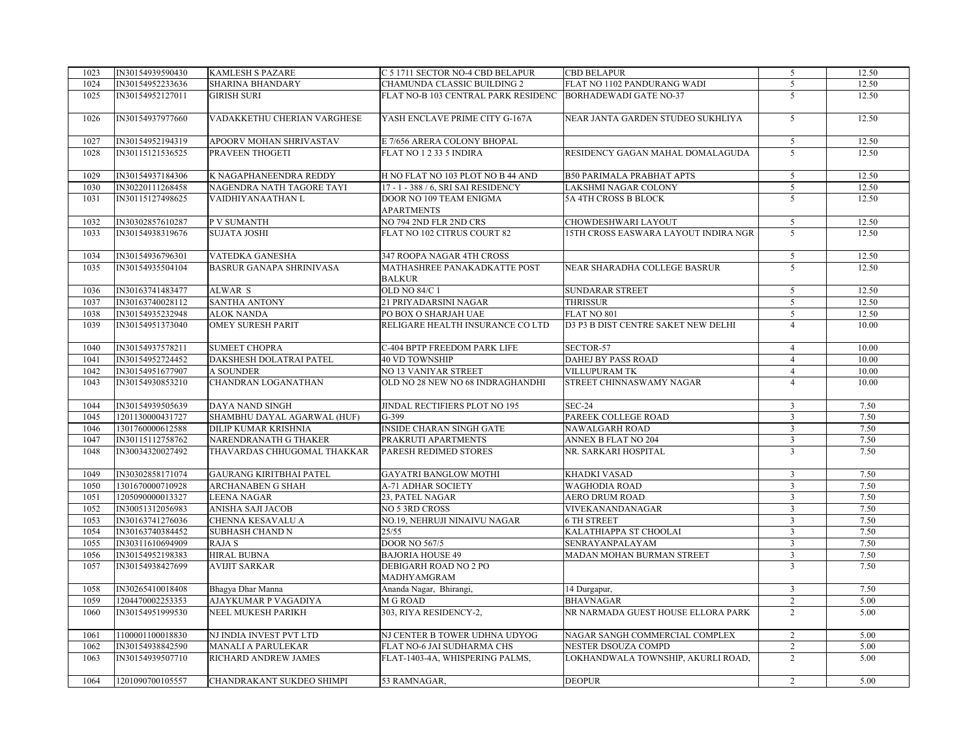| 1023 | IN30154939590430 | <b>KAMLESH S PAZARE</b>         | C 5 1711 SECTOR NO-4 CBD BELAPUR    | <b>CBD BELAPUR</b>                   | 5                       | 12.50 |
|------|------------------|---------------------------------|-------------------------------------|--------------------------------------|-------------------------|-------|
| 1024 | IN30154952233636 | <b>SHARINA BHANDARY</b>         | CHAMUNDA CLASSIC BUILDING 2         | FLAT NO 1102 PANDURANG WADI          | 5                       | 12.50 |
| 1025 | IN30154952127011 | <b>GIRISH SURI</b>              | FLAT NO-B 103 CENTRAL PARK RESIDENC | <b>BORHADEWADI GATE NO-37</b>        | $\overline{5}$          | 12.50 |
| 1026 | IN30154937977660 | VADAKKETHU CHERIAN VARGHESE     | YASH ENCLAVE PRIME CITY G-167A      | NEAR JANTA GARDEN STUDEO SUKHLIYA    | 5                       | 12.50 |
| 1027 | IN30154952194319 | APOORV MOHAN SHRIVASTAV         | E 7/656 ARERA COLONY BHOPAL         |                                      | 5                       | 12.50 |
| 1028 | IN30115121536525 | PRAVEEN THOGETI                 | FLAT NO 1 2 33 5 INDIRA             | RESIDENCY GAGAN MAHAL DOMALAGUDA     | 5                       | 12.50 |
|      |                  |                                 |                                     |                                      |                         |       |
| 1029 | IN30154937184306 | K NAGAPHANEENDRA REDDY          | H NO FLAT NO 103 PLOT NO B 44 AND   | <b>B50 PARIMALA PRABHAT APTS</b>     | 5                       | 12.50 |
| 1030 | IN30220111268458 | NAGENDRA NATH TAGORE TAYI       | 17 - 1 - 388 / 6, SRI SAI RESIDENCY | LAKSHMI NAGAR COLONY                 | $\mathfrak{S}$          | 12.50 |
| 1031 | IN30115127498625 | VAIDHIYANAATHAN L               | DOOR NO 109 TEAM ENIGMA             | 5A 4TH CROSS B BLOCK                 | $\overline{5}$          | 12.50 |
|      |                  |                                 | <b>APARTMENTS</b>                   |                                      |                         |       |
| 1032 | IN30302857610287 | P V SUMANTH                     | NO 794 2ND FLR 2ND CRS              | CHOWDESHWARI LAYOUT                  | 5                       | 12.50 |
| 1033 | IN30154938319676 | <b>SUJATA JOSHI</b>             | FLAT NO 102 CITRUS COURT 82         | 15TH CROSS EASWARA LAYOUT INDIRA NGR | 5                       | 12.50 |
| 1034 | IN30154936796301 | <b>VATEDKA GANESHA</b>          | 347 ROOPA NAGAR 4TH CROSS           |                                      | $\overline{5}$          | 12.50 |
| 1035 | IN30154935504104 | <b>BASRUR GANAPA SHRINIVASA</b> | MATHASHREE PANAKADKATTE POST        | NEAR SHARADHA COLLEGE BASRUR         | 5                       | 12.50 |
|      |                  |                                 | <b>BALKUR</b>                       |                                      |                         |       |
| 1036 | IN30163741483477 | ALWAR S                         | OLD NO 84/C 1                       | <b>SUNDARAR STREET</b>               | 5                       | 12.50 |
| 1037 | IN30163740028112 | <b>SANTHA ANTONY</b>            | 21 PRIYADARSINI NAGAR               | <b>THRISSUR</b>                      | $5\overline{)}$         | 12.50 |
| 1038 | IN30154935232948 | <b>ALOK NANDA</b>               | PO BOX O SHARJAH UAE                | FLAT NO 801                          | 5                       | 12.50 |
| 1039 | IN30154951373040 | <b>OMEY SURESH PARIT</b>        | RELIGARE HEALTH INSURANCE CO LTD    | D3 P3 B DIST CENTRE SAKET NEW DELHI  | $\overline{4}$          | 10.00 |
| 1040 | IN30154937578211 | <b>SUMEET CHOPRA</b>            | C-404 BPTP FREEDOM PARK LIFE        | SECTOR-57                            | $\overline{4}$          | 10.00 |
| 1041 | IN30154952724452 | DAKSHESH DOLATRAI PATEL         | <b>40 VD TOWNSHIP</b>               | <b>DAHEJ BY PASS ROAD</b>            | $\overline{4}$          | 10.00 |
| 1042 | IN30154951677907 | <b>A SOUNDER</b>                | <b>NO 13 VANIYAR STREET</b>         | VILLUPURAM TK                        | $\overline{4}$          | 10.00 |
| 1043 | IN30154930853210 | CHANDRAN LOGANATHAN             | OLD NO 28 NEW NO 68 INDRAGHANDHI    | STREET CHINNASWAMY NAGAR             | $\overline{4}$          | 10.00 |
| 1044 | IN30154939505639 | DAYA NAND SINGH                 | JINDAL RECTIFIERS PLOT NO 195       | <b>SEC-24</b>                        | $\overline{\mathbf{3}}$ | 7.50  |
| 1045 | 1201130000431727 | SHAMBHU DAYAL AGARWAL (HUF)     | G-399                               | PAREEK COLLEGE ROAD                  | $\mathbf{3}$            | 7.50  |
| 1046 | 1301760000612588 | DILIP KUMAR KRISHNIA            | <b>INSIDE CHARAN SINGH GATE</b>     | <b>NAWALGARH ROAD</b>                | $\overline{\mathbf{3}}$ | 7.50  |
| 1047 | IN30115112758762 | NARENDRANATH G THAKER           | PRAKRUTI APARTMENTS                 | ANNEX B FLAT NO 204                  | $\overline{\mathbf{3}}$ | 7.50  |
| 1048 | IN30034320027492 | THAVARDAS CHHUGOMAL THAKKAR     | PARESH REDIMED STORES               | NR. SARKARI HOSPITAL                 | $\overline{3}$          | 7.50  |
| 1049 | IN30302858171074 | <b>GAURANG KIRITBHAI PATEL</b>  | <b>GAYATRI BANGLOW MOTHI</b>        | KHADKI VASAD                         | $\overline{3}$          | 7.50  |
| 1050 | 1301670000710928 | ARCHANABEN G SHAH               | A-71 ADHAR SOCIETY                  | <b>WAGHODIA ROAD</b>                 | $\mathfrak{Z}$          | 7.50  |
| 1051 | 1205090000013327 | <b>LEENA NAGAR</b>              | 23, PATEL NAGAR                     | <b>AERO DRUM ROAD</b>                | $\overline{3}$          | 7.50  |
| 1052 | IN30051312056983 | ANISHA SAJI JACOB               | NO 5 3RD CROSS                      | VIVEKANANDANAGAR                     | $\mathbf{3}$            | 7.50  |
| 1053 | IN30163741276036 | CHENNA KESAVALU A               | NO.19, NEHRUJI NINAIVU NAGAR        | <b>6 TH STREET</b>                   | $\overline{3}$          | 7.50  |
| 1054 | IN30163740384452 | <b>SUBHASH CHAND N</b>          | 25/55                               | KALATHIAPPA ST CHOOLAI               | $\overline{3}$          | 7.50  |
| 1055 | IN30311610694909 | RAJA S                          | <b>DOOR NO 567/5</b>                | SENRAYANPALAYAM                      | $\overline{\mathbf{3}}$ | 7.50  |
| 1056 | IN30154952198383 | <b>HIRAL BUBNA</b>              | <b>BAJORIA HOUSE 49</b>             | MADAN MOHAN BURMAN STREET            | $\overline{\mathbf{3}}$ | 7.50  |
| 1057 | IN30154938427699 | <b>AVIJIT SARKAR</b>            | DEBIGARH ROAD NO 2 PO               |                                      | $\overline{3}$          | 7.50  |
|      |                  |                                 | MADHYAMGRAM                         |                                      |                         |       |
| 1058 | IN30265410018408 | Bhagya Dhar Manna               | Ananda Nagar, Bhirangi,             | 14 Durgapur,                         | $\mathfrak{Z}$          | 7.50  |
| 1059 | 1204470002253353 | AJAYKUMAR P VAGADIYA            | M G ROAD                            | <b>BHAVNAGAR</b>                     | $\overline{2}$          | 5.00  |
| 1060 | IN30154951999530 | NEEL MUKESH PARIKH              | 303, RIYA RESIDENCY-2,              | NR NARMADA GUEST HOUSE ELLORA PARK   | 2                       | 5.00  |
| 1061 | 1100001100018830 | NJ INDIA INVEST PVT LTD         | NJ CENTER B TOWER UDHNA UDYOG       | NAGAR SANGH COMMERCIAL COMPLEX       | 2                       | 5.00  |
| 1062 | IN30154938842590 | MANALI A PARULEKAR              | FLAT NO-6 JAI SUDHARMA CHS          | NESTER DSOUZA COMPD                  | 2                       | 5.00  |
| 1063 | IN30154939507710 | RICHARD ANDREW JAMES            | FLAT-1403-4A, WHISPERING PALMS,     | LOKHANDWALA TOWNSHIP, AKURLI ROAD,   | 2                       | 5.00  |
| 1064 | 1201090700105557 | CHANDRAKANT SUKDEO SHIMPI       | 53 RAMNAGAR,                        | <b>DEOPUR</b>                        | 2                       | 5.00  |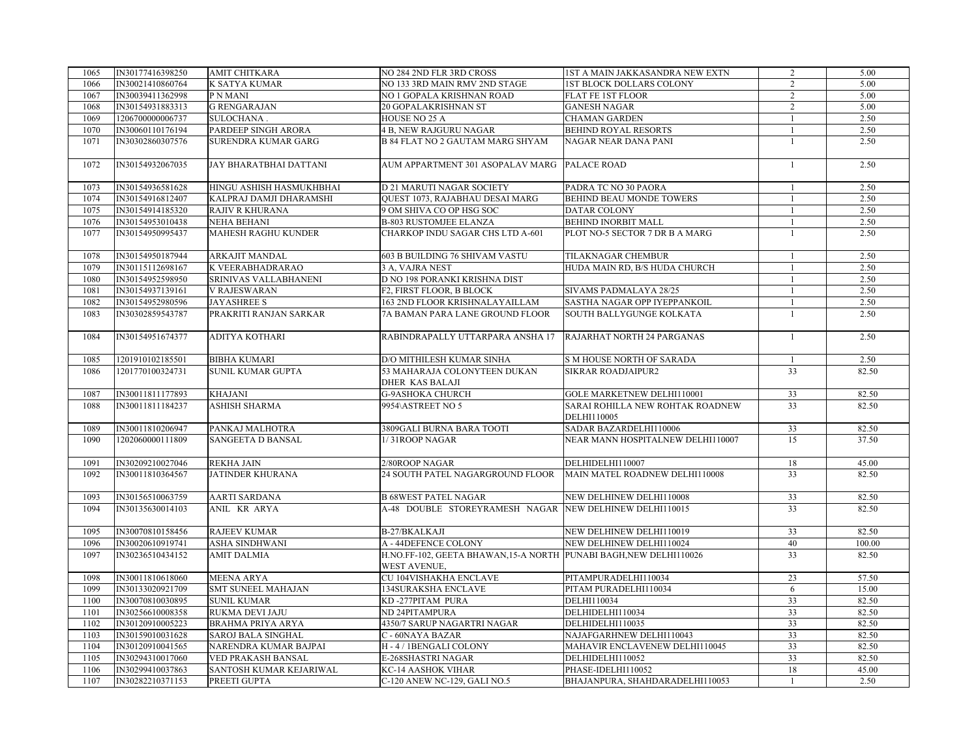| 1065 | IN30177416398250 | <b>AMIT CHITKARA</b>       | NO 284 2ND FLR 3RD CROSS                                           | 1ST A MAIN JAKKASANDRA NEW EXTN                             | $\overline{2}$  | 5.00   |
|------|------------------|----------------------------|--------------------------------------------------------------------|-------------------------------------------------------------|-----------------|--------|
| 1066 | IN30021410860764 | K SATYA KUMAR              | NO 133 3RD MAIN RMV 2ND STAGE                                      | <b>1ST BLOCK DOLLARS COLONY</b>                             | 2               | 5.00   |
| 1067 | IN30039411362998 | P N MANI                   | NO 1 GOPALA KRISHNAN ROAD                                          | <b>FLAT FE 1ST FLOOR</b>                                    | $\overline{2}$  | 5.00   |
| 1068 | IN30154931883313 | <b>G RENGARAJAN</b>        | 20 GOPALAKRISHNAN ST                                               | <b>GANESH NAGAR</b>                                         | 2               | 5.00   |
| 1069 | 1206700000006737 | SULOCHANA.                 | HOUSE NO 25 A                                                      | <b>CHAMAN GARDEN</b>                                        | -1              | 2.50   |
| 1070 | IN30060110176194 | PARDEEP SINGH ARORA        | <b>4 B, NEW RAJGURU NAGAR</b>                                      | <b>BEHIND ROYAL RESORTS</b>                                 | -1              | 2.50   |
| 1071 | IN30302860307576 | SURENDRA KUMAR GARG        | <b>B 84 FLAT NO 2 GAUTAM MARG SHYAM</b>                            | NAGAR NEAR DANA PANI                                        | -1              | 2.50   |
|      |                  |                            |                                                                    |                                                             |                 |        |
| 1072 | IN30154932067035 | JAY BHARATBHAI DATTANI     | AUM APPARTMENT 301 ASOPALAV MARG PALACE ROAD                       |                                                             | $\mathbf{1}$    | 2.50   |
|      |                  |                            |                                                                    |                                                             |                 |        |
| 1073 | IN30154936581628 | HINGU ASHISH HASMUKHBHAI   | <b>D 21 MARUTI NAGAR SOCIETY</b>                                   | PADRA TC NO 30 PAORA                                        | -1              | 2.50   |
| 1074 | IN30154916812407 | KALPRAJ DAMJI DHARAMSHI    | QUEST 1073, RAJABHAU DESAI MARG                                    | BEHIND BEAU MONDE TOWERS                                    | $\overline{1}$  | 2.50   |
| 1075 | IN30154914185320 | <b>RAJIV R KHURANA</b>     | 9 OM SHIVA CO OP HSG SOC                                           | <b>DATAR COLONY</b>                                         | $\mathbf{1}$    | 2.50   |
| 1076 | IN30154953010438 | <b>NEHA BEHANI</b>         | <b>B-803 RUSTOMJEE ELANZA</b>                                      | BEHIND INORBIT MALL                                         | $\overline{1}$  | 2.50   |
| 1077 | IN30154950995437 | <b>MAHESH RAGHU KUNDER</b> | CHARKOP INDU SAGAR CHS LTD A-601                                   | PLOT NO-5 SECTOR 7 DR B A MARG                              | 1               | 2.50   |
|      |                  |                            |                                                                    |                                                             |                 |        |
| 1078 | IN30154950187944 | <b>ARKAJIT MANDAL</b>      | 603 B BUILDING 76 SHIVAM VASTU                                     | TILAKNAGAR CHEMBUR                                          | $\overline{1}$  | 2.50   |
| 1079 | IN30115112698167 | K VEERABHADRARAO           | 3 A, VAJRA NEST                                                    | HUDA MAIN RD, B/S HUDA CHURCH                               | $\mathbf{1}$    | 2.50   |
| 1080 | IN30154952598950 | SRINIVAS VALLABHANENI      | D NO 198 PORANKI KRISHNA DIST                                      |                                                             | -1              | 2.50   |
| 1081 | IN30154937139161 | V RAJESWARAN               | F2, FIRST FLOOR, B BLOCK                                           | SIVAMS PADMALAYA 28/25                                      | $\overline{1}$  | 2.50   |
| 1082 | IN30154952980596 | <b>JAYASHREE S</b>         | 163 2ND FLOOR KRISHNALAYAILLAM                                     | SASTHA NAGAR OPP IYEPPANKOIL                                | $\overline{1}$  | 2.50   |
| 1083 | IN30302859543787 | PRAKRITI RANJAN SARKAR     | 7A BAMAN PARA LANE GROUND FLOOR                                    | SOUTH BALLYGUNGE KOLKATA                                    | 1               | 2.50   |
|      |                  |                            |                                                                    |                                                             |                 |        |
| 1084 | IN30154951674377 | <b>ADITYA KOTHARI</b>      | RABINDRAPALLY UTTARPARA ANSHA 17                                   | RAJARHAT NORTH 24 PARGANAS                                  | $\overline{1}$  | 2.50   |
|      |                  |                            |                                                                    |                                                             |                 |        |
| 1085 | 1201910102185501 | <b>BIBHA KUMARI</b>        | D/O MITHILESH KUMAR SINHA                                          | S M HOUSE NORTH OF SARADA                                   | $\mathbf{1}$    | 2.50   |
| 1086 | 1201770100324731 | SUNIL KUMAR GUPTA          | 53 MAHARAJA COLONYTEEN DUKAN                                       | <b>SIKRAR ROADJAIPUR2</b>                                   | 33              | 82.50  |
|      |                  |                            | DHER KAS BALAJI                                                    |                                                             |                 |        |
| 1087 | IN30011811177893 | <b>KHAJANI</b>             | G-9ASHOKA CHURCH                                                   | GOLE MARKETNEW DELHI110001                                  |                 | 82.50  |
| 1088 | IN30011811184237 | <b>ASHISH SHARMA</b>       | 9954\ASTREET NO 5                                                  | SARAI ROHILLA NEW ROHTAK ROADNEW                            | 33<br>33        | 82.50  |
|      |                  |                            |                                                                    | DELHI110005                                                 |                 |        |
| 1089 | IN30011810206947 | PANKAJ MALHOTRA            | 3809GALI BURNA BARA TOOTI                                          |                                                             |                 | 82.50  |
|      | 1202060000111809 |                            | 1/31ROOP NAGAR                                                     | SADAR BAZARDELHI110006<br>NEAR MANN HOSPITALNEW DELHI110007 | 33<br>15        |        |
| 1090 |                  | SANGEETA D BANSAL          |                                                                    |                                                             |                 | 37.50  |
|      |                  |                            |                                                                    |                                                             |                 |        |
| 1091 | IN30209210027046 | <b>REKHA JAIN</b>          | 2/80ROOP NAGAR                                                     | DELHIDELHI110007                                            | 18              | 45.00  |
| 1092 | IN30011810364567 | <b>JATINDER KHURANA</b>    | 24 SOUTH PATEL NAGARGROUND FLOOR                                   | MAIN MATEL ROADNEW DELHI110008                              | 33              | 82.50  |
|      |                  |                            |                                                                    |                                                             |                 |        |
| 1093 | IN30156510063759 | AARTI SARDANA              | <b>B 68WEST PATEL NAGAR</b>                                        | NEW DELHINEW DELHI110008                                    | 33<br>33        | 82.50  |
| 1094 | IN30135630014103 | ANIL KR ARYA               | A-48 DOUBLE STOREYRAMESH NAGAR NEW DELHINEW DELHI110015            |                                                             |                 | 82.50  |
| 1095 | IN30070810158456 | <b>RAJEEV KUMAR</b>        |                                                                    | NEW DELHINEW DELHI110019                                    |                 |        |
|      |                  |                            | B-27/BKALKAJI                                                      |                                                             | 33              | 82.50  |
| 1096 | IN30020610919741 | ASHA SINDHWANI             | A - 44DEFENCE COLONY                                               | NEW DELHINEW DELHI110024                                    | 40              | 100.00 |
| 1097 | IN30236510434152 | AMIT DALMIA                | H.NO.FF-102, GEETA BHAWAN, 15-A NORTH PUNABI BAGH, NEW DELHI110026 |                                                             | $\overline{33}$ | 82.50  |
|      |                  |                            | WEST AVENUE,                                                       |                                                             |                 |        |
| 1098 | IN30011810618060 | <b>MEENA ARYA</b>          | CU 104VISHAKHA ENCLAVE                                             | PITAMPURADELHI110034                                        | 23              | 57.50  |
| 1099 | IN30133020921709 | <b>SMT SUNEEL MAHAJAN</b>  | 134SURAKSHA ENCLAVE                                                | PITAM PURADELHI110034                                       | 6               | 15.00  |
| 1100 | IN30070810030895 | <b>SUNIL KUMAR</b>         | KD-277PITAM PURA                                                   | DELHI110034                                                 | 33              | 82.50  |
| 1101 | IN30256610008358 | RUKMA DEVI JAJU            | ND 24PITAMPURA                                                     | DELHIDELHI110034                                            | 33              | 82.50  |
| 1102 | IN30120910005223 | BRAHMA PRIYA ARYA          | 4350/7 SARUP NAGARTRI NAGAR                                        | DELHIDELHI110035                                            | 33              | 82.50  |
| 1103 | IN30159010031628 | <b>SAROJ BALA SINGHAL</b>  | C - 60NAYA BAZAR                                                   | NAJAFGARHNEW DELHI110043                                    | 33              | 82.50  |
| 1104 | IN30120910041565 | NARENDRA KUMAR BAJPAI      | H-4/1BENGALI COLONY                                                | MAHAVIR ENCLAVENEW DELHI110045                              | 33              | 82.50  |
| 1105 | IN30294310017060 | VED PRAKASH BANSAL         | E-268SHASTRI NAGAR                                                 | DELHIDELHI110052                                            | 33              | 82.50  |
| 1106 | IN30299410037863 | SANTOSH KUMAR KEJARIWAL    | KC-14 AASHOK VIHAR                                                 | PHASE-IDELHI110052                                          | 18              | 45.00  |
| 1107 | IN30282210371153 | PREETI GUPTA               | C-120 ANEW NC-129, GALI NO.5                                       | BHAJANPURA, SHAHDARADELHI110053                             | $\overline{1}$  | 2.50   |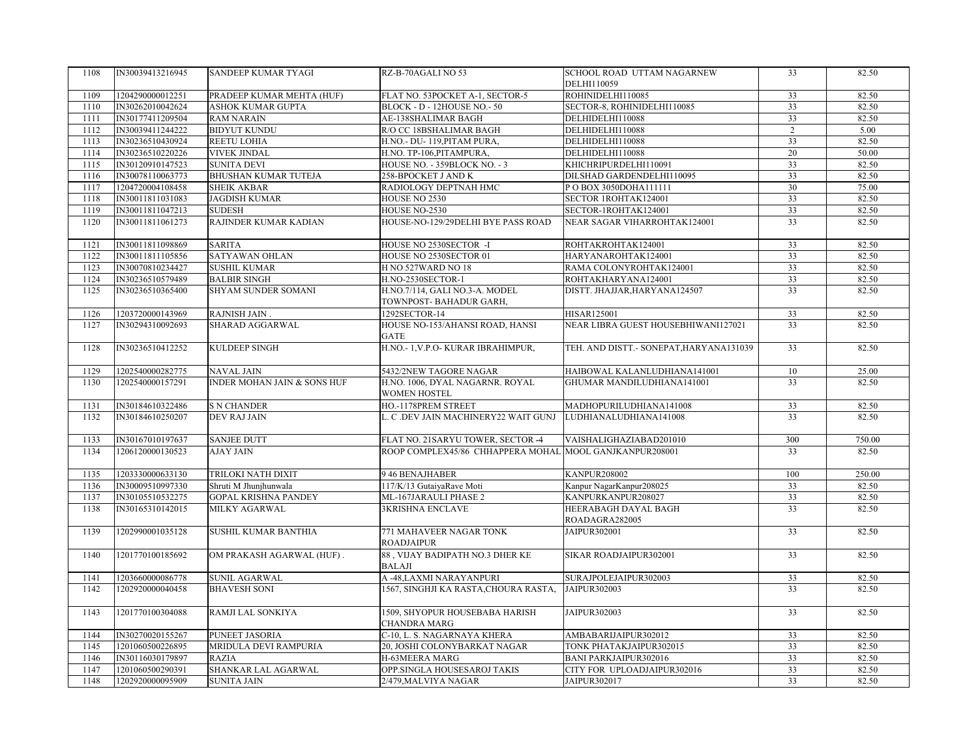| 1108 | IN30039413216945 | SANDEEP KUMAR TYAGI         | RZ-B-70AGALI NO 53                                       | SCHOOL ROAD UTTAM NAGARNEW               | 33              | 82.50  |
|------|------------------|-----------------------------|----------------------------------------------------------|------------------------------------------|-----------------|--------|
|      |                  |                             |                                                          | DELHI110059                              |                 |        |
| 1109 | 1204290000012251 | PRADEEP KUMAR MEHTA (HUF)   | FLAT NO. 53POCKET A-1, SECTOR-5                          | ROHINIDELHI110085                        | 33              | 82.50  |
| 1110 | IN30262010042624 | ASHOK KUMAR GUPTA           | BLOCK - D - 12HOUSE NO.- 50                              | SECTOR-8, ROHINIDELHI110085              | 33              | 82.50  |
| 1111 | IN30177411209504 | <b>RAM NARAIN</b>           | AE-138SHALIMAR BAGH                                      | DELHIDELHI110088                         | 33              | 82.50  |
| 1112 | IN30039411244222 | <b>BIDYUT KUNDU</b>         | R/O CC 18BSHALIMAR BAGH                                  | DELHIDELHI110088                         | $\overline{2}$  | 5.00   |
| 1113 | IN30236510430924 | REETU LOHIA                 | H.NO.- DU-119, PITAM PURA,                               | DELHIDELHI110088                         | 33              | 82.50  |
| 1114 | IN30236510220226 | <b>VIVEK JINDAL</b>         | H.NO. TP-106, PITAMPURA,                                 | DELHIDELHI110088                         | 20              | 50.00  |
| 1115 | IN30120910147523 | <b>SUNITA DEVI</b>          | HOUSE NO. - 359BLOCK NO. - 3                             | KHICHRIPURDELHI110091                    | $\overline{33}$ | 82.50  |
| 1116 | IN30078110063773 | <b>BHUSHAN KUMAR TUTEJA</b> | 258-BPOCKET J AND K                                      | DILSHAD GARDENDELHI110095                | 33              | 82.50  |
| 1117 | 1204720004108458 | <b>SHEIK AKBAR</b>          | RADIOLOGY DEPTNAH HMC                                    | PO BOX 3050DOHA111111                    | 30              | 75.00  |
| 1118 | IN30011811031083 | <b>JAGDISH KUMAR</b>        | HOUSE NO 2530                                            | SECTOR 1ROHTAK124001                     | $\overline{33}$ | 82.50  |
| 1119 | IN30011811047213 | <b>SUDESH</b>               | HOUSE NO-2530                                            | SECTOR-1ROHTAK124001                     | 33              | 82.50  |
| 1120 | IN30011811061273 | RAJINDER KUMAR KADIAN       | HOUSE-NO-129/29DELHI BYE PASS ROAD                       | NEAR SAGAR VIHARROHTAK124001             | 33              | 82.50  |
| 1121 | IN30011811098869 | <b>SARITA</b>               | HOUSE NO 2530SECTOR -I                                   | ROHTAKROHTAK124001                       | 33              | 82.50  |
| 1122 | IN30011811105856 | SATYAWAN OHLAN              | HOUSE NO 2530SECTOR 01                                   | HARYANAROHTAK124001                      | 33              | 82.50  |
| 1123 | IN30070810234427 | <b>SUSHIL KUMAR</b>         | H NO 527WARD NO 18                                       | RAMA COLONYROHTAK124001                  | $\overline{33}$ | 82.50  |
| 1124 | IN30236510579489 | <b>BALBIR SINGH</b>         | H.NO-2530SECTOR-1                                        | ROHTAKHARYANA124001                      | 33              | 82.50  |
| 1125 | IN30236510365400 | SHYAM SUNDER SOMANI         | H.NO.7/114, GALI NO.3-A. MODEL<br>TOWNPOST-BAHADUR GARH, | DISTT. JHAJJAR, HARYANA124507            | 33              | 82.50  |
| 1126 | 1203720000143969 | RAJNISH JAIN.               | 1292SECTOR-14                                            | HISAR125001                              | 33              | 82.50  |
| 1127 | IN30294310092693 | SHARAD AGGARWAL             | HOUSE NO-153/AHANSI ROAD, HANSI<br>GATE                  | NEAR LIBRA GUEST HOUSEBHIWANI127021      | 33              | 82.50  |
| 1128 | IN30236510412252 | KULDEEP SINGH               | H.NO.- 1, V.P.O- KURAR IBRAHIMPUR,                       | TEH. AND DISTT.- SONEPAT, HARY ANA131039 | 33              | 82.50  |
| 1129 | 1202540000282775 | <b>NAVAL JAIN</b>           | 5432/2NEW TAGORE NAGAR                                   | HAIBOWAL KALANLUDHIANA141001             | 10              | 25.00  |
| 1130 | 1202540000157291 | INDER MOHAN JAIN & SONS HUF | H.NO. 1006, DYAL NAGARNR. ROYAL<br><b>WOMEN HOSTEL</b>   | GHUMAR MANDILUDHIANA141001               | 33              | 82.50  |
| 1131 | IN30184610322486 | <b>S N CHANDER</b>          | HO.-1178PREM STREET                                      | MADHOPURILUDHIANA141008                  | 33              | 82.50  |
| 1132 | IN30184610250207 | DEV RAJ JAIN                | L. C .DEV JAIN MACHINERY22 WAIT GUNJ                     | LUDHIANALUDHIANA141008                   | 33              | 82.50  |
|      |                  |                             |                                                          |                                          |                 |        |
| 1133 | IN30167010197637 | <b>SANJEE DUTT</b>          | FLAT NO. 21SARYU TOWER, SECTOR -4                        | VAISHALIGHAZIABAD201010                  | 300             | 750.00 |
| 1134 | 1206120000130523 | <b>AJAY JAIN</b>            | ROOP COMPLEX45/86 CHHAPPERA MOHAL MOOL GANJKANPUR208001  |                                          | 33              | 82.50  |
| 1135 | 1203330000633130 | TRILOKI NATH DIXIT          | 9 46 BENAJHABER                                          | <b>KANPUR208002</b>                      | 100             | 250.00 |
| 1136 | IN30009510997330 | Shruti M Jhunjhunwala       | 117/K/13 GutaiyaRave Moti                                | Kanpur NagarKanpur208025                 | 33              | 82.50  |
| 1137 | IN30105510532275 | <b>GOPAL KRISHNA PANDEY</b> | ML-167JARAULI PHASE 2                                    | KANPURKANPUR208027                       | 33              | 82.50  |
| 1138 | IN30165310142015 | MILKY AGARWAL               | <b>3KRISHNA ENCLAVE</b>                                  | HEERABAGH DAYAL BAGH<br>ROADAGRA282005   | 33              | 82.50  |
| 1139 | 1202990001035128 | SUSHIL KUMAR BANTHIA        | 771 MAHAVEER NAGAR TONK<br><b>ROADJAIPUR</b>             | JAIPUR302001                             | 33              | 82.50  |
| 1140 | 1201770100185692 | OM PRAKASH AGARWAL (HUF).   | 88, VIJAY BADIPATH NO.3 DHER KE<br><b>BALAJI</b>         | SIKAR ROADJAIPUR302001                   | 33              | 82.50  |
| 1141 | 1203660000086778 | SUNIL AGARWAL               | A -48, LAXMI NARAY ANPURI                                | SURAJPOLEJAIPUR302003                    | 33              | 82.50  |
| 1142 | 1202920000040458 | <b>BHAVESH SONI</b>         | 1567, SINGHJI KA RASTA, CHOURA RASTA,                    | JAIPUR302003                             | 33              | 82.50  |
| 1143 | 1201770100304088 | RAMJI LAL SONKIYA           | 1509, SHYOPUR HOUSEBABA HARISH<br>CHANDRA MARG           | JAIPUR302003                             | 33              | 82.50  |
| 1144 | IN30270020155267 | PUNEET JASORIA              | C-10, L. S. NAGARNAYA KHERA                              | AMBABARIJAIPUR302012                     | 33              | 82.50  |
| 1145 | 1201060500226895 | MRIDULA DEVI RAMPURIA       | 20, JOSHI COLONYBARKAT NAGAR                             | TONK PHATAKJAIPUR302015                  | 33              | 82.50  |
| 1146 | IN30116030179897 | <b>RAZIA</b>                | H-63MEERA MARG                                           | <b>BANI PARKJAIPUR302016</b>             | 33              | 82.50  |
| 1147 | 1201060500290391 | SHANKAR LAL AGARWAL         | OPP.SINGLA HOUSESAROJ TAKIS                              | CITY FOR UPLOADJAIPUR302016              | 33              | 82.50  |
| 1148 | 1202920000095909 | <b>SUNITA JAIN</b>          | 2/479, MALVIYA NAGAR                                     | JAIPUR302017                             | 33              | 82.50  |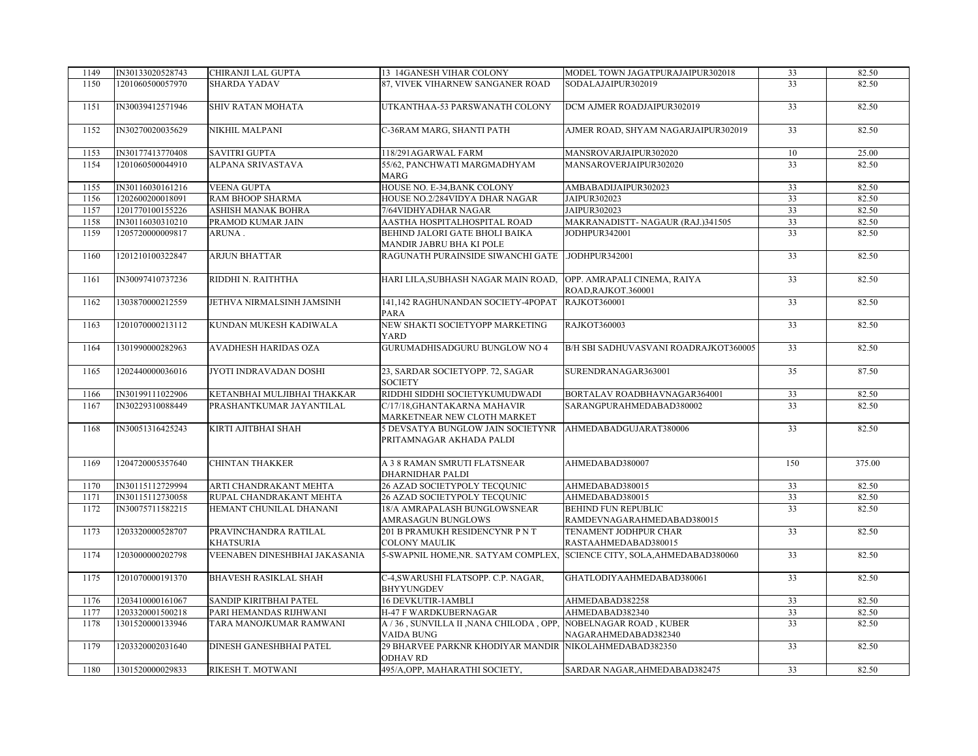| 1149 | IN30133020528743 | CHIRANJI LAL GUPTA                        | 13 14GANESH VIHAR COLONY                                                             | MODEL TOWN JAGATPURAJAIPUR302018                         | 33              | 82.50  |
|------|------------------|-------------------------------------------|--------------------------------------------------------------------------------------|----------------------------------------------------------|-----------------|--------|
| 1150 | 1201060500057970 | <b>SHARDA YADAV</b>                       | 87. VIVEK VIHARNEW SANGANER ROAD                                                     | SODALAJAIPUR302019                                       | $\overline{33}$ | 82.50  |
| 1151 | IN30039412571946 | SHIV RATAN MOHATA                         | UTKANTHAA-53 PARSWANATH COLONY                                                       | DCM AJMER ROADJAIPUR302019                               | 33              | 82.50  |
| 1152 | IN30270020035629 | <b>NIKHIL MALPANI</b>                     | C-36RAM MARG, SHANTI PATH                                                            | AJMER ROAD, SHYAM NAGARJAIPUR302019                      | 33              | 82.50  |
| 1153 | IN30177413770408 | <b>SAVITRI GUPTA</b>                      | 118/291AGARWAL FARM                                                                  | MANSROVARJAIPUR302020                                    | 10              | 25.00  |
| 1154 | 1201060500044910 | ALPANA SRIVASTAVA                         | 55/62, PANCHWATI MARGMADHYAM                                                         | MANSAROVERJAIPUR302020                                   | 33              | 82.50  |
|      |                  |                                           | <b>MARG</b>                                                                          |                                                          |                 |        |
| 1155 | IN30116030161216 | <b>VEENA GUPTA</b>                        | HOUSE NO. E-34, BANK COLONY                                                          | AMBABADIJAIPUR302023                                     | 33              | 82.50  |
| 1156 | 1202600200018091 | RAM BHOOP SHARMA                          | HOUSE NO.2/284VIDYA DHAR NAGAR                                                       | JAIPUR302023                                             | 33              | 82.50  |
| 1157 | 1201770100155226 | ASHISH MANAK BOHRA                        | 7/64VIDHYADHAR NAGAR                                                                 | JAIPUR302023                                             | 33              | 82.50  |
| 1158 | IN30116030310210 | PRAMOD KUMAR JAIN                         | AASTHA HOSPITALHOSPITAL ROAD                                                         | MAKRANADISTT- NAGAUR (RAJ.)341505                        | 33              | 82.50  |
| 1159 | 1205720000009817 | ARUNA.                                    | BEHIND JALORI GATE BHOLI BAIKA<br>MANDIR JABRU BHA KI POLE                           | JODHPUR342001                                            | 33              | 82.50  |
| 1160 | 1201210100322847 | ARJUN BHATTAR                             | RAGUNATH PURAINSIDE SIWANCHI GATE .JODHPUR342001                                     |                                                          | $\overline{33}$ | 82.50  |
| 1161 | IN30097410737236 | RIDDHI N. RAITHTHA                        | HARI LILA, SUBHASH NAGAR MAIN ROAD, OPP. AMRAPALI CINEMA, RAIYA                      | ROAD, RAJKOT.360001                                      | 33              | 82.50  |
| 1162 | 1303870000212559 | JETHVA NIRMALSINH JAMSINH                 | 141,142 RAGHUNANDAN SOCIETY-4POPAT<br><b>PARA</b>                                    | <b>RAJKOT360001</b>                                      | 33              | 82.50  |
| 1163 | 1201070000213112 | KUNDAN MUKESH KADIWALA                    | NEW SHAKTI SOCIETYOPP MARKETING<br><b>YARD</b>                                       | RAJKOT360003                                             | 33              | 82.50  |
| 1164 | 1301990000282963 | AVADHESH HARIDAS OZA                      | GURUMADHISADGURU BUNGLOW NO 4                                                        | B/H SBI SADHUVASVANI ROADRAJKOT360005                    | 33              | 82.50  |
| 1165 | 1202440000036016 | JYOTI INDRAVADAN DOSHI                    | 23, SARDAR SOCIETYOPP. 72, SAGAR<br><b>SOCIETY</b>                                   | SURENDRANAGAR363001                                      | 35              | 87.50  |
| 1166 | IN30199111022906 | KETANBHAI MULJIBHAI THAKKAR               | RIDDHI SIDDHI SOCIETYKUMUDWADI                                                       | BORTALAV ROADBHAVNAGAR364001                             | 33              | 82.50  |
| 1167 | IN30229310088449 | PRASHANTKUMAR JAYANTILAL                  | C/17/18, GHANTAKARNA MAHAVIR<br>MARKETNEAR NEW CLOTH MARKET                          | SARANGPURAHMEDABAD380002                                 | 33              | 82.50  |
| 1168 | IN30051316425243 | KIRTI AJITBHAI SHAH                       | 5 DEVSATYA BUNGLOW JAIN SOCIETYNR AHMEDABADGUJARAT380006<br>PRITAMNAGAR AKHADA PALDI |                                                          | 33              | 82.50  |
| 1169 | 1204720005357640 | <b>CHINTAN THAKKER</b>                    | A 3 8 RAMAN SMRUTI FLATSNEAR<br>DHARNIDHAR PALDI                                     | AHMEDABAD380007                                          | 150             | 375.00 |
| 1170 | IN30115112729994 | ARTI CHANDRAKANT MEHTA                    | 26 AZAD SOCIETYPOLY TECQUNIC                                                         | AHMEDABAD380015                                          | 33              | 82.50  |
| 1171 | IN30115112730058 | RUPAL CHANDRAKANT MEHTA                   | 26 AZAD SOCIETYPOLY TECQUNIC                                                         | AHMEDABAD380015                                          | 33              | 82.50  |
| 1172 | IN30075711582215 | HEMANT CHUNILAL DHANANI                   | 18/A AMRAPALASH BUNGLOWSNEAR<br>AMRASAGUN BUNGLOWS                                   | <b>BEHIND FUN REPUBLIC</b><br>RAMDEVNAGARAHMEDABAD380015 | 33              | 82.50  |
| 1173 | 1203320000528707 | PRAVINCHANDRA RATILAL<br><b>KHATSURIA</b> | 201 B PRAMUKH RESIDENCYNR P N T<br><b>COLONY MAULIK</b>                              | TENAMENT JODHPUR CHAR<br>RASTAAHMEDABAD380015            | 33              | 82.50  |
| 1174 | 1203000000202798 | VEENABEN DINESHBHAI JAKASANIA             | 5-SWAPNIL HOME, NR. SATYAM COMPLEX, SCIENCE CITY, SOLA, AHMEDABAD380060              |                                                          | 33              | 82.50  |
| 1175 | 1201070000191370 | <b>BHAVESH RASIKLAL SHAH</b>              | C-4, SWARUSHI FLATSOPP. C.P. NAGAR,<br><b>BHYYUNGDEV</b>                             | GHATLODIYAAHMEDABAD380061                                | 33              | 82.50  |
| 1176 | 1203410000161067 | SANDIP KIRITBHAI PATEL                    | 16 DEVKUTIR-1AMBLI                                                                   | AHMEDABAD382258                                          | 33              | 82.50  |
| 1177 | 1203320001500218 | PARI HEMANDAS RIJHWANI                    | <b>H-47 F WARDKUBERNAGAR</b>                                                         | AHMEDABAD382340                                          | 33              | 82.50  |
| 1178 | 1301520000133946 | TARA MANOJKUMAR RAMWANI                   | A / 36, SUNVILLA II, NANA CHILODA, OPP, NOBELNAGAR ROAD, KUBER<br>VAIDA BUNG         | NAGARAHMEDABAD382340                                     | $\overline{33}$ | 82.50  |
| 1179 | 1203320002031640 | DINESH GANESHBHAI PATEL                   | 29 BHARVEE PARKNR KHODIYAR MANDIR NIKOLAHMEDABAD382350<br><b>ODHAV RD</b>            |                                                          | 33              | 82.50  |
| 1180 | 1301520000029833 | RIKESH T. MOTWANI                         | 495/A, OPP, MAHARATHI SOCIETY,                                                       | SARDAR NAGAR, AHMEDABAD382475                            | $\overline{33}$ | 82.50  |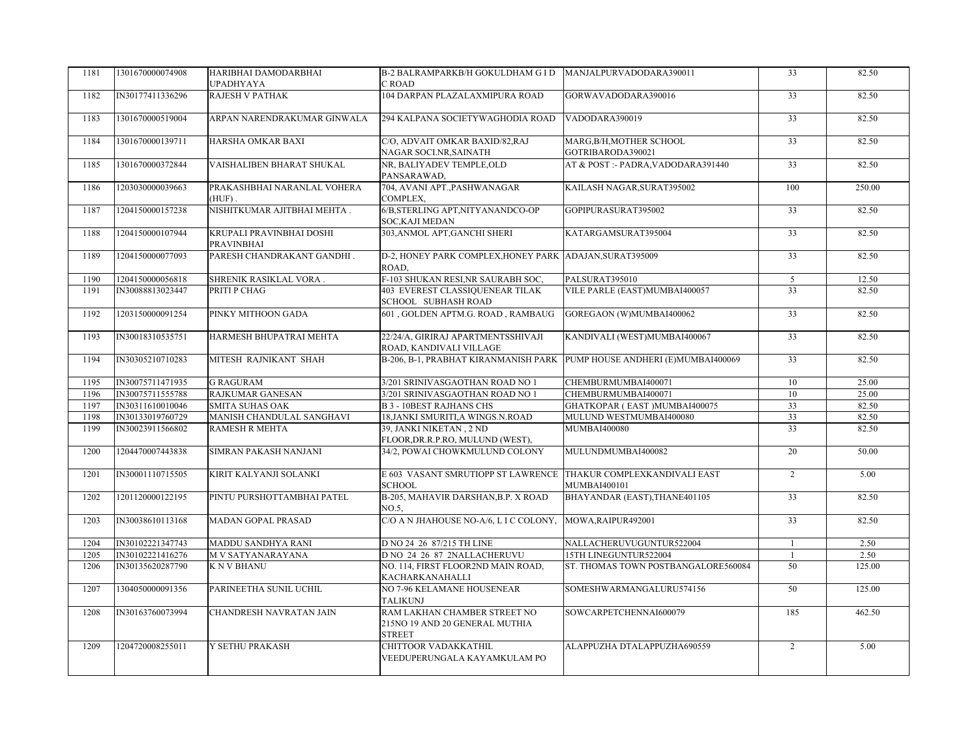| 1181 | 1301670000074908 | HARIBHAI DAMODARBHAI<br><b>UPADHYAYA</b> | B-2 BALRAMPARKB/H GOKULDHAM G I D MANJALPURVADODARA390011<br>C ROAD              |                                                                         | 33              | 82.50  |
|------|------------------|------------------------------------------|----------------------------------------------------------------------------------|-------------------------------------------------------------------------|-----------------|--------|
| 1182 | IN30177411336296 | RAJESH V PATHAK                          | 104 DARPAN PLAZALAXMIPURA ROAD                                                   | GORWAVADODARA390016                                                     | 33              | 82.50  |
| 1183 | 1301670000519004 | ARPAN NARENDRAKUMAR GINWALA              | 294 KALPANA SOCIETYWAGHODIA ROAD                                                 | VADODARA390019                                                          | 33              | 82.50  |
| 1184 | 1301670000139711 | HARSHA OMKAR BAXI                        | C/O, ADVAIT OMKAR BAXID/82,RAJ<br>NAGAR SOCI.NR, SAINATH                         | MARG, B/H, MOTHER SCHOOL<br>GOTRIBARODA390021                           | $\overline{33}$ | 82.50  |
| 1185 | 1301670000372844 | VAISHALIBEN BHARAT SHUKAL                | NR, BALIYADEV TEMPLE, OLD<br>PANSARAWAD,                                         | AT & POST :- PADRA, VADODARA391440                                      | 33              | 82.50  |
| 1186 | 1203030000039663 | PRAKASHBHAI NARANLAL VOHERA<br>$(HUF)$ . | 704, AVANI APT., PASHWANAGAR<br>COMPLEX,                                         | KAILASH NAGAR, SURAT395002                                              | 100             | 250.00 |
| 1187 | 1204150000157238 | NISHITKUMAR AJITBHAI MEHTA.              | 6/B, STERLING APT, NITY ANANDCO-OP<br>SOC, KAJI MEDAN                            | GOPIPURASURAT395002                                                     | 33              | 82.50  |
| 1188 | 1204150000107944 | KRUPALI PRAVINBHAI DOSHI<br>PRAVINBHAI   | 303, ANMOL APT, GANCHI SHERI                                                     | KATARGAMSURAT395004                                                     | 33              | 82.50  |
| 1189 | 1204150000077093 | PARESH CHANDRAKANT GANDHI.               | D-2, HONEY PARK COMPLEX, HONEY PARK ADAJAN, SURAT395009<br>ROAD.                 |                                                                         | $\overline{33}$ | 82.50  |
| 1190 | 1204150000056818 | SHRENIK RASIKLAL VORA.                   | F-103 SHUKAN RESI, NR SAURABH SOC,                                               | PALSURAT395010                                                          | 5               | 12.50  |
| 1191 | IN30088813023447 | PRITI P CHAG                             | 403 EVEREST CLASSIQUENEAR TILAK<br>SCHOOL SUBHASH ROAD                           | VILE PARLE (EAST)MUMBAI400057                                           | 33              | 82.50  |
| 1192 | 1203150000091254 | PINKY MITHOON GADA                       | 601, GOLDEN APTM.G. ROAD, RAMBAUG                                                | GOREGAON (W)MUMBAI400062                                                | $\overline{33}$ | 82.50  |
| 1193 | IN30018310535751 | HARMESH BHUPATRAI MEHTA                  | 22/24/A, GIRIRAJ APARTMENTSSHIVAJI<br>ROAD, KANDIVALI VILLAGE                    | KANDIVALI (WEST)MUMBAI400067                                            | 33              | 82.50  |
| 1194 | IN30305210710283 | MITESH RAJNIKANT SHAH                    |                                                                                  | B-206, B-1, PRABHAT KIRANMANISH PARK PUMP HOUSE ANDHERI (E)MUMBAI400069 | 33              | 82.50  |
| 1195 | IN30075711471935 | <b>G RAGURAM</b>                         | 3/201 SRINIVASGAOTHAN ROAD NO 1                                                  | CHEMBURMUMBAI400071                                                     | 10              | 25.00  |
| 1196 | IN30075711555788 | <b>RAJKUMAR GANESAN</b>                  | 3/201 SRINIVASGAOTHAN ROAD NO 1                                                  | CHEMBURMUMBAI400071                                                     | 10              | 25.00  |
| 1197 | IN30311610010046 | <b>SMITA SUHAS OAK</b>                   | <b>B 3 - 10BEST RAJHANS CHS</b>                                                  | GHATKOPAR (EAST)MUMBAI400075                                            | 33              | 82.50  |
| 1198 | IN30133019760729 | MANISH CHANDULAL SANGHAVI                | 18, JANKI SMURITI, A WINGS.N.ROAD                                                | MULUND WESTMUMBAI400080                                                 | 33              | 82.50  |
| 1199 | IN30023911566802 | <b>RAMESH R MEHTA</b>                    | 39. JANKI NIKETAN , 2 ND<br>FLOOR, DR.R.P.RO, MULUND (WEST),                     | <b>MUMBAI400080</b>                                                     | $\overline{33}$ | 82.50  |
| 1200 | 1204470007443838 | SIMRAN PAKASH NANJANI                    | 34/2, POWAI CHOWKMULUND COLONY                                                   | MULUNDMUMBAI400082                                                      | 20              | 50.00  |
| 1201 | IN30001110715505 | KIRIT KALYANJI SOLANKI                   | E 603 VASANT SMRUTIOPP ST LAWRENCE THAKUR COMPLEXKANDIVALI EAST<br><b>SCHOOL</b> | MUMBAI400101                                                            | 2               | 5.00   |
| 1202 | 1201120000122195 | PINTU PURSHOTTAMBHAI PATEL               | B-205, MAHAVIR DARSHAN, B.P. X ROAD<br>NO.5,                                     | BHAYANDAR (EAST), THANE401105                                           | 33              | 82.50  |
| 1203 | IN30038610113168 | <b>MADAN GOPAL PRASAD</b>                | C/O A N JHAHOUSE NO-A/6, L I C COLONY, MOWA, RAIPUR492001                        |                                                                         | 33              | 82.50  |
| 1204 | IN30102221347743 | MADDU SANDHYA RANI                       | D NO 24 26 87/215 TH LINE                                                        | NALLACHERUVUGUNTUR522004                                                | -1              | 2.50   |
| 1205 | IN30102221416276 | M V SATYANARAYANA                        | D NO 24 26 87 2NALLACHERUVU                                                      | 15TH LINEGUNTUR522004                                                   | $\mathbf{1}$    | 2.50   |
| 1206 | IN30135620287790 | <b>KNVBHANU</b>                          | NO. 114, FIRST FLOOR2ND MAIN ROAD,<br>KACHARKANAHALLI                            | ST. THOMAS TOWN POSTBANGALORE560084                                     | 50              | 125.00 |
| 1207 | 1304050000091356 | PARINEETHA SUNIL UCHIL                   | NO 7-96 KELAMANE HOUSENEAR<br><b>TALIKUNJ</b>                                    | SOMESHWARMANGALURU574156                                                | 50              | 125.00 |
| 1208 | IN30163760073994 | <b>CHANDRESH NAVRATAN JAIN</b>           | RAM LAKHAN CHAMBER STREET NO<br>215NO 19 AND 20 GENERAL MUTHIA<br><b>STREET</b>  | SOWCARPETCHENNAI600079                                                  | 185             | 462.50 |
| 1209 | 1204720008255011 | Y SETHU PRAKASH                          | CHITTOOR VADAKKATHIL<br>VEEDUPERUNGALA KAYAMKULAM PO                             | ALAPPUZHA DTALAPPUZHA690559                                             | $\overline{2}$  | 5.00   |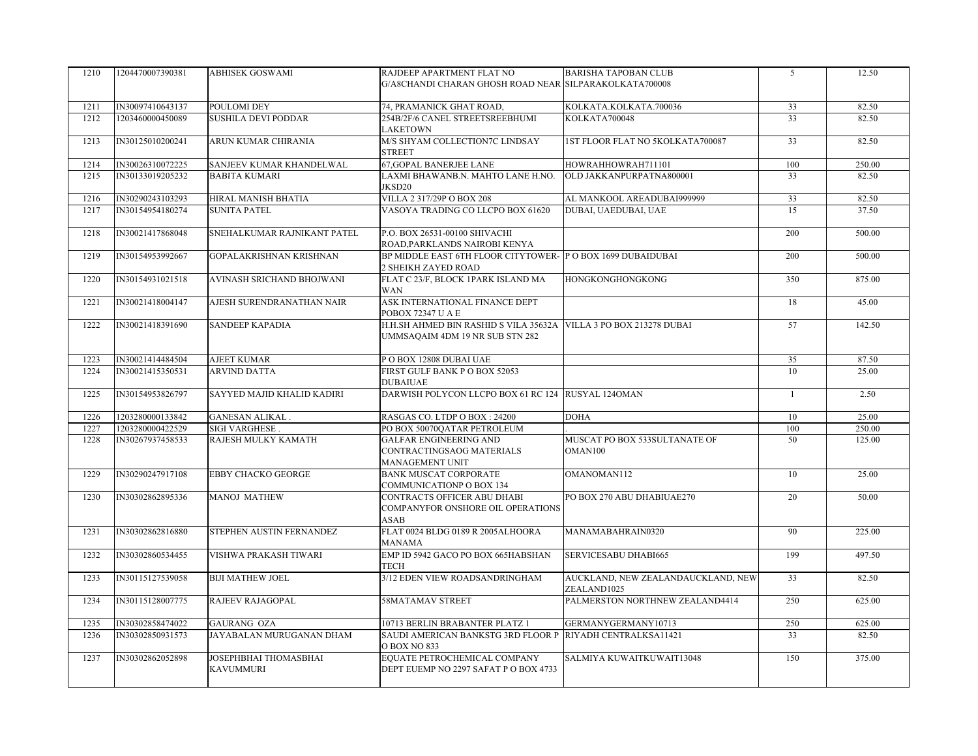| 1210 | 1204470007390381 | <b>ABHISEK GOSWAMI</b>                    | RAJDEEP APARTMENT FLAT NO<br>G/A8CHANDI CHARAN GHOSH ROAD NEAR SILPARAKOLKATA700008                  | <b>BARISHA TAPOBAN CLUB</b>                       | 5            | 12.50  |
|------|------------------|-------------------------------------------|------------------------------------------------------------------------------------------------------|---------------------------------------------------|--------------|--------|
| 1211 | IN30097410643137 | POULOMI DEY                               | 74, PRAMANICK GHAT ROAD,                                                                             | KOLKATA.KOLKATA.700036                            | 33           | 82.50  |
| 1212 | 1203460000450089 | <b>SUSHILA DEVI PODDAR</b>                | 254B/2F/6 CANEL STREETSREEBHUMI<br><b>LAKETOWN</b>                                                   | KOLKATA700048                                     | 33           | 82.50  |
| 1213 | IN30125010200241 | ARUN KUMAR CHIRANIA                       | M/S SHYAM COLLECTION7C LINDSAY<br><b>STREET</b>                                                      | 1ST FLOOR FLAT NO 5KOLKATA700087                  | 33           | 82.50  |
| 1214 | IN30026310072225 | SANJEEV KUMAR KHANDELWAL                  | <b>67, GOPAL BANERJEE LANE</b>                                                                       | HOWRAHHOWRAH711101                                | 100          | 250.00 |
| 1215 | IN30133019205232 | <b>BABITA KUMARI</b>                      | LAXMI BHAWANB.N. MAHTO LANE H.NO.<br>JKSD20                                                          | OLD JAKKANPURPATNA800001                          | 33           | 82.50  |
| 1216 | IN30290243103293 | HIRAL MANISH BHATIA                       | VILLA 2 317/29P O BOX 208                                                                            | AL MANKOOL AREADUBAI999999                        | 33           | 82.50  |
| 1217 | IN30154954180274 | <b>SUNITA PATEL</b>                       | VASOYA TRADING CO LLCPO BOX 61620                                                                    | DUBAI, UAEDUBAI, UAE                              | 15           | 37.50  |
| 1218 | IN30021417868048 | SNEHALKUMAR RAJNIKANT PATEL               | P.O. BOX 26531-00100 SHIVACHI<br>ROAD, PARKLANDS NAIROBI KENYA                                       |                                                   | 200          | 500.00 |
| 1219 | IN30154953992667 | GOPALAKRISHNAN KRISHNAN                   | BP MIDDLE EAST 6TH FLOOR CITYTOWER- P O BOX 1699 DUBAIDUBAI<br>2 SHEIKH ZAYED ROAD                   |                                                   | 200          | 500.00 |
| 1220 | IN30154931021518 | AVINASH SRICHAND BHOJWANI                 | FLAT C 23/F, BLOCK 1PARK ISLAND MA<br><b>WAN</b>                                                     | <b>HONGKONGHONGKONG</b>                           | 350          | 875.00 |
| 1221 | IN30021418004147 | AJESH SURENDRANATHAN NAIR                 | ASK INTERNATIONAL FINANCE DEPT<br>POBOX 72347 U A E                                                  |                                                   | 18           | 45.00  |
| 1222 | IN30021418391690 | <b>SANDEEP KAPADIA</b>                    | H.H.SH AHMED BIN RASHID S VILA 35632A VILLA 3 PO BOX 213278 DUBAI<br>UMMSAQAIM 4DM 19 NR SUB STN 282 |                                                   | 57           | 142.50 |
| 1223 | IN30021414484504 | <b>AJEET KUMAR</b>                        | POBOX 12808 DUBAI UAE                                                                                |                                                   | 35           | 87.50  |
| 1224 | IN30021415350531 | ARVIND DATTA                              | FIRST GULF BANK P O BOX 52053                                                                        |                                                   | 10           | 25.00  |
|      |                  |                                           | <b>DUBAIUAE</b>                                                                                      |                                                   |              |        |
| 1225 | IN30154953826797 | SAYYED MAJID KHALID KADIRI                | DARWISH POLYCON LLCPO BOX 61 RC 124 RUSYAL 1240MAN                                                   |                                                   | $\mathbf{1}$ | 2.50   |
| 1226 | 1203280000133842 | <b>GANESAN ALIKAL.</b>                    | RASGAS CO. LTDP O BOX: 24200                                                                         | <b>DOHA</b>                                       | 10           | 25.00  |
| 1227 | 1203280000422529 | SIGI VARGHESE.                            | PO BOX 50070QATAR PETROLEUM                                                                          |                                                   | 100          | 250.00 |
| 1228 | IN30267937458533 | RAJESH MULKY KAMATH                       | <b>GALFAR ENGINEERING AND</b><br>CONTRACTINGSAOG MATERIALS<br>MANAGEMENT UNIT                        | MUSCAT PO BOX 533SULTANATE OF<br><b>OMAN100</b>   | 50           | 125.00 |
| 1229 | IN30290247917108 | EBBY CHACKO GEORGE                        | <b>BANK MUSCAT CORPORATE</b><br>COMMUNICATIONP O BOX 134                                             | OMANOMAN112                                       | 10           | 25.00  |
| 1230 | IN30302862895336 | MANOJ MATHEW                              | CONTRACTS OFFICER ABU DHABI<br>COMPANYFOR ONSHORE OIL OPERATIONS<br><b>ASAB</b>                      | PO BOX 270 ABU DHABIUAE270                        | 20           | 50.00  |
| 1231 | IN30302862816880 | STEPHEN AUSTIN FERNANDEZ                  | FLAT 0024 BLDG 0189 R 2005ALHOORA<br><b>MANAMA</b>                                                   | MANAMABAHRAIN0320                                 | 90           | 225.00 |
| 1232 | IN30302860534455 | VISHWA PRAKASH TIWARI                     | EMP ID 5942 GACO PO BOX 665HABSHAN<br><b>TECH</b>                                                    | <b>SERVICESABU DHABI665</b>                       | 199          | 497.50 |
| 1233 | IN30115127539058 | <b>BIJI MATHEW JOEL</b>                   | 3/12 EDEN VIEW ROADSANDRINGHAM                                                                       | AUCKLAND, NEW ZEALANDAUCKLAND, NEW<br>ZEALAND1025 | 33           | 82.50  |
| 1234 | IN30115128007775 | RAJEEV RAJAGOPAL                          | 58MATAMAV STREET                                                                                     | PALMERSTON NORTHNEW ZEALAND4414                   | 250          | 625.00 |
| 1235 | IN30302858474022 | GAURANG OZA                               | 10713 BERLIN BRABANTER PLATZ 1                                                                       | GERMANYGERMANY10713                               | 250          | 625.00 |
| 1236 | IN30302850931573 | JAYABALAN MURUGANAN DHAM                  | SAUDI AMERICAN BANKSTG 3RD FLOOR P RIYADH CENTRALKSA11421<br>O BOX NO 833                            |                                                   | 33           | 82.50  |
| 1237 | IN30302862052898 | JOSEPHBHAI THOMASBHAI<br><b>KAVUMMURI</b> | EQUATE PETROCHEMICAL COMPANY<br>DEPT EUEMP NO 2297 SAFAT P O BOX 4733                                | SALMIYA KUWAITKUWAIT13048                         | 150          | 375.00 |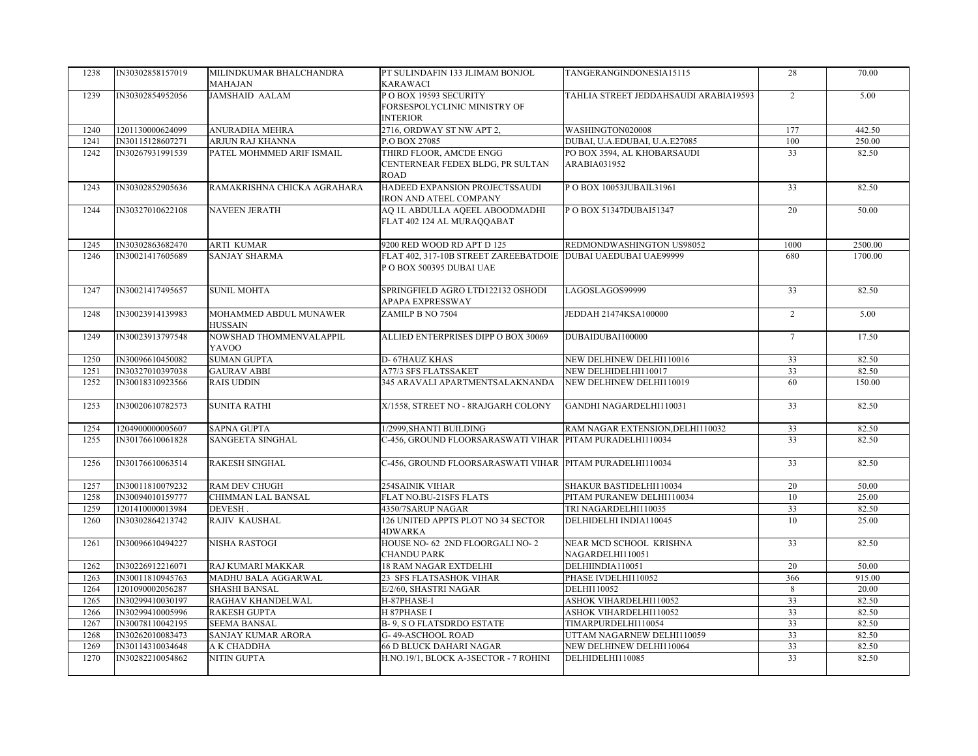| 1238 | IN30302858157019 | MILINDKUMAR BHALCHANDRA<br>MAHAJAN       | PT SULINDAFIN 133 JLIMAM BONJOL<br>KARAWACI                                                 | TANGERANGINDONESIA15115                     | 28              | 70.00   |
|------|------------------|------------------------------------------|---------------------------------------------------------------------------------------------|---------------------------------------------|-----------------|---------|
| 1239 | IN30302854952056 | <b>JAMSHAID AALAM</b>                    | POBOX 19593 SECURITY<br>FORSESPOLYCLINIC MINISTRY OF<br><b>INTERIOR</b>                     | TAHLIA STREET JEDDAHSAUDI ARABIA19593       | 2               | 5.00    |
| 1240 | 1201130000624099 | ANURADHA MEHRA                           | 2716, ORDWAY ST NW APT 2,                                                                   | WASHINGTON020008                            | 177             | 442.50  |
| 1241 | IN30115128607271 | ARJUN RAJ KHANNA                         | P.O BOX 27085                                                                               | DUBAI, U.A.EDUBAI, U.A.E27085               | 100             | 250.00  |
| 1242 | IN30267931991539 | PATEL MOHMMED ARIF ISMAIL                | THIRD FLOOR, AMCDE ENGG<br>CENTERNEAR FEDEX BLDG, PR SULTAN<br><b>ROAD</b>                  | PO BOX 3594, AL KHOBARSAUDI<br>ARABIA031952 | 33              | 82.50   |
| 1243 | IN30302852905636 | RAMAKRISHNA CHICKA AGRAHARA              | HADEED EXPANSION PROJECTSSAUDI<br>IRON AND ATEEL COMPANY                                    | POBOX 10053JUBAIL31961                      | 33              | 82.50   |
| 1244 | IN30327010622108 | <b>NAVEEN JERATH</b>                     | AQ 1L ABDULLA AQEEL ABOODMADHI<br>FLAT 402 124 AL MURAQQABAT                                | P O BOX 51347DUBAI51347                     | 20              | 50.00   |
| 1245 | IN30302863682470 | <b>ARTI KUMAR</b>                        | 9200 RED WOOD RD APT D 125                                                                  | REDMONDWASHINGTON US98052                   | 1000            | 2500.00 |
| 1246 | IN30021417605689 | <b>SANJAY SHARMA</b>                     | FLAT 402, 317-10B STREET ZAREEBATDOIE   DUBAI UAEDUBAI UAE99999<br>P O BOX 500395 DUBAI UAE |                                             | 680             | 1700.00 |
| 1247 | IN30021417495657 | <b>SUNIL MOHTA</b>                       | SPRINGFIELD AGRO LTD122132 OSHODI<br>APAPA EXPRESSWAY                                       | LAGOSLAGOS99999                             | 33              | 82.50   |
| 1248 | IN30023914139983 | MOHAMMED ABDUL MUNAWER<br><b>HUSSAIN</b> | ZAMILP B NO 7504                                                                            | JEDDAH 21474KSA100000                       | 2               | 5.00    |
| 1249 | IN30023913797548 | NOWSHAD THOMMENVALAPPIL<br>YAVOO         | ALLIED ENTERPRISES DIPP O BOX 30069                                                         | DUBAIDUBAI100000                            | $\tau$          | 17.50   |
| 1250 | IN30096610450082 | <b>SUMAN GUPTA</b>                       | D-67HAUZ KHAS                                                                               | NEW DELHINEW DELHI110016                    | 33              | 82.50   |
| 1251 | IN30327010397038 | <b>GAURAV ABBI</b>                       | A77/3 SFS FLATSSAKET                                                                        | NEW DELHIDELHI110017                        | 33              | 82.50   |
| 1252 | IN30018310923566 | <b>RAIS UDDIN</b>                        | 345 ARAVALI APARTMENTSALAKNANDA                                                             | NEW DELHINEW DELHI110019                    | 60              | 150.00  |
| 1253 | IN30020610782573 | <b>SUNITA RATHI</b>                      | X/1558, STREET NO - 8RAJGARH COLONY                                                         | GANDHI NAGARDELHI110031                     | 33              | 82.50   |
| 1254 | 1204900000005607 | <b>SAPNA GUPTA</b>                       | 1/2999, SHANTI BUILDING                                                                     | RAM NAGAR EXTENSION, DELHI110032            | 33              | 82.50   |
| 1255 | IN30176610061828 | SANGEETA SINGHAL                         | C-456, GROUND FLOORSARASWATI VIHAR PITAM PURADELHI110034                                    |                                             | $\overline{33}$ | 82.50   |
| 1256 | IN30176610063514 | <b>RAKESH SINGHAL</b>                    | C-456, GROUND FLOORSARASWATI VIHAR PITAM PURADELHI110034                                    |                                             | 33              | 82.50   |
| 1257 | IN30011810079232 | <b>RAM DEV CHUGH</b>                     | <b>254SAINIK VIHAR</b>                                                                      | SHAKUR BASTIDELHI110034                     | 20              | 50.00   |
| 1258 | IN30094010159777 | CHIMMAN LAL BANSAL                       | FLAT NO.BU-21SFS FLATS                                                                      | PITAM PURANEW DELHI110034                   | 10              | 25.00   |
| 1259 | 1201410000013984 | DEVESH.                                  | 4350/7SARUP NAGAR                                                                           | TRI NAGARDELHI110035                        | 33              | 82.50   |
| 1260 | IN30302864213742 | RAJIV KAUSHAL                            | 126 UNITED APPTS PLOT NO 34 SECTOR<br>4DWARKA                                               | DELHIDELHI INDIA110045                      | 10              | 25.00   |
| 1261 | IN30096610494227 | NISHA RASTOGI                            | HOUSE NO- 62 2ND FLOORGALI NO- 2<br><b>CHANDU PARK</b>                                      | NEAR MCD SCHOOL KRISHNA<br>NAGARDELHI110051 | $\overline{33}$ | 82.50   |
| 1262 | IN30226912216071 | RAJ KUMARI MAKKAR                        | <b>18 RAM NAGAR EXTDELHI</b>                                                                | DELHIINDIA110051                            | 20              | 50.00   |
| 1263 | IN30011810945763 | MADHU BALA AGGARWAL                      | 23 SFS FLATSASHOK VIHAR                                                                     | PHASE IVDELHI110052                         | 366             | 915.00  |
| 1264 | 1201090002056287 | <b>SHASHI BANSAL</b>                     | E/2/60, SHASTRI NAGAR                                                                       | DELHI110052                                 | 8               | 20.00   |
| 1265 | IN30299410030197 | RAGHAV KHANDELWAL                        | H-87PHASE-I                                                                                 | ASHOK VIHARDELHI110052                      | 33              | 82.50   |
| 1266 | IN30299410005996 | RAKESH GUPTA                             | H 87PHASE I                                                                                 | ASHOK VIHARDELHI110052                      | 33              | 82.50   |
| 1267 | IN30078110042195 | <b>SEEMA BANSAL</b>                      | <b>B-9, SOFLATSDRDO ESTATE</b>                                                              | TIMARPURDELHI110054                         | 33              | 82.50   |
| 1268 | IN30262010083473 | SANJAY KUMAR ARORA                       | G-49-ASCHOOL ROAD                                                                           | UTTAM NAGARNEW DELHI110059                  | 33              | 82.50   |
| 1269 | IN30114310034648 | A K CHADDHA                              | <b>66 D BLUCK DAHARI NAGAR</b>                                                              | NEW DELHINEW DELHI110064                    | 33              | 82.50   |
| 1270 | IN30282210054862 | NITIN GUPTA                              | H.NO.19/1, BLOCK A-3SECTOR - 7 ROHINI                                                       | DELHIDELHI110085                            | 33              | 82.50   |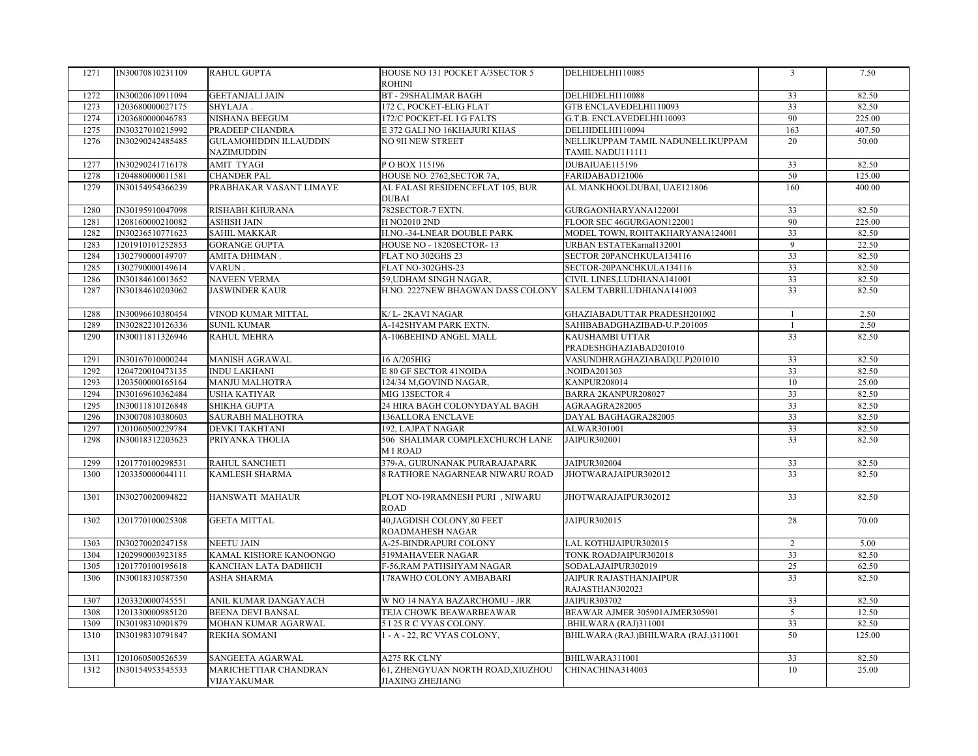| 1271 | IN30070810231109 | <b>RAHUL GUPTA</b>            | HOUSE NO 131 POCKET A/3SECTOR 5                  | DELHIDELHI110085                          | $\overline{3}$ | 7.50   |
|------|------------------|-------------------------------|--------------------------------------------------|-------------------------------------------|----------------|--------|
|      |                  |                               | <b>ROHINI</b>                                    |                                           |                |        |
| 1272 | IN30020610911094 | <b>GEETANJALI JAIN</b>        | <b>BT - 29SHALIMAR BAGH</b>                      | DELHIDELHI110088                          | 33             | 82.50  |
| 1273 | 1203680000027175 | SHYLAJA.                      | 172 C, POCKET-ELIG FLAT                          | GTB ENCLAVEDELHI110093                    | 33             | 82.50  |
| 1274 | 1203680000046783 | NISHANA BEEGUM                | 172/C POCKET-EL I G FALTS                        | G.T.B. ENCLAVEDELHI110093                 | 90             | 225.00 |
| 1275 | IN30327010215992 | PRADEEP CHANDRA               | E 372 GALI NO 16KHAJURI KHAS                     | DELHIDELHI110094                          | 163            | 407.50 |
| 1276 | IN30290242485485 | <b>GULAMOHIDDIN ILLAUDDIN</b> | NO 9II NEW STREET                                | NELLIKUPPAM TAMIL NADUNELLIKUPPAM         | 20             | 50.00  |
|      |                  | NAZIMUDDIN                    |                                                  | TAMIL NADU111111                          |                |        |
| 1277 | IN30290241716178 | <b>AMIT TYAGI</b>             | POBOX 115196                                     | DUBAIUAE115196                            | 33             | 82.50  |
| 1278 | 1204880000011581 | <b>CHANDER PAL</b>            | HOUSE NO. 2762, SECTOR 7A,                       | FARIDABAD121006                           | 50             | 125.00 |
| 1279 | IN30154954366239 | PRABHAKAR VASANT LIMAYE       | AL FALASI RESIDENCEFLAT 105, BUR<br><b>DUBAI</b> | AL MANKHOOLDUBAI, UAE121806               | 160            | 400.00 |
| 1280 | IN30195910047098 | RISHABH KHURANA               | 782SECTOR-7 EXTN.                                | GURGAONHARYANA122001                      | 33             | 82.50  |
| 1281 | 1208160000210082 | <b>ASHISH JAIN</b>            | <b>H NO2010 2ND</b>                              | FLOOR SEC 46GURGAON122001                 | 90             | 225.00 |
| 1282 | IN30236510771623 | <b>SAHIL MAKKAR</b>           | H.NO.-34-LNEAR DOUBLE PARK                       | MODEL TOWN, ROHTAKHARYANA124001           | 33             | 82.50  |
| 1283 | 1201910101252853 | <b>GORANGE GUPTA</b>          | HOUSE NO - 1820SECTOR-13                         | URBAN ESTATEKarnal132001                  | $\overline{9}$ | 22.50  |
| 1284 | 1302790000149707 | AMITA DHIMAN.                 | FLAT NO 302GHS 23                                | SECTOR 20PANCHKULA134116                  | 33             | 82.50  |
| 1285 | 1302790000149614 | VARUN.                        | FLAT NO-302GHS-23                                | SECTOR-20PANCHKULA134116                  | 33             | 82.50  |
| 1286 | IN30184610013652 | <b>NAVEEN VERMA</b>           | 59, UDHAM SINGH NAGAR,                           | CIVIL LINES, LUDHIANA141001               | 33             | 82.50  |
| 1287 | IN30184610203062 | <b>JASWINDER KAUR</b>         | H.NO. 2227NEW BHAGWAN DASS COLONY                | SALEM TABRILUDHIANA141003                 | 33             | 82.50  |
| 1288 | IN30096610380454 | VINOD KUMAR MITTAL            | K/L-2KAVI NAGAR                                  | GHAZIABADUTTAR PRADESH201002              | -1             | 2.50   |
| 1289 | IN30282210126336 | <b>SUNIL KUMAR</b>            | A-142SHYAM PARK EXTN.                            | SAHIBABADGHAZIBAD-U.P.201005              | $\mathbf{1}$   | 2.50   |
| 1290 | IN30011811326946 | RAHUL MEHRA                   | A-106BEHIND ANGEL MALL                           | KAUSHAMBI UTTAR<br>PRADESHGHAZIABAD201010 | 33             | 82.50  |
| 1291 | IN30167010000244 | <b>MANISH AGRAWAL</b>         | 16 A/205HIG                                      | VASUNDHRAGHAZIABAD(U.P)201010             | 33             | 82.50  |
| 1292 | 1204720010473135 | <b>INDU LAKHANI</b>           | E 80 GF SECTOR 41NOIDA                           | .NOIDA201303                              | 33             | 82.50  |
| 1293 | 1203500000165164 | <b>MANJU MALHOTRA</b>         | 124/34 M, GOVIND NAGAR,                          | KANPUR208014                              | 10             | 25.00  |
| 1294 | IN30169610362484 | <b>USHA KATIYAR</b>           | MIG 13SECTOR 4                                   | BARRA 2KANPUR208027                       | 33             | 82.50  |
| 1295 | IN30011810126848 | SHIKHA GUPTA                  | 24 HIRA BAGH COLONYDAYAL BAGH                    | AGRAAGRA282005                            | 33             | 82.50  |
| 1296 | IN30070810380603 | SAURABH MALHOTRA              | <b>136ALLORA ENCLAVE</b>                         | DAYAL BAGHAGRA282005                      | 33             | 82.50  |
| 1297 | 1201060500229784 | DEVKI TAKHTANI                | 192, LAJPAT NAGAR                                | ALWAR301001                               | 33             | 82.50  |
| 1298 | IN30018312203623 | PRIYANKA THOLIA               | 506 SHALIMAR COMPLEXCHURCH LANE<br>M I ROAD      | JAIPUR302001                              | 33             | 82.50  |
| 1299 | 1201770100298531 | RAHUL SANCHETI                | 379-A, GURUNANAK PURARAJAPARK                    | <b>JAIPUR302004</b>                       | 33             | 82.50  |
| 1300 | 1203350000044111 | KAMLESH SHARMA                | 8 RATHORE NAGARNEAR NIWARU ROAD                  | JHOTWARAJAIPUR302012                      | 33             | 82.50  |
|      |                  |                               |                                                  |                                           |                |        |
| 1301 | IN30270020094822 | <b>HANSWATI MAHAUR</b>        | PLOT NO-19RAMNESH PURI, NIWARU<br><b>ROAD</b>    | JHOTWARAJAIPUR302012                      | 33             | 82.50  |
| 1302 | 1201770100025308 | <b>GEETA MITTAL</b>           | 40, JAGDISH COLONY, 80 FEET<br>ROADMAHESH NAGAR  | JAIPUR302015                              | 28             | 70.00  |
| 1303 | IN30270020247158 | <b>NEETU JAIN</b>             | A-25-BINDRAPURI COLONY                           | LAL KOTHIJAIPUR302015                     | $\overline{2}$ | 5.00   |
| 1304 | 1202990003923185 | KAMAL KISHORE KANOONGO        | 519MAHAVEER NAGAR                                | TONK ROADJAIPUR302018                     | 33             | 82.50  |
| 1305 | 1201770100195618 | KANCHAN LATA DADHICH          | F-56, RAM PATHSHYAM NAGAR                        | SODALAJAIPUR302019                        | 25             | 62.50  |
| 1306 | IN30018310587350 | ASHA SHARMA                   | 178AWHO COLONY AMBABARI                          | JAIPUR RAJASTHANJAIPUR                    | 33             | 82.50  |
|      |                  |                               |                                                  | RAJASTHAN302023                           |                |        |
| 1307 | 1203320000745551 | ANIL KUMAR DANGAYACH          | W NO 14 NAYA BAZARCHOMU - JRR                    | JAIPUR303702                              | 33             | 82.50  |
| 1308 | 1201330000985120 | <b>BEENA DEVI BANSAL</b>      | TEJA CHOWK BEAWARBEAWAR                          | BEAWAR AJMER 305901AJMER305901            | $\overline{5}$ | 12.50  |
| 1309 | IN30198310901879 | MOHAN KUMAR AGARWAL           | 5 I 25 R C VYAS COLONY.                          | .BHILWARA (RAJ)311001                     | 33             | 82.50  |
| 1310 | IN30198310791847 | REKHA SOMANI                  | 1 - A - 22, RC VYAS COLONY,                      | BHILWARA (RAJ.)BHILWARA (RAJ.)311001      | 50             | 125.00 |
| 1311 | 1201060500526539 | SANGEETA AGARWAL              | A275 RK CLNY                                     | BHILWARA311001                            | 33             | 82.50  |
| 1312 | IN30154953545533 | MARICHETTIAR CHANDRAN         | 61, ZHENGYUAN NORTH ROAD, XIUZHOU                | CHINACHINA314003                          | 10             | 25.00  |
|      |                  | VIJAYAKUMAR                   | <b>JIAXING ZHEJIANG</b>                          |                                           |                |        |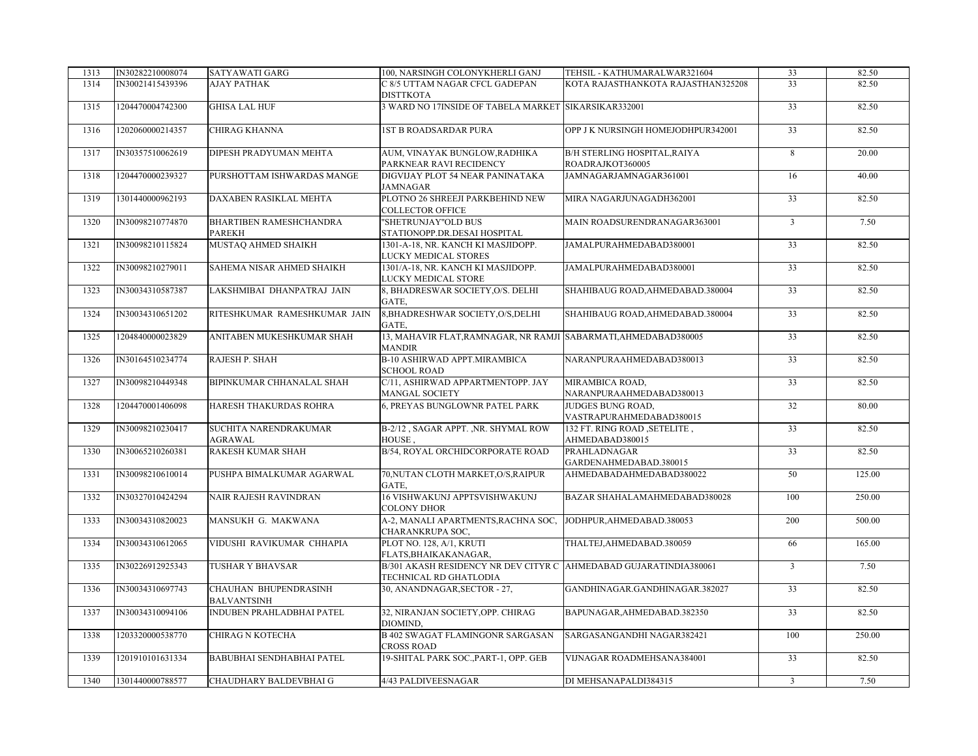| 1313 | IN30282210008074 | SATYAWATI GARG                              | 100, NARSINGH COLONYKHERLI GANJ                                                             | TEHSIL - KATHUMARALWAR321604                            | 33             | 82.50  |
|------|------------------|---------------------------------------------|---------------------------------------------------------------------------------------------|---------------------------------------------------------|----------------|--------|
| 1314 | IN30021415439396 | AJAY PATHAK                                 | C 8/5 UTTAM NAGAR CFCL GADEPAN<br><b>DISTTKOTA</b>                                          | KOTA RAJASTHANKOTA RAJASTHAN325208                      | 33             | 82.50  |
| 1315 | 1204470004742300 | <b>GHISA LAL HUF</b>                        | 3 WARD NO 17INSIDE OF TABELA MARKET SIKARSIKAR332001                                        |                                                         | 33             | 82.50  |
| 1316 | 1202060000214357 | CHIRAG KHANNA                               | <b>1ST B ROADSARDAR PURA</b>                                                                | OPP J K NURSINGH HOMEJODHPUR342001                      | 33             | 82.50  |
| 1317 | IN30357510062619 | DIPESH PRADYUMAN MEHTA                      | AUM, VINAYAK BUNGLOW, RADHIKA<br>PARKNEAR RAVI RECIDENCY                                    | <b>B/H STERLING HOSPITAL, RAIYA</b><br>ROADRAJKOT360005 | 8              | 20.00  |
| 1318 | 1204470000239327 | PURSHOTTAM ISHWARDAS MANGE                  | DIGVIJAY PLOT 54 NEAR PANINATAKA<br><b>JAMNAGAR</b>                                         | JAMNAGARJAMNAGAR361001                                  | 16             | 40.00  |
| 1319 | 1301440000962193 | DAXABEN RASIKLAL MEHTA                      | PLOTNO 26 SHREEJI PARKBEHIND NEW<br><b>COLLECTOR OFFICE</b>                                 | MIRA NAGARJUNAGADH362001                                | 33             | 82.50  |
| 1320 | IN30098210774870 | BHARTIBEN RAMESHCHANDRA<br>PAREKH           | "SHETRUNJAY"OLD BUS<br>STATIONOPP.DR.DESAI HOSPITAL                                         | MAIN ROADSURENDRANAGAR363001                            | $\overline{3}$ | 7.50   |
| 1321 | IN30098210115824 | MUSTAQ AHMED SHAIKH                         | 1301-A-18, NR. KANCH KI MASJIDOPP.<br>LUCKY MEDICAL STORES                                  | JAMALPURAHMEDABAD380001                                 | 33             | 82.50  |
| 1322 | IN30098210279011 | SAHEMA NISAR AHMED SHAIKH                   | 1301/A-18, NR. KANCH KI MASJIDOPP.<br>LUCKY MEDICAL STORE                                   | JAMALPURAHMEDABAD380001                                 | 33             | 82.50  |
| 1323 | IN30034310587387 | LAKSHMIBAI DHANPATRAJ JAIN                  | 8, BHADRESWAR SOCIETY, O/S. DELHI<br>GATE.                                                  | SHAHIBAUG ROAD, AHMEDABAD.380004                        | 33             | 82.50  |
| 1324 | IN30034310651202 | RITESHKUMAR RAMESHKUMAR JAIN                | 8, BHADRESHWAR SOCIETY, O/S, DELHI<br>GATE.                                                 | SHAHIBAUG ROAD, AHMEDABAD.380004                        | 33             | 82.50  |
| 1325 | 1204840000023829 | ANITABEN MUKESHKUMAR SHAH                   | 13, MAHAVIR FLAT, RAMNAGAR, NR RAMJI SABARMATI, AHMEDABAD380005<br><b>MANDIR</b>            |                                                         | 33             | 82.50  |
| 1326 | IN30164510234774 | RAJESH P. SHAH                              | B-10 ASHIRWAD APPT.MIRAMBICA<br><b>SCHOOL ROAD</b>                                          | NARANPURAAHMEDABAD380013                                | 33             | 82.50  |
| 1327 | IN30098210449348 | BIPINKUMAR CHHANALAL SHAH                   | C/11, ASHIRWAD APPARTMENTOPP. JAY<br><b>MANGAL SOCIETY</b>                                  | MIRAMBICA ROAD,<br>NARANPURAAHMEDABAD380013             | 33             | 82.50  |
| 1328 | 1204470001406098 | HARESH THAKURDAS ROHRA                      | 6, PREYAS BUNGLOWNR PATEL PARK                                                              | JUDGES BUNG ROAD,<br>VASTRAPURAHMEDABAD380015           | 32             | 80.00  |
| 1329 | IN30098210230417 | SUCHITA NARENDRAKUMAR<br>AGRAWAL            | B-2/12, SAGAR APPT., NR. SHYMAL ROW<br>HOUSE,                                               | 132 FT. RING ROAD , SETELITE,<br>AHMEDABAD380015        | 33             | 82.50  |
| 1330 | IN30065210260381 | RAKESH KUMAR SHAH                           | B/54, ROYAL ORCHIDCORPORATE ROAD                                                            | PRAHLADNAGAR<br>GARDENAHMEDABAD.380015                  | 33             | 82.50  |
| 1331 | IN30098210610014 | PUSHPA BIMALKUMAR AGARWAL                   | 70, NUTAN CLOTH MARKET, O/S, RAIPUR<br>GATE.                                                | AHMEDABADAHMEDABAD380022                                | 50             | 125.00 |
| 1332 | IN30327010424294 | NAIR RAJESH RAVINDRAN                       | 16 VISHWAKUNJ APPTSVISHWAKUNJ<br><b>COLONY DHOR</b>                                         | BAZAR SHAHALAMAHMEDABAD380028                           | 100            | 250.00 |
| 1333 | IN30034310820023 | MANSUKH G. MAKWANA                          | A-2, MANALI APARTMENTS,RACHNA SOC, JODHPUR,AHMEDABAD.380053<br>CHARANKRUPA SOC,             |                                                         | 200            | 500.00 |
| 1334 | IN30034310612065 | VIDUSHI RAVIKUMAR CHHAPIA                   | PLOT NO. 128, A/1, KRUTI<br>FLATS, BHAIKAKANAGAR,                                           | THALTEJ, AHMEDABAD.380059                               | 66             | 165.00 |
| 1335 | IN30226912925343 | TUSHAR Y BHAVSAR                            | B/301 AKASH RESIDENCY NR DEV CITYR C AHMEDABAD GUJARATINDIA380061<br>TECHNICAL RD GHATLODIA |                                                         | $\overline{3}$ | 7.50   |
| 1336 | IN30034310697743 | CHAUHAN BHUPENDRASINH<br><b>BALVANTSINH</b> | 30, ANANDNAGAR, SECTOR - 27,                                                                | GANDHINAGAR.GANDHINAGAR.382027                          | 33             | 82.50  |
| 1337 | IN30034310094106 | INDUBEN PRAHLADBHAI PATEL                   | 32, NIRANJAN SOCIETY, OPP. CHIRAG<br>DIOMIND,                                               | BAPUNAGAR, AHMEDABAD.382350                             | 33             | 82.50  |
| 1338 | 1203320000538770 | CHIRAG N KOTECHA                            | <b>B 402 SWAGAT FLAMINGONR SARGASAN</b><br>CROSS ROAD                                       | SARGASANGANDHI NAGAR382421                              | 100            | 250.00 |
| 1339 | 1201910101631334 | BABUBHAI SENDHABHAI PATEL                   | 19-SHITAL PARK SOC., PART-1, OPP. GEB                                                       | VIJNAGAR ROADMEHSANA384001                              | 33             | 82.50  |
| 1340 | 1301440000788577 | CHAUDHARY BALDEVBHAI G                      | 4/43 PALDIVEESNAGAR                                                                         | DI MEHSANAPALDI384315                                   | $\overline{3}$ | 7.50   |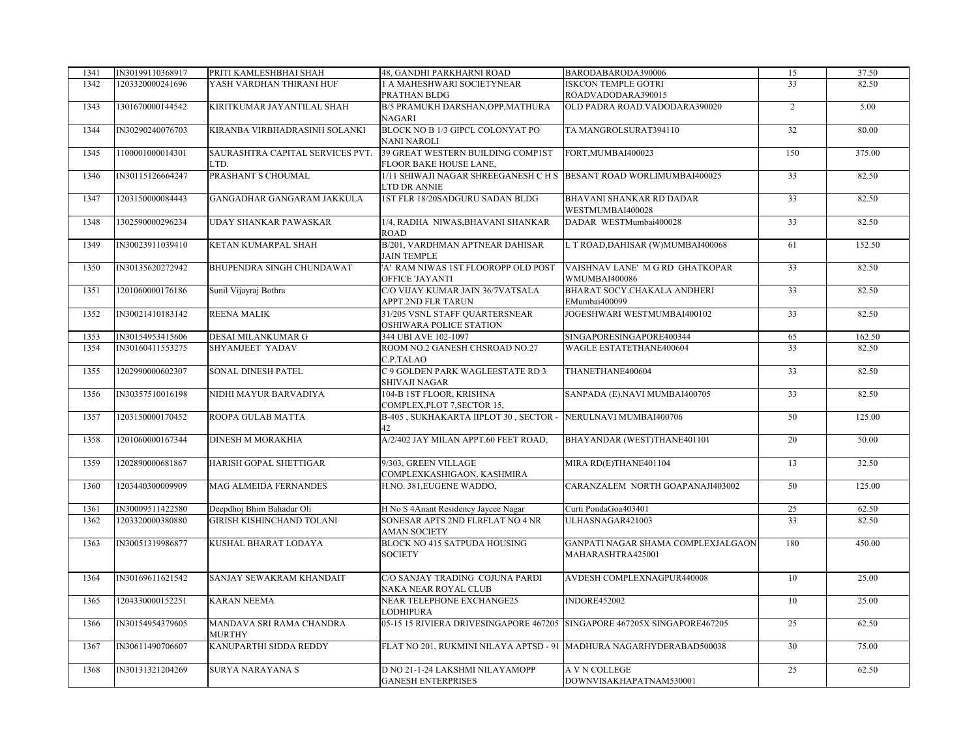| 1341 | IN30199110368917 | PRITI KAMLESHBHAI SHAH           | 48, GANDHI PARKHARNI ROAD                                                | BARODABARODA390006                 | 15              | 37.50  |
|------|------------------|----------------------------------|--------------------------------------------------------------------------|------------------------------------|-----------------|--------|
| 1342 | 1203320000241696 | YASH VARDHAN THIRANI HUF         | 1 A MAHESHWARI SOCIETYNEAR                                               | <b>ISKCON TEMPLE GOTRI</b>         | $\overline{33}$ | 82.50  |
|      |                  |                                  | PRATHAN BLDG                                                             | ROADVADODARA390015                 |                 |        |
| 1343 | 1301670000144542 | KIRITKUMAR JAYANTILAL SHAH       | B/5 PRAMUKH DARSHAN, OPP, MATHURA                                        | OLD PADRA ROAD. VADODARA390020     | $\overline{2}$  | 5.00   |
|      |                  |                                  | NAGARI                                                                   |                                    |                 |        |
| 1344 | IN30290240076703 | KIRANBA VIRBHADRASINH SOLANKI    | BLOCK NO B 1/3 GIPCL COLONYAT PO                                         | TA MANGROLSURAT394110              | 32              | 80.00  |
|      |                  |                                  | <b>NANI NAROLI</b>                                                       |                                    |                 |        |
| 1345 | 1100001000014301 | SAURASHTRA CAPITAL SERVICES PVT. | 39 GREAT WESTERN BUILDING COMP1ST                                        | FORT, MUMBAI400023                 | 150             | 375.00 |
|      |                  | LTD.                             | FLOOR BAKE HOUSE LANE,                                                   |                                    |                 |        |
| 1346 | IN30115126664247 | PRASHANT S CHOUMAL               | 1/11 SHIWAJI NAGAR SHREEGANESH C H S BESANT ROAD WORLIMUMBAI400025       |                                    | 33              | 82.50  |
|      |                  |                                  | LTD DR ANNIE                                                             |                                    |                 |        |
| 1347 | 1203150000084443 | GANGADHAR GANGARAM JAKKULA       | 1ST FLR 18/20SADGURU SADAN BLDG                                          | BHAVANI SHANKAR RD DADAR           | 33              | 82.50  |
|      |                  |                                  |                                                                          | WESTMUMBAI400028                   |                 |        |
|      | 1302590000296234 | UDAY SHANKAR PAWASKAR            | 1/4, RADHA NIWAS, BHAVANI SHANKAR                                        | DADAR WESTMumbai400028             | 33              | 82.50  |
| 1348 |                  |                                  |                                                                          |                                    |                 |        |
|      |                  |                                  | <b>ROAD</b>                                                              |                                    |                 |        |
| 1349 | IN30023911039410 | KETAN KUMARPAL SHAH              | B/201, VARDHMAN APTNEAR DAHISAR                                          | L T ROAD, DAHISAR (W) MUMBAI400068 | 61              | 152.50 |
|      |                  |                                  | <b>JAIN TEMPLE</b>                                                       |                                    |                 |        |
| 1350 | IN30135620272942 | BHUPENDRA SINGH CHUNDAWAT        | 'A' RAM NIWAS 1ST FLOOROPP OLD POST                                      | VAISHNAV LANE' M G RD GHATKOPAR    | 33              | 82.50  |
|      |                  |                                  | OFFICE 'JAYANTI                                                          | WMUMBAI400086                      |                 |        |
| 1351 | 1201060000176186 | Sunil Vijayraj Bothra            | C/O VIJAY KUMAR JAIN 36/7VATSALA                                         | BHARAT SOCY.CHAKALA ANDHERI        | 33              | 82.50  |
|      |                  |                                  | APPT.2ND FLR TARUN                                                       | EMumbai400099                      |                 |        |
| 1352 | IN30021410183142 | REENA MALIK                      | 31/205 VSNL STAFF QUARTERSNEAR                                           | JOGESHWARI WESTMUMBAI400102        | 33              | 82.50  |
|      |                  |                                  | OSHIWARA POLICE STATION                                                  |                                    |                 |        |
| 1353 | IN30154953415606 | DESAI MILANKUMAR G               | 344 UBI AVE 102-1097                                                     | SINGAPORESINGAPORE400344           | 65              | 162.50 |
| 1354 | IN30160411553275 | SHYAMJEET YADAV                  | ROOM NO.2 GANESH CHSROAD NO.27                                           | WAGLE ESTATETHANE400604            | 33              | 82.50  |
|      |                  |                                  | C.P.TALAO                                                                |                                    |                 |        |
| 1355 | 1202990000602307 | SONAL DINESH PATEL               | C 9 GOLDEN PARK WAGLEESTATE RD 3                                         | THANETHANE400604                   | 33              | 82.50  |
|      |                  |                                  | <b>SHIVAJI NAGAR</b>                                                     |                                    |                 |        |
| 1356 | IN30357510016198 | NIDHI MAYUR BARVADIYA            | 104-B 1ST FLOOR, KRISHNA                                                 | SANPADA (E), NAVI MUMBAI400705     | 33              | 82.50  |
|      |                  |                                  | COMPLEX, PLOT 7, SECTOR 15,                                              |                                    |                 |        |
| 1357 | 1203150000170452 | ROOPA GULAB MATTA                | B-405, SUKHAKARTA IIPLOT 30, SECTOR - NERULNAVI MUMBAI400706             |                                    | 50              | 125.00 |
|      |                  |                                  | 42                                                                       |                                    |                 |        |
| 1358 | 1201060000167344 | <b>DINESH M MORAKHIA</b>         | A/2/402 JAY MILAN APPT.60 FEET ROAD,                                     | BHAYANDAR (WEST)THANE401101        | 20              | 50.00  |
|      |                  |                                  |                                                                          |                                    |                 |        |
| 1359 | 1202890000681867 | HARISH GOPAL SHETTIGAR           | 9/303, GREEN VILLAGE                                                     | MIRA RD(E)THANE401104              | 13              | 32.50  |
|      |                  |                                  | COMPLEXKASHIGAON, KASHMIRA                                               |                                    |                 |        |
| 1360 | 1203440300009909 | MAG ALMEIDA FERNANDES            | H.NO. 381, EUGENE WADDO,                                                 | CARANZALEM NORTH GOAPANAJI403002   | 50              | 125.00 |
|      |                  |                                  |                                                                          |                                    |                 |        |
| 1361 | IN30009511422580 | Deepdhoj Bhim Bahadur Oli        | H No S 4Anant Residency Jaycee Nagar                                     | Curti PondaGoa403401               | 25              | 62.50  |
| 1362 | 1203320000380880 | GIRISH KISHINCHAND TOLANI        | SONESAR APTS 2ND FLRFLAT NO 4 NR                                         | ULHASNAGAR421003                   | 33              | 82.50  |
|      |                  |                                  | AMAN SOCIETY                                                             |                                    |                 |        |
| 1363 | IN30051319986877 | KUSHAL BHARAT LODAYA             | BLOCK NO 415 SATPUDA HOUSING                                             | GANPATI NAGAR SHAMA COMPLEXJALGAON | 180             | 450.00 |
|      |                  |                                  | <b>SOCIETY</b>                                                           | MAHARASHTRA425001                  |                 |        |
|      |                  |                                  |                                                                          |                                    |                 |        |
| 1364 | IN30169611621542 | SANJAY SEWAKRAM KHANDAIT         | C/O SANJAY TRADING COJUNA PARDI                                          | AVDESH COMPLEXNAGPUR440008         | 10              | 25.00  |
|      |                  |                                  | NAKA NEAR ROYAL CLUB                                                     |                                    |                 |        |
| 1365 | 1204330000152251 | <b>KARAN NEEMA</b>               | NEAR TELEPHONE EXCHANGE25                                                | <b>INDORE452002</b>                | 10              | 25.00  |
|      |                  |                                  | LODHIPURA                                                                |                                    |                 |        |
| 1366 | IN30154954379605 | MANDAVA SRI RAMA CHANDRA         | 05-15 15 RIVIERA DRIVESINGAPORE 467205 SINGAPORE 467205X SINGAPORE467205 |                                    | 25              | 62.50  |
|      |                  | <b>MURTHY</b>                    |                                                                          |                                    |                 |        |
| 1367 | IN30611490706607 | KANUPARTHI SIDDA REDDY           | FLAT NO 201, RUKMINI NILAYA APTSD - 91 MADHURA NAGARHYDERABAD500038      |                                    | 30              | 75.00  |
|      |                  |                                  |                                                                          |                                    |                 |        |
| 1368 | IN30131321204269 | SURYA NARAYANA S                 | D NO 21-1-24 LAKSHMI NILAYAMOPP                                          | <b>A V N COLLEGE</b>               | 25              | 62.50  |
|      |                  |                                  | <b>GANESH ENTERPRISES</b>                                                | DOWNVISAKHAPATNAM530001            |                 |        |
|      |                  |                                  |                                                                          |                                    |                 |        |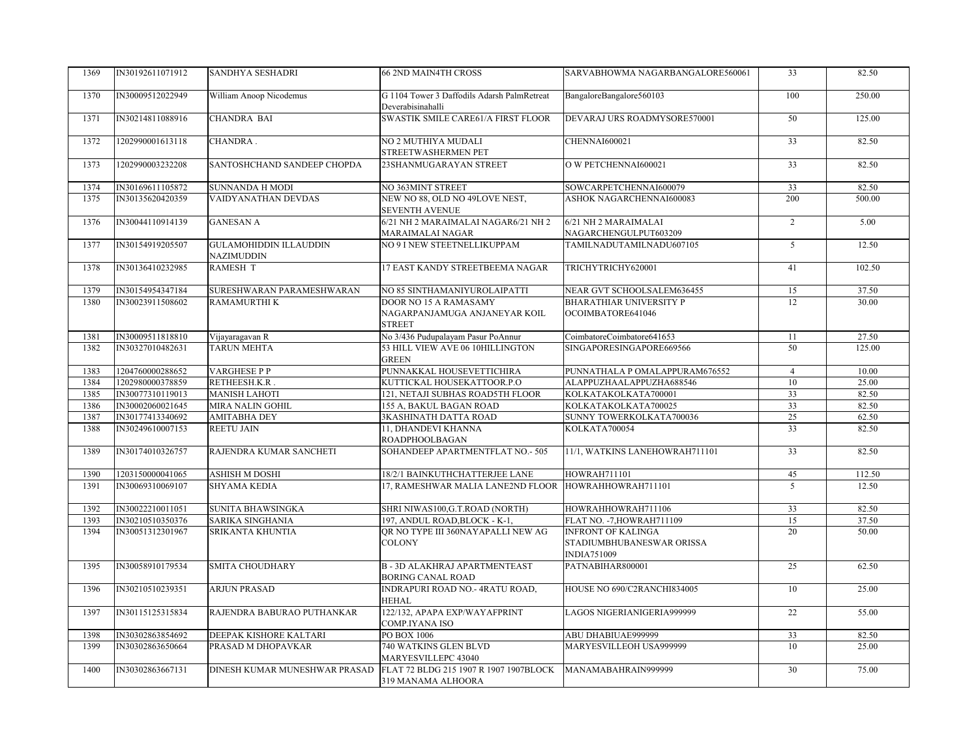| 1369 | IN30192611071912 | SANDHYA SESHADRI                            | <b>66 2ND MAIN4TH CROSS</b>                                             | SARVABHOWMA NAGARBANGALORE560061                                             | 33              | 82.50  |
|------|------------------|---------------------------------------------|-------------------------------------------------------------------------|------------------------------------------------------------------------------|-----------------|--------|
| 1370 | IN30009512022949 | William Anoop Nicodemus                     | G 1104 Tower 3 Daffodils Adarsh PalmRetreat<br>Deverabisinahalli        | BangaloreBangalore560103                                                     | 100             | 250.00 |
| 1371 | IN30214811088916 | <b>CHANDRA BAI</b>                          | SWASTIK SMILE CARE61/A FIRST FLOOR                                      | DEVARAJ URS ROADMYSORE570001                                                 | 50              | 125.00 |
| 1372 | 1202990001613118 | CHANDRA.                                    | NO 2 MUTHIYA MUDALI<br>STREETWASHERMEN PET                              | <b>CHENNAI600021</b>                                                         | $\overline{33}$ | 82.50  |
| 1373 | 1202990003232208 | SANTOSHCHAND SANDEEP CHOPDA                 | 23SHANMUGARAYAN STREET                                                  | O W PETCHENNAI600021                                                         | 33              | 82.50  |
| 1374 | IN30169611105872 | <b>SUNNANDA H MODI</b>                      | NO 363MINT STREET                                                       | SOWCARPETCHENNAI600079                                                       | 33              | 82.50  |
| 1375 | IN30135620420359 | VAIDYANATHAN DEVDAS                         | NEW NO 88, OLD NO 49LOVE NEST,<br><b>SEVENTH AVENUE</b>                 | ASHOK NAGARCHENNAI600083                                                     | 200             | 500.00 |
| 1376 | IN30044110914139 | <b>GANESAN A</b>                            | 6/21 NH 2 MARAIMALAI NAGAR6/21 NH 2<br>MARAIMALAI NAGAR                 | 6/21 NH 2 MARAIMALAI<br>NAGARCHENGULPUT603209                                | $\overline{2}$  | 5.00   |
| 1377 | IN30154919205507 | <b>GULAMOHIDDIN ILLAUDDIN</b><br>NAZIMUDDIN | NO 9 I NEW STEETNELLIKUPPAM                                             | TAMILNADUTAMILNADU607105                                                     | $\overline{5}$  | 12.50  |
| 1378 | IN30136410232985 | <b>RAMESH T</b>                             | 17 EAST KANDY STREETBEEMA NAGAR                                         | TRICHYTRICHY620001                                                           | 41              | 102.50 |
| 1379 | IN30154954347184 | SURESHWARAN PARAMESHWARAN                   | NO 85 SINTHAMANIYUROLAIPATTI                                            | NEAR GVT SCHOOLSALEM636455                                                   | 15              | 37.50  |
| 1380 | IN30023911508602 | <b>RAMAMURTHIK</b>                          | DOOR NO 15 A RAMASAMY<br>NAGARPANJAMUGA ANJANEYAR KOIL<br><b>STREET</b> | <b>BHARATHIAR UNIVERSITY P</b><br>OCOIMBATORE641046                          | 12              | 30.00  |
| 1381 | IN30009511818810 | Vijayaragavan R                             | No 3/436 Pudupalayam Pasur PoAnnur                                      | CoimbatoreCoimbatore641653                                                   | 11              | 27.50  |
| 1382 | IN30327010482631 | TARUN MEHTA                                 | 53 HILL VIEW AVE 06 10HILLINGTON<br><b>GREEN</b>                        | SINGAPORESINGAPORE669566                                                     | 50              | 125.00 |
| 1383 | 1204760000288652 | <b>VARGHESE P P</b>                         | PUNNAKKAL HOUSEVETTICHIRA                                               | PUNNATHALA P OMALAPPURAM676552                                               | $\overline{4}$  | 10.00  |
| 1384 | 1202980000378859 | RETHEESH.K.R.                               | KUTTICKAL HOUSEKATTOOR.P.O                                              | ALAPPUZHAALAPPUZHA688546                                                     | 10              | 25.00  |
| 1385 | IN30077310119013 | <b>MANISH LAHOTI</b>                        | 121, NETAJI SUBHAS ROAD5TH FLOOR                                        | KOLKATAKOLKATA700001                                                         | 33              | 82.50  |
| 1386 | IN30002060021645 | <b>MIRA NALIN GOHIL</b>                     | 155 A, BAKUL BAGAN ROAD                                                 | KOLKATAKOLKATA700025                                                         | 33              | 82.50  |
| 1387 | IN30177413340692 | <b>AMITABHA DEY</b>                         | <b>3KASHINATH DATTA ROAD</b>                                            | SUNNY TOWERKOLKATA700036                                                     | 25              | 62.50  |
| 1388 | IN30249610007153 | <b>REETU JAIN</b>                           | 11, DHANDEVI KHANNA<br><b>ROADPHOOLBAGAN</b>                            | KOLKATA700054                                                                | 33              | 82.50  |
| 1389 | IN30174010326757 | RAJENDRA KUMAR SANCHETI                     | SOHANDEEP APARTMENTFLAT NO.- 505                                        | 11/1, WATKINS LANEHOWRAH711101                                               | 33              | 82.50  |
| 1390 | 1203150000041065 | <b>ASHISH M DOSHI</b>                       | 18/2/1 BAINKUTHCHATTERJEE LANE                                          | <b>HOWRAH711101</b>                                                          | 45              | 112.50 |
| 1391 | IN30069310069107 | <b>SHYAMA KEDIA</b>                         | 17, RAMESHWAR MALIA LANE2ND FLOOR HOWRAHHOWRAH711101                    |                                                                              | $\overline{5}$  | 12.50  |
| 1392 | IN30022210011051 | SUNITA BHAWSINGKA                           | SHRI NIWAS100, G.T.ROAD (NORTH)                                         | HOWRAHHOWRAH711106                                                           | 33              | 82.50  |
| 1393 | IN30210510350376 | SARIKA SINGHANIA                            | 197, ANDUL ROAD, BLOCK - K-1,                                           | FLAT NO. - 7, HOWRAH711109                                                   | 15              | 37.50  |
| 1394 | IN30051312301967 | SRIKANTA KHUNTIA                            | OR NO TYPE III 360NAYAPALLI NEW AG<br><b>COLONY</b>                     | <b>INFRONT OF KALINGA</b><br>STADIUMBHUBANESWAR ORISSA<br><b>INDIA751009</b> | 20              | 50.00  |
| 1395 | IN30058910179534 | <b>SMITA CHOUDHARY</b>                      | <b>B-3D ALAKHRAJ APARTMENTEAST</b><br><b>BORING CANAL ROAD</b>          | PATNABIHAR800001                                                             | $\overline{25}$ | 62.50  |
| 1396 | IN30210510239351 | <b>ARJUN PRASAD</b>                         | INDRAPURI ROAD NO.- 4RATU ROAD,<br><b>HEHAL</b>                         | HOUSE NO 690/C2RANCHI834005                                                  | 10              | 25.00  |
| 1397 | IN30115125315834 | RAJENDRA BABURAO PUTHANKAR                  | 122/132, APAPA EXP/WAYAFPRINT<br>COMP.IYANA ISO                         | LAGOS NIGERIANIGERIA999999                                                   | 22              | 55.00  |
| 1398 | IN30302863854692 | DEEPAK KISHORE KALTARI                      | PO BOX 1006                                                             | ABU DHABIUAE999999                                                           | 33              | 82.50  |
| 1399 | IN30302863650664 | PRASAD M DHOPAVKAR                          | 740 WATKINS GLEN BLVD<br>MARYESVILLEPC 43040                            | MARYESVILLEOH USA999999                                                      | 10              | 25.00  |
| 1400 | IN30302863667131 | DINESH KUMAR MUNESHWAR PRASAD               | FLAT 72 BLDG 215 1907 R 1907 1907BLOCK<br>319 MANAMA ALHOORA            | MANAMABAHRAIN999999                                                          | 30              | 75.00  |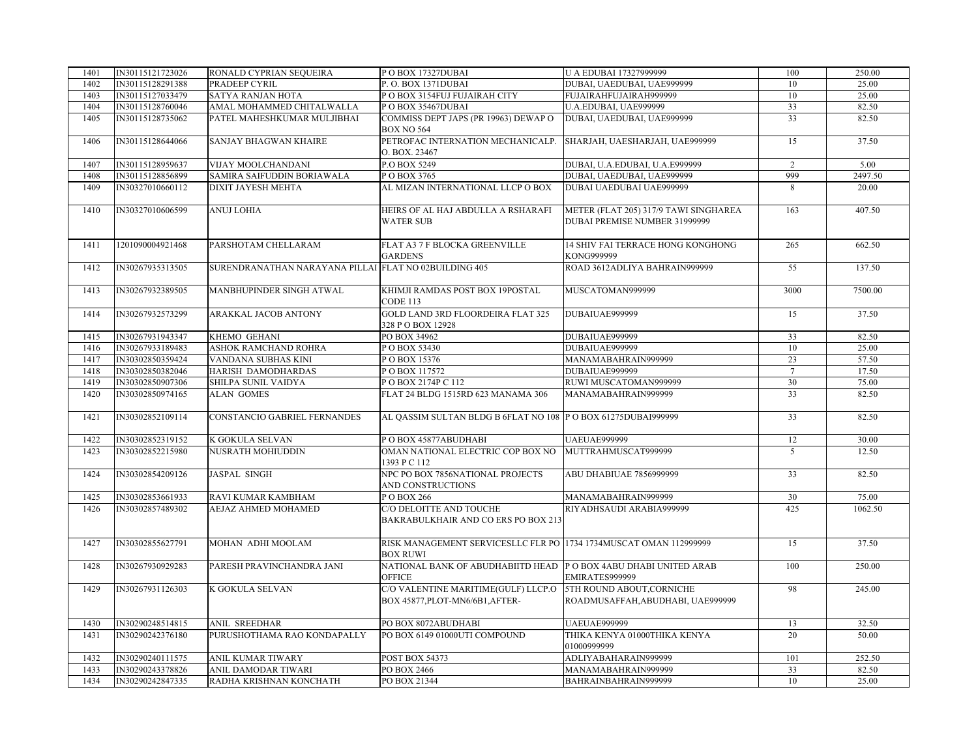| 1401 | IN30115121723026 | RONALD CYPRIAN SEQUEIRA                               | POBOX 17327DUBAI                                                                     | U A EDUBAI 17327999999                                                 | 100             | 250.00  |
|------|------------------|-------------------------------------------------------|--------------------------------------------------------------------------------------|------------------------------------------------------------------------|-----------------|---------|
| 1402 | IN30115128291388 | PRADEEP CYRIL                                         | P.O. BOX 1371DUBAI                                                                   | DUBAI, UAEDUBAI, UAE999999                                             | 10              | 25.00   |
| 1403 | IN30115127033479 | <b>SATYA RANJAN HOTA</b>                              | P O BOX 3154FUJ FUJAIRAH CITY                                                        | FUJAIRAHFUJAIRAH999999                                                 | 10              | 25.00   |
| 1404 | IN30115128760046 | AMAL MOHAMMED CHITALWALLA                             | POBOX 35467DUBAI                                                                     | U.A.EDUBAI, UAE999999                                                  | 33              | 82.50   |
| 1405 | IN30115128735062 | PATEL MAHESHKUMAR MULJIBHAI                           | COMMISS DEPT JAPS (PR 19963) DEWAP O<br><b>BOX NO 564</b>                            | DUBAI, UAEDUBAI, UAE999999                                             | $\overline{33}$ | 82.50   |
| 1406 | IN30115128644066 | <b>SANJAY BHAGWAN KHAIRE</b>                          | PETROFAC INTERNATION MECHANICALP. SHARJAH, UAESHARJAH, UAE999999<br>O. BOX. 23467    |                                                                        | 15              | 37.50   |
| 1407 | IN30115128959637 | VIJAY MOOLCHANDANI                                    | P.O BOX 5249                                                                         | DUBAI, U.A.EDUBAI, U.A.E999999                                         | $\overline{2}$  | 5.00    |
| 1408 | IN30115128856899 | SAMIRA SAIFUDDIN BORIAWALA                            | POBOX 3765                                                                           | DUBAI, UAEDUBAI, UAE999999                                             | 999             | 2497.50 |
| 1409 | IN30327010660112 | DIXIT JAYESH MEHTA                                    | AL MIZAN INTERNATIONAL LLCP O BOX                                                    | DUBAI UAEDUBAI UAE999999                                               | 8               | 20.00   |
| 1410 | IN30327010606599 | <b>ANUJ LOHIA</b>                                     | HEIRS OF AL HAJ ABDULLA A RSHARAFI<br><b>WATER SUB</b>                               | METER (FLAT 205) 317/9 TAWI SINGHAREA<br>DUBAI PREMISE NUMBER 31999999 | 163             | 407.50  |
| 1411 | 1201090004921468 | PARSHOTAM CHELLARAM                                   | FLAT A3 7 F BLOCKA GREENVILLE<br><b>GARDENS</b>                                      | 14 SHIV FAI TERRACE HONG KONGHONG<br>KONG999999                        | 265             | 662.50  |
| 1412 | IN30267935313505 | SURENDRANATHAN NARAYANA PILLAI FLAT NO 02BUILDING 405 |                                                                                      | ROAD 3612ADLIYA BAHRAIN999999                                          | 55              | 137.50  |
| 1413 | IN30267932389505 | MANBHUPINDER SINGH ATWAL                              | KHIMJI RAMDAS POST BOX 19POSTAL<br>CODE 113                                          | MUSCATOMAN999999                                                       | 3000            | 7500.00 |
| 1414 | IN30267932573299 | ARAKKAL JACOB ANTONY                                  | <b>GOLD LAND 3RD FLOORDEIRA FLAT 325</b><br>328 P O BOX 12928                        | DUBAIUAE999999                                                         | 15              | 37.50   |
| 1415 | IN30267931943347 | KHEMO GEHANI                                          | PO BOX 34962                                                                         | DUBAIUAE999999                                                         | 33              | 82.50   |
| 1416 | IN30267933189483 | ASHOK RAMCHAND ROHRA                                  | POBOX 53430                                                                          | DUBAIUAE999999                                                         | 10              | 25.00   |
| 1417 | IN30302850359424 | VANDANA SUBHAS KINI                                   | POBOX 15376                                                                          | MANAMABAHRAIN999999                                                    | 23              | 57.50   |
| 1418 | IN30302850382046 | HARISH DAMODHARDAS                                    | POBOX 117572                                                                         | DUBAIUAE999999                                                         | $\overline{7}$  | 17.50   |
| 1419 | IN30302850907306 | SHILPA SUNIL VAIDYA                                   | POBOX 2174PC 112                                                                     | RUWI MUSCATOMAN999999                                                  | 30              | 75.00   |
| 1420 | IN30302850974165 | <b>ALAN GOMES</b>                                     | FLAT 24 BLDG 1515RD 623 MANAMA 306                                                   | MANAMABAHRAIN999999                                                    | 33              | 82.50   |
| 1421 | IN30302852109114 | CONSTANCIO GABRIEL FERNANDES                          | AL OASSIM SULTAN BLDG B 6FLAT NO 108 P O BOX 61275DUBAI999999                        |                                                                        | 33              | 82.50   |
| 1422 | IN30302852319152 | K GOKULA SELVAN                                       | POBOX 45877ABUDHABI                                                                  | <b>UAEUAE999999</b>                                                    | 12              | 30.00   |
| 1423 | IN30302852215980 | NUSRATH MOHIUDDIN                                     | OMAN NATIONAL ELECTRIC COP BOX NO MUTTRAHMUSCAT999999<br>1393 P C 112                |                                                                        | $\mathfrak{S}$  | 12.50   |
| 1424 | IN30302854209126 | <b>JASPAL SINGH</b>                                   | NPC PO BOX 7856NATIONAL PROJECTS<br>AND CONSTRUCTIONS                                | ABU DHABIUAE 7856999999                                                | 33              | 82.50   |
| 1425 | IN30302853661933 | RAVI KUMAR KAMBHAM                                    | PO BOX 266                                                                           | MANAMABAHRAIN999999                                                    | 30              | 75.00   |
| 1426 | IN30302857489302 | AEJAZ AHMED MOHAMED                                   | C/O DELOITTE AND TOUCHE<br>BAKRABULKHAIR AND CO ERS PO BOX 213                       | RIYADHSAUDI ARABIA999999                                               | 425             | 1062.50 |
| 1427 | IN30302855627791 | MOHAN ADHI MOOLAM                                     | RISK MANAGEMENT SERVICESLLC FLR PO 1734 1734MUSCAT OMAN 112999999<br><b>BOX RUWI</b> |                                                                        | 15              | 37.50   |
| 1428 | IN30267930929283 | PARESH PRAVINCHANDRA JANI                             | NATIONAL BANK OF ABUDHABIITD HEAD P O BOX 4ABU DHABI UNITED ARAB<br>OFFICE           | EMIRATES999999                                                         | 100             | 250.00  |
| 1429 | IN30267931126303 | K GOKULA SELVAN                                       | C/O VALENTINE MARITIME(GULF) LLCP.O<br>BOX 45877, PLOT-MN6/6B1, AFTER-               | 5TH ROUND ABOUT.CORNICHE<br>ROADMUSAFFAH, ABUDHABI, UAE999999          | 98              | 245.00  |
| 1430 | IN30290248514815 | <b>ANIL SREEDHAR</b>                                  | PO BOX 8072ABUDHABI                                                                  | <b>UAEUAE999999</b>                                                    | 13              | 32.50   |
| 1431 | IN30290242376180 | PURUSHOTHAMA RAO KONDAPALLY                           | PO BOX 6149 01000UTI COMPOUND                                                        | THIKA KENYA 01000THIKA KENYA<br>01000999999                            | 20              | 50.00   |
| 1432 | IN30290240111575 | <b>ANIL KUMAR TIWARY</b>                              | <b>POST BOX 54373</b>                                                                | ADLIYABAHARAIN999999                                                   | 101             | 252.50  |
| 1433 | IN30290243378826 | ANIL DAMODAR TIWARI                                   | PO BOX 2466                                                                          | MANAMABAHRAIN999999                                                    | 33              | 82.50   |
| 1434 | IN30290242847335 | RADHA KRISHNAN KONCHATH                               | PO BOX 21344                                                                         | BAHRAINBAHRAIN999999                                                   | 10 <sup>1</sup> | 25.00   |